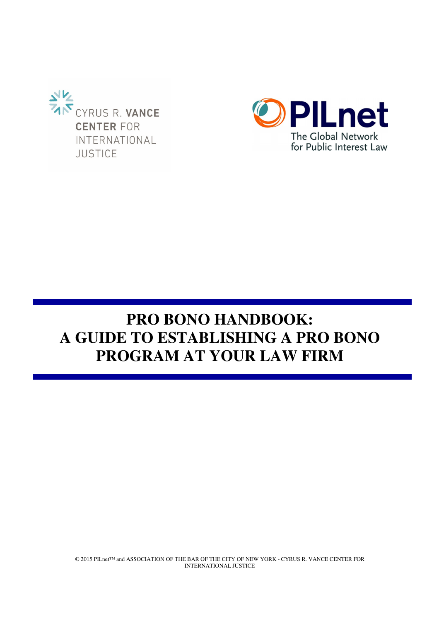



# **PRO BONO HANDBOOK: A GUIDE TO ESTABLISHING A PRO BONO PROGRAM AT YOUR LAW FIRM**

© 2015 PILnet™ and ASSOCIATION OF THE BAR OF THE CITY OF NEW YORK - CYRUS R. VANCE CENTER FOR INTERNATIONAL JUSTICE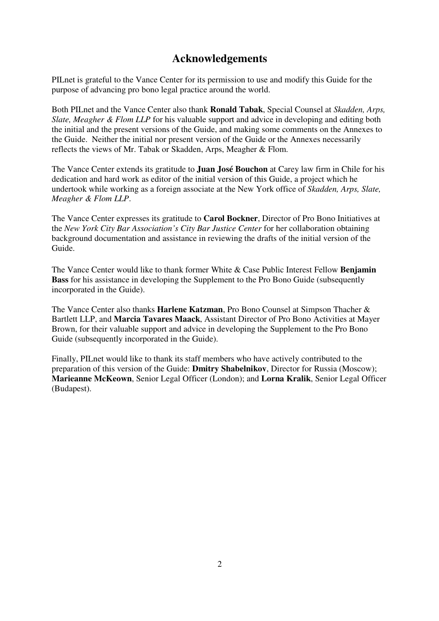# **Acknowledgements**

PILnet is grateful to the Vance Center for its permission to use and modify this Guide for the purpose of advancing pro bono legal practice around the world.

Both PILnet and the Vance Center also thank **Ronald Tabak**, Special Counsel at *Skadden, Arps, Slate, Meagher & Flom LLP* for his valuable support and advice in developing and editing both the initial and the present versions of the Guide, and making some comments on the Annexes to the Guide. Neither the initial nor present version of the Guide or the Annexes necessarily reflects the views of Mr. Tabak or Skadden, Arps, Meagher & Flom.

The Vance Center extends its gratitude to **Juan José Bouchon** at Carey law firm in Chile for his dedication and hard work as editor of the initial version of this Guide, a project which he undertook while working as a foreign associate at the New York office of *Skadden, Arps, Slate, Meagher & Flom LLP*.

The Vance Center expresses its gratitude to **Carol Bockner**, Director of Pro Bono Initiatives at the *New York City Bar Association's City Bar Justice Center* for her collaboration obtaining background documentation and assistance in reviewing the drafts of the initial version of the Guide.

The Vance Center would like to thank former White & Case Public Interest Fellow **Benjamin Bass** for his assistance in developing the Supplement to the Pro Bono Guide (subsequently incorporated in the Guide).

The Vance Center also thanks **Harlene Katzman**, Pro Bono Counsel at Simpson Thacher & Bartlett LLP, and **Marcia Tavares Maack**, Assistant Director of Pro Bono Activities at Mayer Brown, for their valuable support and advice in developing the Supplement to the Pro Bono Guide (subsequently incorporated in the Guide).

Finally, PILnet would like to thank its staff members who have actively contributed to the preparation of this version of the Guide: **Dmitry Shabelnikov**, Director for Russia (Moscow); **Marieanne McKeown**, Senior Legal Officer (London); and **Lorna Kralik**, Senior Legal Officer (Budapest).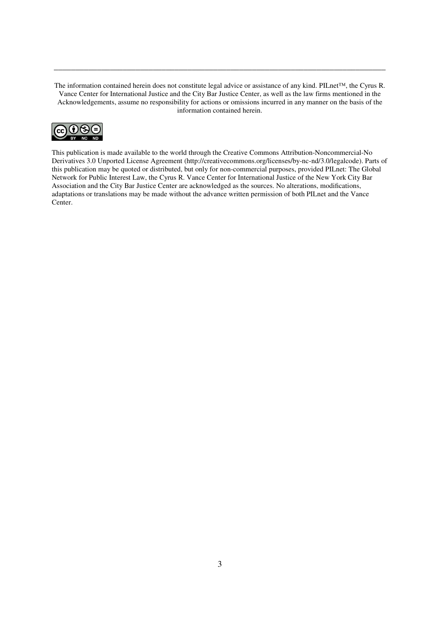The information contained herein does not constitute legal advice or assistance of any kind. PILnet™, the Cyrus R. Vance Center for International Justice and the City Bar Justice Center, as well as the law firms mentioned in the Acknowledgements, assume no responsibility for actions or omissions incurred in any manner on the basis of the information contained herein.

\_\_\_\_\_\_\_\_\_\_\_\_\_\_\_\_\_\_\_\_\_\_\_\_\_\_\_\_\_\_\_\_\_\_\_\_\_\_\_\_\_\_\_\_\_\_\_\_\_\_\_\_\_\_\_\_\_\_\_\_\_\_\_\_\_\_\_\_\_\_\_\_\_\_\_\_\_



This publication is made available to the world through the Creative Commons Attribution-Noncommercial-No Derivatives 3.0 Unported License Agreement (http://creativecommons.org/licenses/by-nc-nd/3.0/legalcode). Parts of this publication may be quoted or distributed, but only for non-commercial purposes, provided PILnet: The Global Network for Public Interest Law, the Cyrus R. Vance Center for International Justice of the New York City Bar Association and the City Bar Justice Center are acknowledged as the sources. No alterations, modifications, adaptations or translations may be made without the advance written permission of both PILnet and the Vance Center.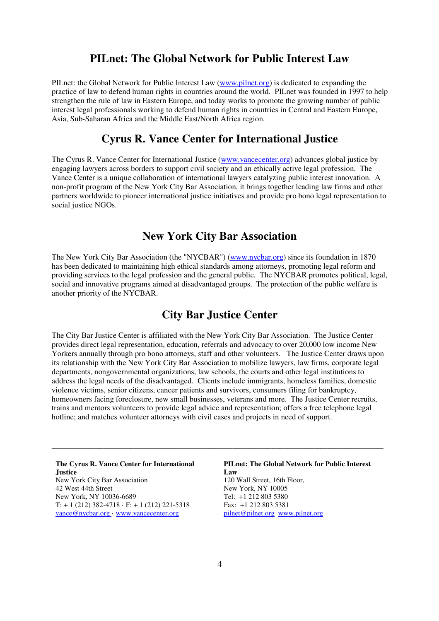# **PILnet: The Global Network for Public Interest Law**

PILnet: the Global Network for Public Interest Law (www.pilnet.org) is dedicated to expanding the practice of law to defend human rights in countries around the world. PILnet was founded in 1997 to help strengthen the rule of law in Eastern Europe, and today works to promote the growing number of public interest legal professionals working to defend human rights in countries in Central and Eastern Europe, Asia, Sub-Saharan Africa and the Middle East/North Africa region.

# **Cyrus R. Vance Center for International Justice**

The Cyrus R. Vance Center for International Justice (www.vancecenter.org) advances global justice by engaging lawyers across borders to support civil society and an ethically active legal profession. The Vance Center is a unique collaboration of international lawyers catalyzing public interest innovation. A non-profit program of the New York City Bar Association, it brings together leading law firms and other partners worldwide to pioneer international justice initiatives and provide pro bono legal representation to social justice NGOs.

# **New York City Bar Association**

The New York City Bar Association (the "NYCBAR") (www.nycbar.org) since its foundation in 1870 has been dedicated to maintaining high ethical standards among attorneys, promoting legal reform and providing services to the legal profession and the general public. The NYCBAR promotes political, legal, social and innovative programs aimed at disadvantaged groups. The protection of the public welfare is another priority of the NYCBAR.

# **City Bar Justice Center**

The City Bar Justice Center is affiliated with the New York City Bar Association. The Justice Center provides direct legal representation, education, referrals and advocacy to over 20,000 low income New Yorkers annually through pro bono attorneys, staff and other volunteers. The Justice Center draws upon its relationship with the New York City Bar Association to mobilize lawyers, law firms, corporate legal departments, nongovernmental organizations, law schools, the courts and other legal institutions to address the legal needs of the disadvantaged. Clients include immigrants, homeless families, domestic violence victims, senior citizens, cancer patients and survivors, consumers filing for bankruptcy, homeowners facing foreclosure, new small businesses, veterans and more. The Justice Center recruits, trains and mentors volunteers to provide legal advice and representation; offers a free telephone legal hotline; and matches volunteer attorneys with civil cases and projects in need of support.

\_\_\_\_\_\_\_\_\_\_\_\_\_\_\_\_\_\_\_\_\_\_\_\_\_\_\_\_\_\_\_\_\_\_\_\_\_\_\_\_\_\_\_\_\_\_\_\_\_\_\_\_\_\_\_\_\_\_\_\_\_\_\_\_\_\_\_\_\_\_\_\_\_\_\_\_\_

**The Cyrus R. Vance Center for International Justice** New York City Bar Association 42 West 44th Street New York, NY 10036-6689  $T: + 1 (212) 382 - 4718 \cdot F: + 1 (212) 221 - 5318$ vance@nycbar.org www.vancecenter.org

**PILnet: The Global Network for Public Interest Law**  120 Wall Street, 16th Floor, New York, NY 10005 Tel: +1 212 803 5380 Fax: +1 212 803 5381 pilnet@pilnet.org www.pilnet.org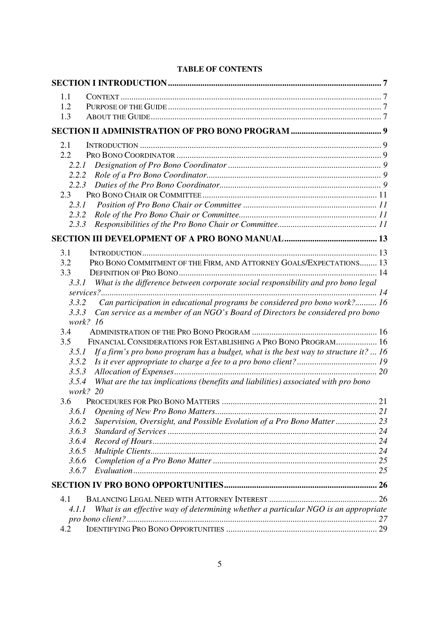| 1.1                                                                                                |  |
|----------------------------------------------------------------------------------------------------|--|
| 1.2                                                                                                |  |
| 1.3                                                                                                |  |
|                                                                                                    |  |
| 2.1                                                                                                |  |
| 2.2                                                                                                |  |
| 2.2.1                                                                                              |  |
| 2.2.2                                                                                              |  |
| 2.2.3                                                                                              |  |
| 2.3                                                                                                |  |
| 2.3.1                                                                                              |  |
| 2.3.2                                                                                              |  |
| 2.3.3                                                                                              |  |
|                                                                                                    |  |
| 3.1                                                                                                |  |
| PRO BONO COMMITMENT OF THE FIRM, AND ATTORNEY GOALS/EXPECTATIONS 13<br>3.2                         |  |
| 3.3                                                                                                |  |
| 3.3.1<br>What is the difference between corporate social responsibility and pro bono legal         |  |
| services?                                                                                          |  |
| Can participation in educational programs be considered pro bono work? 16<br>3.3.2                 |  |
| Can service as a member of an NGO's Board of Directors be considered pro bono<br>3.3.3<br>work? 16 |  |
| 3.4                                                                                                |  |
| FINANCIAL CONSIDERATIONS FOR ESTABLISHING A PRO BONO PROGRAM 16<br>3.5                             |  |
| If a firm's pro bono program has a budget, what is the best way to structure it?  16<br>3.5.1      |  |
| 3.5.2                                                                                              |  |
| 3.5.3                                                                                              |  |
| What are the tax implications (benefits and liabilities) associated with pro bono<br>3.5.4         |  |
| work? 20                                                                                           |  |
| 3.6                                                                                                |  |
| 3.6.1                                                                                              |  |
| Supervision, Oversight, and Possible Evolution of a Pro Bono Matter<br>3.6.2                       |  |
| 3.6.3                                                                                              |  |
| 3.6.4                                                                                              |  |
| 3.6.5                                                                                              |  |
| 3.6.6                                                                                              |  |
| 3.6.7                                                                                              |  |
|                                                                                                    |  |
| 4.1                                                                                                |  |
| What is an effective way of determining whether a particular NGO is an appropriate<br>4.1.1        |  |
|                                                                                                    |  |
| 4.2                                                                                                |  |

# **TABLE OF CONTENTS**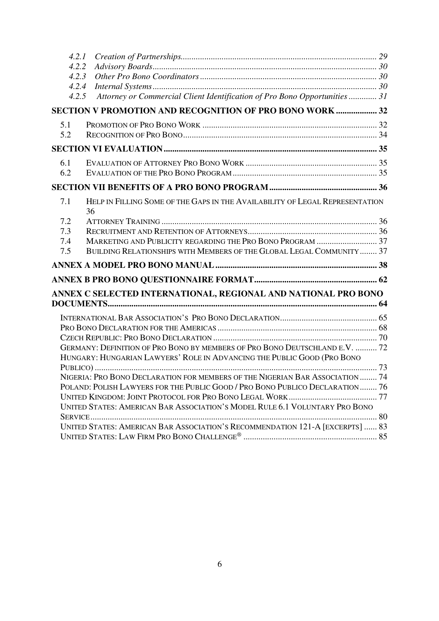|     | 4.2.1                                                                               |  |
|-----|-------------------------------------------------------------------------------------|--|
|     | 4.2.2                                                                               |  |
|     | 4.2.3                                                                               |  |
|     | 4.2.4                                                                               |  |
|     | Attorney or Commercial Client Identification of Pro Bono Opportunities  31<br>4.2.5 |  |
|     | SECTION V PROMOTION AND RECOGNITION OF PRO BONO WORK  32                            |  |
| 5.1 |                                                                                     |  |
| 5.2 |                                                                                     |  |
|     |                                                                                     |  |
| 6.1 |                                                                                     |  |
| 6.2 |                                                                                     |  |
|     |                                                                                     |  |
| 7.1 | HELP IN FILLING SOME OF THE GAPS IN THE AVAILABILITY OF LEGAL REPRESENTATION<br>36  |  |
| 7.2 |                                                                                     |  |
| 7.3 |                                                                                     |  |
| 7.4 | MARKETING AND PUBLICITY REGARDING THE PRO BONO PROGRAM  37                          |  |
| 7.5 | BUILDING RELATIONSHIPS WITH MEMBERS OF THE GLOBAL LEGAL COMMUNITY  37               |  |
|     |                                                                                     |  |
|     |                                                                                     |  |
|     | ANNEX C SELECTED INTERNATIONAL, REGIONAL AND NATIONAL PRO BONO                      |  |
|     |                                                                                     |  |
|     |                                                                                     |  |
|     |                                                                                     |  |
|     | GERMANY: DEFINITION OF PRO BONO BY MEMBERS OF PRO BONO DEUTSCHLAND E.V.  72         |  |
|     | HUNGARY: HUNGARIAN LAWYERS' ROLE IN ADVANCING THE PUBLIC GOOD (PRO BONO             |  |
|     |                                                                                     |  |
|     | NIGERIA: PRO BONO DECLARATION FOR MEMBERS OF THE NIGERIAN BAR ASSOCIATION  74       |  |
|     | POLAND: POLISH LAWYERS FOR THE PUBLIC GOOD / PRO BONO PUBLICO DECLARATION  76       |  |
|     | UNITED STATES: AMERICAN BAR ASSOCIATION'S MODEL RULE 6.1 VOLUNTARY PRO BONO         |  |
|     |                                                                                     |  |
|     | UNITED STATES: AMERICAN BAR ASSOCIATION'S RECOMMENDATION 121-A [EXCERPTS]  83       |  |
|     |                                                                                     |  |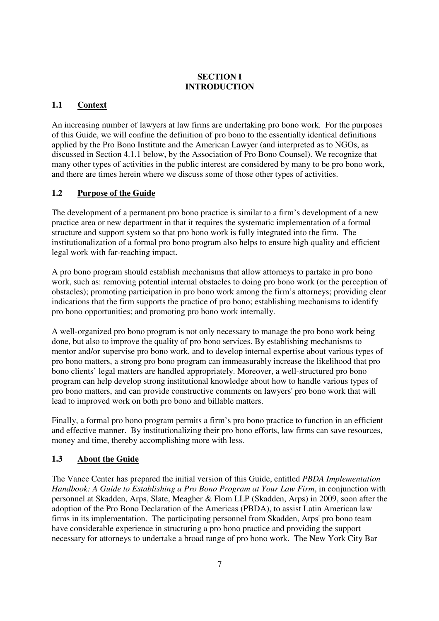# **SECTION I INTRODUCTION**

# **1.1 Context**

An increasing number of lawyers at law firms are undertaking pro bono work. For the purposes of this Guide, we will confine the definition of pro bono to the essentially identical definitions applied by the Pro Bono Institute and the American Lawyer (and interpreted as to NGOs, as discussed in Section 4.1.1 below, by the Association of Pro Bono Counsel). We recognize that many other types of activities in the public interest are considered by many to be pro bono work, and there are times herein where we discuss some of those other types of activities.

# **1.2 Purpose of the Guide**

The development of a permanent pro bono practice is similar to a firm's development of a new practice area or new department in that it requires the systematic implementation of a formal structure and support system so that pro bono work is fully integrated into the firm. The institutionalization of a formal pro bono program also helps to ensure high quality and efficient legal work with far-reaching impact.

A pro bono program should establish mechanisms that allow attorneys to partake in pro bono work, such as: removing potential internal obstacles to doing pro bono work (or the perception of obstacles); promoting participation in pro bono work among the firm's attorneys; providing clear indications that the firm supports the practice of pro bono; establishing mechanisms to identify pro bono opportunities; and promoting pro bono work internally.

A well-organized pro bono program is not only necessary to manage the pro bono work being done, but also to improve the quality of pro bono services. By establishing mechanisms to mentor and/or supervise pro bono work, and to develop internal expertise about various types of pro bono matters, a strong pro bono program can immeasurably increase the likelihood that pro bono clients' legal matters are handled appropriately. Moreover, a well-structured pro bono program can help develop strong institutional knowledge about how to handle various types of pro bono matters, and can provide constructive comments on lawyers' pro bono work that will lead to improved work on both pro bono and billable matters.

Finally, a formal pro bono program permits a firm's pro bono practice to function in an efficient and effective manner. By institutionalizing their pro bono efforts, law firms can save resources, money and time, thereby accomplishing more with less.

# **1.3 About the Guide**

The Vance Center has prepared the initial version of this Guide, entitled *PBDA Implementation Handbook: A Guide to Establishing a Pro Bono Program at Your Law Firm*, in conjunction with personnel at Skadden, Arps, Slate, Meagher & Flom LLP (Skadden, Arps) in 2009, soon after the adoption of the Pro Bono Declaration of the Americas (PBDA), to assist Latin American law firms in its implementation. The participating personnel from Skadden, Arps' pro bono team have considerable experience in structuring a pro bono practice and providing the support necessary for attorneys to undertake a broad range of pro bono work. The New York City Bar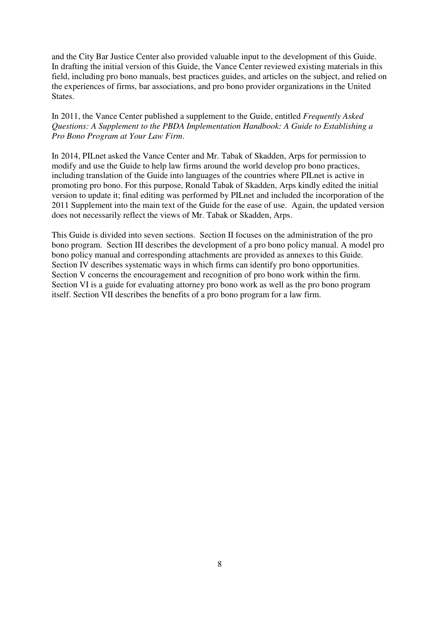and the City Bar Justice Center also provided valuable input to the development of this Guide. In drafting the initial version of this Guide, the Vance Center reviewed existing materials in this field, including pro bono manuals, best practices guides, and articles on the subject, and relied on the experiences of firms, bar associations, and pro bono provider organizations in the United States.

#### In 2011, the Vance Center published a supplement to the Guide, entitled *Frequently Asked Questions: A Supplement to the PBDA Implementation Handbook: A Guide to Establishing a Pro Bono Program at Your Law Firm*.

In 2014, PILnet asked the Vance Center and Mr. Tabak of Skadden, Arps for permission to modify and use the Guide to help law firms around the world develop pro bono practices, including translation of the Guide into languages of the countries where PILnet is active in promoting pro bono. For this purpose, Ronald Tabak of Skadden, Arps kindly edited the initial version to update it; final editing was performed by PILnet and included the incorporation of the 2011 Supplement into the main text of the Guide for the ease of use. Again, the updated version does not necessarily reflect the views of Mr. Tabak or Skadden, Arps.

This Guide is divided into seven sections. Section II focuses on the administration of the pro bono program. Section III describes the development of a pro bono policy manual. A model pro bono policy manual and corresponding attachments are provided as annexes to this Guide. Section IV describes systematic ways in which firms can identify pro bono opportunities. Section V concerns the encouragement and recognition of pro bono work within the firm. Section VI is a guide for evaluating attorney pro bono work as well as the pro bono program itself. Section VII describes the benefits of a pro bono program for a law firm.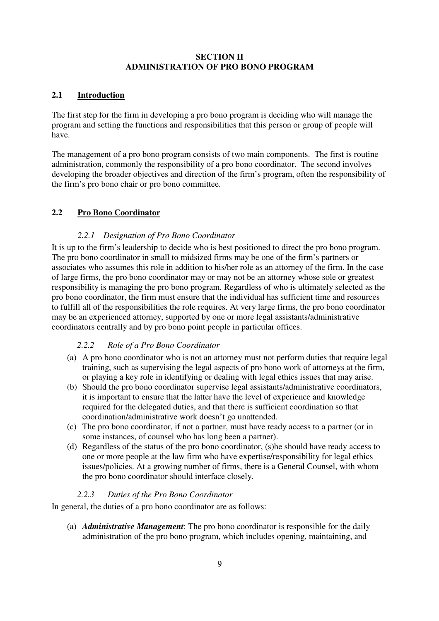#### **SECTION II ADMINISTRATION OF PRO BONO PROGRAM**

## **2.1 Introduction**

The first step for the firm in developing a pro bono program is deciding who will manage the program and setting the functions and responsibilities that this person or group of people will have.

The management of a pro bono program consists of two main components. The first is routine administration, commonly the responsibility of a pro bono coordinator. The second involves developing the broader objectives and direction of the firm's program, often the responsibility of the firm's pro bono chair or pro bono committee.

# **2.2 Pro Bono Coordinator**

#### *2.2.1 Designation of Pro Bono Coordinator*

It is up to the firm's leadership to decide who is best positioned to direct the pro bono program. The pro bono coordinator in small to midsized firms may be one of the firm's partners or associates who assumes this role in addition to his/her role as an attorney of the firm. In the case of large firms, the pro bono coordinator may or may not be an attorney whose sole or greatest responsibility is managing the pro bono program. Regardless of who is ultimately selected as the pro bono coordinator, the firm must ensure that the individual has sufficient time and resources to fulfill all of the responsibilities the role requires. At very large firms, the pro bono coordinator may be an experienced attorney, supported by one or more legal assistants/administrative coordinators centrally and by pro bono point people in particular offices.

#### *2.2.2 Role of a Pro Bono Coordinator*

- (a) A pro bono coordinator who is not an attorney must not perform duties that require legal training, such as supervising the legal aspects of pro bono work of attorneys at the firm, or playing a key role in identifying or dealing with legal ethics issues that may arise.
- (b) Should the pro bono coordinator supervise legal assistants/administrative coordinators, it is important to ensure that the latter have the level of experience and knowledge required for the delegated duties, and that there is sufficient coordination so that coordination/administrative work doesn't go unattended.
- (c) The pro bono coordinator, if not a partner, must have ready access to a partner (or in some instances, of counsel who has long been a partner).
- (d) Regardless of the status of the pro bono coordinator, (s)he should have ready access to one or more people at the law firm who have expertise/responsibility for legal ethics issues/policies. At a growing number of firms, there is a General Counsel, with whom the pro bono coordinator should interface closely.

#### *2.2.3 Duties of the Pro Bono Coordinator*

In general, the duties of a pro bono coordinator are as follows:

(a) *Administrative Management*: The pro bono coordinator is responsible for the daily administration of the pro bono program, which includes opening, maintaining, and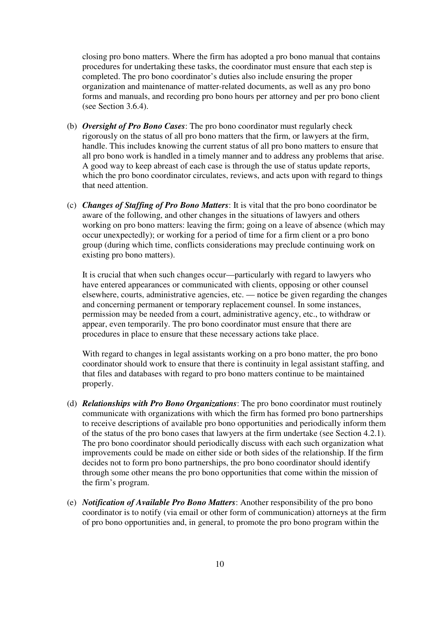closing pro bono matters. Where the firm has adopted a pro bono manual that contains procedures for undertaking these tasks, the coordinator must ensure that each step is completed. The pro bono coordinator's duties also include ensuring the proper organization and maintenance of matter-related documents, as well as any pro bono forms and manuals, and recording pro bono hours per attorney and per pro bono client (see Section 3.6.4).

- (b) *Oversight of Pro Bono Cases*: The pro bono coordinator must regularly check rigorously on the status of all pro bono matters that the firm, or lawyers at the firm, handle. This includes knowing the current status of all pro bono matters to ensure that all pro bono work is handled in a timely manner and to address any problems that arise. A good way to keep abreast of each case is through the use of status update reports, which the pro bono coordinator circulates, reviews, and acts upon with regard to things that need attention.
- (c) *Changes of Staffing of Pro Bono Matters*: It is vital that the pro bono coordinator be aware of the following, and other changes in the situations of lawyers and others working on pro bono matters: leaving the firm; going on a leave of absence (which may occur unexpectedly); or working for a period of time for a firm client or a pro bono group (during which time, conflicts considerations may preclude continuing work on existing pro bono matters).

It is crucial that when such changes occur—particularly with regard to lawyers who have entered appearances or communicated with clients, opposing or other counsel elsewhere, courts, administrative agencies, etc. — notice be given regarding the changes and concerning permanent or temporary replacement counsel. In some instances, permission may be needed from a court, administrative agency, etc., to withdraw or appear, even temporarily. The pro bono coordinator must ensure that there are procedures in place to ensure that these necessary actions take place.

With regard to changes in legal assistants working on a pro bono matter, the pro bono coordinator should work to ensure that there is continuity in legal assistant staffing, and that files and databases with regard to pro bono matters continue to be maintained properly.

- (d) *Relationships with Pro Bono Organizations*: The pro bono coordinator must routinely communicate with organizations with which the firm has formed pro bono partnerships to receive descriptions of available pro bono opportunities and periodically inform them of the status of the pro bono cases that lawyers at the firm undertake (see Section 4.2.1). The pro bono coordinator should periodically discuss with each such organization what improvements could be made on either side or both sides of the relationship. If the firm decides not to form pro bono partnerships, the pro bono coordinator should identify through some other means the pro bono opportunities that come within the mission of the firm's program.
- (e) *Notification of Available Pro Bono Matters*: Another responsibility of the pro bono coordinator is to notify (via email or other form of communication) attorneys at the firm of pro bono opportunities and, in general, to promote the pro bono program within the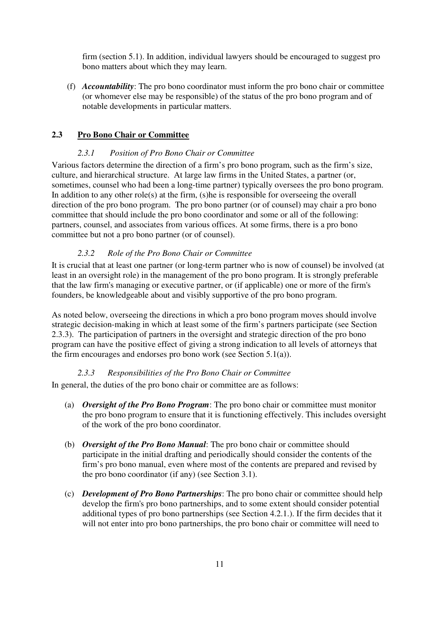firm (section 5.1). In addition, individual lawyers should be encouraged to suggest pro bono matters about which they may learn.

(f) *Accountability*: The pro bono coordinator must inform the pro bono chair or committee (or whomever else may be responsible) of the status of the pro bono program and of notable developments in particular matters.

#### **2.3 Pro Bono Chair or Committee**

#### *2.3.1 Position of Pro Bono Chair or Committee*

Various factors determine the direction of a firm's pro bono program, such as the firm's size, culture, and hierarchical structure. At large law firms in the United States, a partner (or, sometimes, counsel who had been a long-time partner) typically oversees the pro bono program. In addition to any other role(s) at the firm, (s)he is responsible for overseeing the overall direction of the pro bono program. The pro bono partner (or of counsel) may chair a pro bono committee that should include the pro bono coordinator and some or all of the following: partners, counsel, and associates from various offices. At some firms, there is a pro bono committee but not a pro bono partner (or of counsel).

#### *2.3.2 Role of the Pro Bono Chair or Committee*

It is crucial that at least one partner (or long-term partner who is now of counsel) be involved (at least in an oversight role) in the management of the pro bono program. It is strongly preferable that the law firm's managing or executive partner, or (if applicable) one or more of the firm's founders, be knowledgeable about and visibly supportive of the pro bono program.

As noted below, overseeing the directions in which a pro bono program moves should involve strategic decision-making in which at least some of the firm's partners participate (see Section 2.3.3). The participation of partners in the oversight and strategic direction of the pro bono program can have the positive effect of giving a strong indication to all levels of attorneys that the firm encourages and endorses pro bono work (see Section 5.1(a)).

#### *2.3.3 Responsibilities of the Pro Bono Chair or Committee*

In general, the duties of the pro bono chair or committee are as follows:

- (a) *Oversight of the Pro Bono Program*: The pro bono chair or committee must monitor the pro bono program to ensure that it is functioning effectively. This includes oversight of the work of the pro bono coordinator.
- (b) *Oversight of the Pro Bono Manual*: The pro bono chair or committee should participate in the initial drafting and periodically should consider the contents of the firm's pro bono manual, even where most of the contents are prepared and revised by the pro bono coordinator (if any) (see Section 3.1).
- (c) *Development of Pro Bono Partnerships*: The pro bono chair or committee should help develop the firm's pro bono partnerships, and to some extent should consider potential additional types of pro bono partnerships (see Section 4.2.1.). If the firm decides that it will not enter into pro bono partnerships, the pro bono chair or committee will need to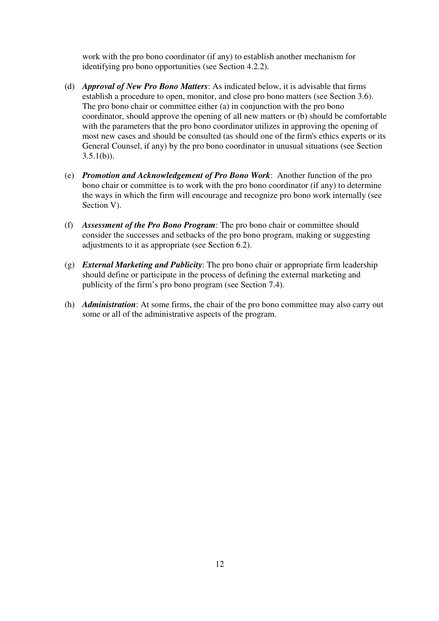work with the pro bono coordinator (if any) to establish another mechanism for identifying pro bono opportunities (see Section 4.2.2).

- (d) *Approval of New Pro Bono Matters*: As indicated below, it is advisable that firms establish a procedure to open, monitor, and close pro bono matters (see Section 3.6). The pro bono chair or committee either (a) in conjunction with the pro bono coordinator, should approve the opening of all new matters or (b) should be comfortable with the parameters that the pro bono coordinator utilizes in approving the opening of most new cases and should be consulted (as should one of the firm's ethics experts or its General Counsel, if any) by the pro bono coordinator in unusual situations (see Section  $3.5.1(b)$ ).
- (e) *Promotion and Acknowledgement of Pro Bono Work*: Another function of the pro bono chair or committee is to work with the pro bono coordinator (if any) to determine the ways in which the firm will encourage and recognize pro bono work internally (see Section V).
- (f) *Assessment of the Pro Bono Program*: The pro bono chair or committee should consider the successes and setbacks of the pro bono program, making or suggesting adjustments to it as appropriate (see Section 6.2).
- (g) *External Marketing and Publicity*: The pro bono chair or appropriate firm leadership should define or participate in the process of defining the external marketing and publicity of the firm's pro bono program (see Section 7.4).
- (h) *Administration*: At some firms, the chair of the pro bono committee may also carry out some or all of the administrative aspects of the program.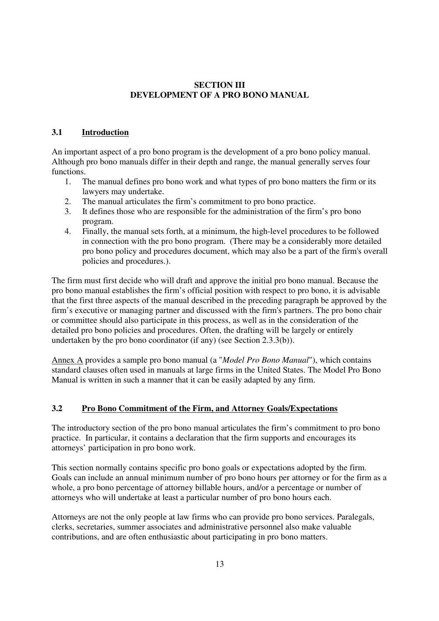#### **SECTION III DEVELOPMENT OF A PRO BONO MANUAL**

# **3.1 Introduction**

An important aspect of a pro bono program is the development of a pro bono policy manual. Although pro bono manuals differ in their depth and range, the manual generally serves four functions.

- 1. The manual defines pro bono work and what types of pro bono matters the firm or its lawyers may undertake.
- 2. The manual articulates the firm's commitment to pro bono practice.
- 3. It defines those who are responsible for the administration of the firm's pro bono program.
- 4. Finally, the manual sets forth, at a minimum, the high-level procedures to be followed in connection with the pro bono program. (There may be a considerably more detailed pro bono policy and procedures document, which may also be a part of the firm's overall policies and procedures.).

The firm must first decide who will draft and approve the initial pro bono manual. Because the pro bono manual establishes the firm's official position with respect to pro bono, it is advisable that the first three aspects of the manual described in the preceding paragraph be approved by the firm's executive or managing partner and discussed with the firm's partners. The pro bono chair or committee should also participate in this process, as well as in the consideration of the detailed pro bono policies and procedures. Often, the drafting will be largely or entirely undertaken by the pro bono coordinator (if any) (see Section 2.3.3(b)).

Annex A provides a sample pro bono manual (a "*Model Pro Bono Manual*"), which contains standard clauses often used in manuals at large firms in the United States. The Model Pro Bono Manual is written in such a manner that it can be easily adapted by any firm.

#### **3.2 Pro Bono Commitment of the Firm, and Attorney Goals/Expectations**

The introductory section of the pro bono manual articulates the firm's commitment to pro bono practice. In particular, it contains a declaration that the firm supports and encourages its attorneys' participation in pro bono work.

This section normally contains specific pro bono goals or expectations adopted by the firm. Goals can include an annual minimum number of pro bono hours per attorney or for the firm as a whole, a pro bono percentage of attorney billable hours, and/or a percentage or number of attorneys who will undertake at least a particular number of pro bono hours each.

Attorneys are not the only people at law firms who can provide pro bono services. Paralegals, clerks, secretaries, summer associates and administrative personnel also make valuable contributions, and are often enthusiastic about participating in pro bono matters.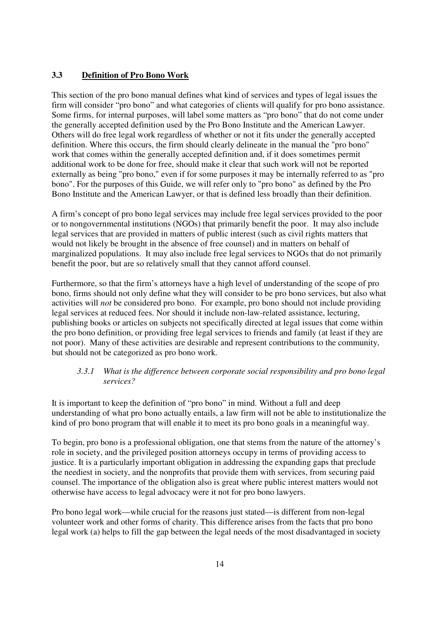## **3.3 Definition of Pro Bono Work**

This section of the pro bono manual defines what kind of services and types of legal issues the firm will consider "pro bono" and what categories of clients will qualify for pro bono assistance. Some firms, for internal purposes, will label some matters as "pro bono" that do not come under the generally accepted definition used by the Pro Bono Institute and the American Lawyer. Others will do free legal work regardless of whether or not it fits under the generally accepted definition. Where this occurs, the firm should clearly delineate in the manual the "pro bono" work that comes within the generally accepted definition and, if it does sometimes permit additional work to be done for free, should make it clear that such work will not be reported externally as being "pro bono," even if for some purposes it may be internally referred to as "pro bono". For the purposes of this Guide, we will refer only to "pro bono" as defined by the Pro Bono Institute and the American Lawyer, or that is defined less broadly than their definition.

A firm's concept of pro bono legal services may include free legal services provided to the poor or to nongovernmental institutions (NGOs) that primarily benefit the poor. It may also include legal services that are provided in matters of public interest (such as civil rights matters that would not likely be brought in the absence of free counsel) and in matters on behalf of marginalized populations. It may also include free legal services to NGOs that do not primarily benefit the poor, but are so relatively small that they cannot afford counsel.

Furthermore, so that the firm's attorneys have a high level of understanding of the scope of pro bono, firms should not only define what they will consider to be pro bono services, but also what activities will *not* be considered pro bono. For example, pro bono should not include providing legal services at reduced fees. Nor should it include non-law-related assistance, lecturing, publishing books or articles on subjects not specifically directed at legal issues that come within the pro bono definition, or providing free legal services to friends and family (at least if they are not poor). Many of these activities are desirable and represent contributions to the community, but should not be categorized as pro bono work.

#### *3.3.1 What is the difference between corporate social responsibility and pro bono legal services?*

It is important to keep the definition of "pro bono" in mind. Without a full and deep understanding of what pro bono actually entails, a law firm will not be able to institutionalize the kind of pro bono program that will enable it to meet its pro bono goals in a meaningful way.

To begin, pro bono is a professional obligation, one that stems from the nature of the attorney's role in society, and the privileged position attorneys occupy in terms of providing access to justice. It is a particularly important obligation in addressing the expanding gaps that preclude the neediest in society, and the nonprofits that provide them with services, from securing paid counsel. The importance of the obligation also is great where public interest matters would not otherwise have access to legal advocacy were it not for pro bono lawyers.

Pro bono legal work—while crucial for the reasons just stated—is different from non-legal volunteer work and other forms of charity. This difference arises from the facts that pro bono legal work (a) helps to fill the gap between the legal needs of the most disadvantaged in society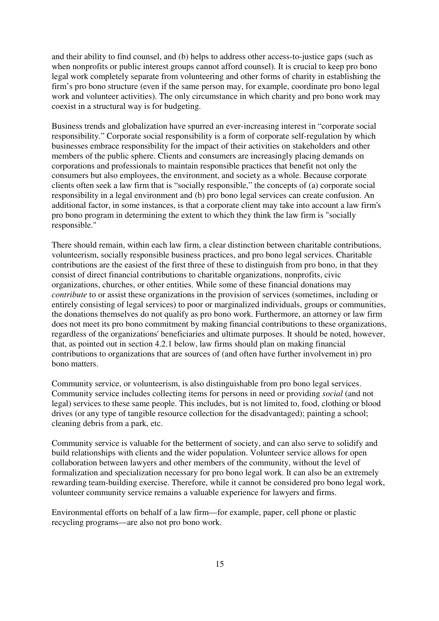and their ability to find counsel, and (b) helps to address other access-to-justice gaps (such as when nonprofits or public interest groups cannot afford counsel). It is crucial to keep pro bono legal work completely separate from volunteering and other forms of charity in establishing the firm's pro bono structure (even if the same person may, for example, coordinate pro bono legal work and volunteer activities). The only circumstance in which charity and pro bono work may coexist in a structural way is for budgeting.

Business trends and globalization have spurred an ever-increasing interest in "corporate social responsibility." Corporate social responsibility is a form of corporate self-regulation by which businesses embrace responsibility for the impact of their activities on stakeholders and other members of the public sphere. Clients and consumers are increasingly placing demands on corporations and professionals to maintain responsible practices that benefit not only the consumers but also employees, the environment, and society as a whole. Because corporate clients often seek a law firm that is "socially responsible," the concepts of (a) corporate social responsibility in a legal environment and (b) pro bono legal services can create confusion. An additional factor, in some instances, is that a corporate client may take into account a law firm's pro bono program in determining the extent to which they think the law firm is "socially responsible."

There should remain, within each law firm, a clear distinction between charitable contributions, volunteerism, socially responsible business practices, and pro bono legal services. Charitable contributions are the easiest of the first three of these to distinguish from pro bono, in that they consist of direct financial contributions to charitable organizations, nonprofits, civic organizations, churches, or other entities. While some of these financial donations may *contribute* to or assist these organizations in the provision of services (sometimes, including or entirely consisting of legal services) to poor or marginalized individuals, groups or communities, the donations themselves do not qualify as pro bono work. Furthermore, an attorney or law firm does not meet its pro bono commitment by making financial contributions to these organizations, regardless of the organizations' beneficiaries and ultimate purposes. It should be noted, however, that, as pointed out in section 4.2.1 below, law firms should plan on making financial contributions to organizations that are sources of (and often have further involvement in) pro bono matters.

Community service, or volunteerism, is also distinguishable from pro bono legal services. Community service includes collecting items for persons in need or providing *social* (and not legal) services to these same people. This includes, but is not limited to, food, clothing or blood drives (or any type of tangible resource collection for the disadvantaged); painting a school; cleaning debris from a park, etc.

Community service is valuable for the betterment of society, and can also serve to solidify and build relationships with clients and the wider population. Volunteer service allows for open collaboration between lawyers and other members of the community, without the level of formalization and specialization necessary for pro bono legal work. It can also be an extremely rewarding team-building exercise. Therefore, while it cannot be considered pro bono legal work, volunteer community service remains a valuable experience for lawyers and firms.

Environmental efforts on behalf of a law firm—for example, paper, cell phone or plastic recycling programs—are also not pro bono work.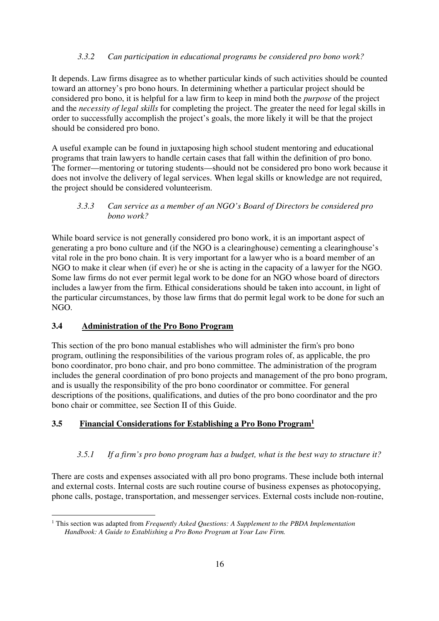# *3.3.2 Can participation in educational programs be considered pro bono work?*

It depends. Law firms disagree as to whether particular kinds of such activities should be counted toward an attorney's pro bono hours. In determining whether a particular project should be considered pro bono, it is helpful for a law firm to keep in mind both the *purpose* of the project and the *necessity of legal skills* for completing the project. The greater the need for legal skills in order to successfully accomplish the project's goals, the more likely it will be that the project should be considered pro bono.

A useful example can be found in juxtaposing high school student mentoring and educational programs that train lawyers to handle certain cases that fall within the definition of pro bono. The former—mentoring or tutoring students—should not be considered pro bono work because it does not involve the delivery of legal services. When legal skills or knowledge are not required, the project should be considered volunteerism.

## *3.3.3 Can service as a member of an NGO's Board of Directors be considered pro bono work?*

While board service is not generally considered pro bono work, it is an important aspect of generating a pro bono culture and (if the NGO is a clearinghouse) cementing a clearinghouse's vital role in the pro bono chain. It is very important for a lawyer who is a board member of an NGO to make it clear when (if ever) he or she is acting in the capacity of a lawyer for the NGO. Some law firms do not ever permit legal work to be done for an NGO whose board of directors includes a lawyer from the firm. Ethical considerations should be taken into account, in light of the particular circumstances, by those law firms that do permit legal work to be done for such an NGO.

# **3.4 Administration of the Pro Bono Program**

This section of the pro bono manual establishes who will administer the firm's pro bono program, outlining the responsibilities of the various program roles of, as applicable, the pro bono coordinator, pro bono chair, and pro bono committee. The administration of the program includes the general coordination of pro bono projects and management of the pro bono program, and is usually the responsibility of the pro bono coordinator or committee. For general descriptions of the positions, qualifications, and duties of the pro bono coordinator and the pro bono chair or committee, see Section II of this Guide.

# **3.5 Financial Considerations for Establishing a Pro Bono Program<sup>1</sup>**

# *3.5.1 If a firm's pro bono program has a budget, what is the best way to structure it?*

There are costs and expenses associated with all pro bono programs. These include both internal and external costs. Internal costs are such routine course of business expenses as photocopying, phone calls, postage, transportation, and messenger services. External costs include non-routine,

<sup>-</sup><sup>1</sup> This section was adapted from *Frequently Asked Questions: A Supplement to the PBDA Implementation Handbook: A Guide to Establishing a Pro Bono Program at Your Law Firm.*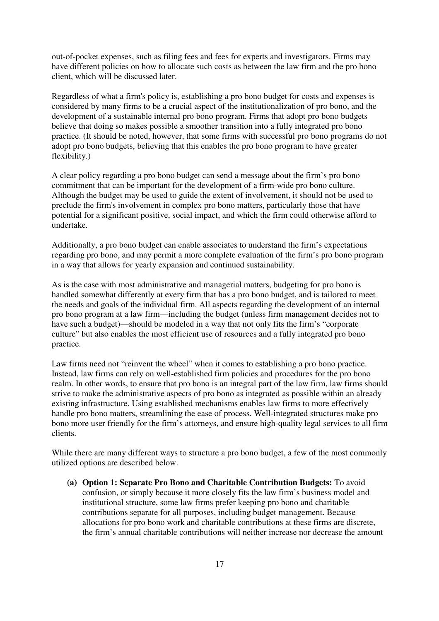out-of-pocket expenses, such as filing fees and fees for experts and investigators. Firms may have different policies on how to allocate such costs as between the law firm and the pro bono client, which will be discussed later.

Regardless of what a firm's policy is, establishing a pro bono budget for costs and expenses is considered by many firms to be a crucial aspect of the institutionalization of pro bono, and the development of a sustainable internal pro bono program. Firms that adopt pro bono budgets believe that doing so makes possible a smoother transition into a fully integrated pro bono practice. (It should be noted, however, that some firms with successful pro bono programs do not adopt pro bono budgets, believing that this enables the pro bono program to have greater flexibility.)

A clear policy regarding a pro bono budget can send a message about the firm's pro bono commitment that can be important for the development of a firm-wide pro bono culture. Although the budget may be used to guide the extent of involvement, it should not be used to preclude the firm's involvement in complex pro bono matters, particularly those that have potential for a significant positive, social impact, and which the firm could otherwise afford to undertake.

Additionally, a pro bono budget can enable associates to understand the firm's expectations regarding pro bono, and may permit a more complete evaluation of the firm's pro bono program in a way that allows for yearly expansion and continued sustainability.

As is the case with most administrative and managerial matters, budgeting for pro bono is handled somewhat differently at every firm that has a pro bono budget, and is tailored to meet the needs and goals of the individual firm. All aspects regarding the development of an internal pro bono program at a law firm—including the budget (unless firm management decides not to have such a budget)—should be modeled in a way that not only fits the firm's "corporate culture" but also enables the most efficient use of resources and a fully integrated pro bono practice.

Law firms need not "reinvent the wheel" when it comes to establishing a pro bono practice. Instead, law firms can rely on well-established firm policies and procedures for the pro bono realm. In other words, to ensure that pro bono is an integral part of the law firm, law firms should strive to make the administrative aspects of pro bono as integrated as possible within an already existing infrastructure. Using established mechanisms enables law firms to more effectively handle pro bono matters, streamlining the ease of process. Well-integrated structures make pro bono more user friendly for the firm's attorneys, and ensure high-quality legal services to all firm clients.

While there are many different ways to structure a pro bono budget, a few of the most commonly utilized options are described below.

**(a) Option 1: Separate Pro Bono and Charitable Contribution Budgets:** To avoid confusion, or simply because it more closely fits the law firm's business model and institutional structure, some law firms prefer keeping pro bono and charitable contributions separate for all purposes, including budget management. Because allocations for pro bono work and charitable contributions at these firms are discrete, the firm's annual charitable contributions will neither increase nor decrease the amount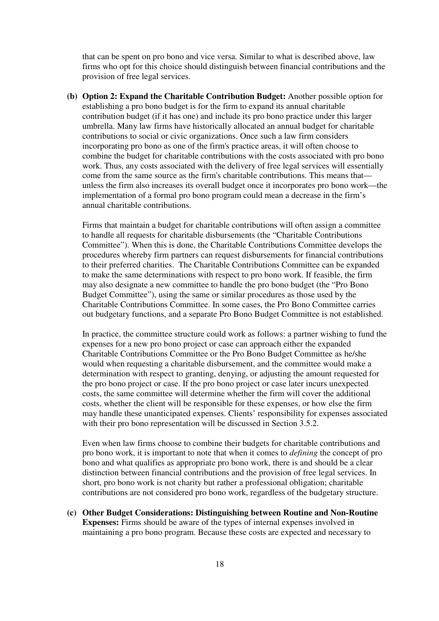that can be spent on pro bono and vice versa. Similar to what is described above, law firms who opt for this choice should distinguish between financial contributions and the provision of free legal services.

**(b) Option 2: Expand the Charitable Contribution Budget:** Another possible option for establishing a pro bono budget is for the firm to expand its annual charitable contribution budget (if it has one) and include its pro bono practice under this larger umbrella. Many law firms have historically allocated an annual budget for charitable contributions to social or civic organizations. Once such a law firm considers incorporating pro bono as one of the firm's practice areas, it will often choose to combine the budget for charitable contributions with the costs associated with pro bono work. Thus, any costs associated with the delivery of free legal services will essentially come from the same source as the firm's charitable contributions. This means that unless the firm also increases its overall budget once it incorporates pro bono work—the implementation of a formal pro bono program could mean a decrease in the firm's annual charitable contributions.

 Firms that maintain a budget for charitable contributions will often assign a committee to handle all requests for charitable disbursements (the "Charitable Contributions Committee"). When this is done, the Charitable Contributions Committee develops the procedures whereby firm partners can request disbursements for financial contributions to their preferred charities. The Charitable Contributions Committee can be expanded to make the same determinations with respect to pro bono work. If feasible, the firm may also designate a new committee to handle the pro bono budget (the "Pro Bono Budget Committee"), using the same or similar procedures as those used by the Charitable Contributions Committee. In some cases, the Pro Bono Committee carries out budgetary functions, and a separate Pro Bono Budget Committee is not established.

 In practice, the committee structure could work as follows: a partner wishing to fund the expenses for a new pro bono project or case can approach either the expanded Charitable Contributions Committee or the Pro Bono Budget Committee as he/she would when requesting a charitable disbursement, and the committee would make a determination with respect to granting, denying, or adjusting the amount requested for the pro bono project or case. If the pro bono project or case later incurs unexpected costs, the same committee will determine whether the firm will cover the additional costs, whether the client will be responsible for these expenses, or how else the firm may handle these unanticipated expenses. Clients' responsibility for expenses associated with their pro bono representation will be discussed in Section 3.5.2.

 Even when law firms choose to combine their budgets for charitable contributions and pro bono work, it is important to note that when it comes to *defining* the concept of pro bono and what qualifies as appropriate pro bono work, there is and should be a clear distinction between financial contributions and the provision of free legal services. In short, pro bono work is not charity but rather a professional obligation; charitable contributions are not considered pro bono work, regardless of the budgetary structure.

**(c) Other Budget Considerations: Distinguishing between Routine and Non-Routine Expenses:** Firms should be aware of the types of internal expenses involved in maintaining a pro bono program. Because these costs are expected and necessary to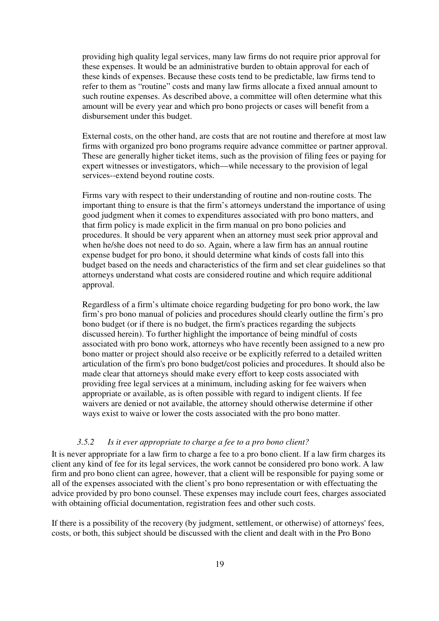providing high quality legal services, many law firms do not require prior approval for these expenses. It would be an administrative burden to obtain approval for each of these kinds of expenses. Because these costs tend to be predictable, law firms tend to refer to them as "routine" costs and many law firms allocate a fixed annual amount to such routine expenses. As described above, a committee will often determine what this amount will be every year and which pro bono projects or cases will benefit from a disbursement under this budget.

 External costs, on the other hand, are costs that are not routine and therefore at most law firms with organized pro bono programs require advance committee or partner approval. These are generally higher ticket items, such as the provision of filing fees or paying for expert witnesses or investigators, which—while necessary to the provision of legal services--extend beyond routine costs.

 Firms vary with respect to their understanding of routine and non-routine costs. The important thing to ensure is that the firm's attorneys understand the importance of using good judgment when it comes to expenditures associated with pro bono matters, and that firm policy is made explicit in the firm manual on pro bono policies and procedures. It should be very apparent when an attorney must seek prior approval and when he/she does not need to do so. Again, where a law firm has an annual routine expense budget for pro bono, it should determine what kinds of costs fall into this budget based on the needs and characteristics of the firm and set clear guidelines so that attorneys understand what costs are considered routine and which require additional approval.

 Regardless of a firm's ultimate choice regarding budgeting for pro bono work, the law firm's pro bono manual of policies and procedures should clearly outline the firm's pro bono budget (or if there is no budget, the firm's practices regarding the subjects discussed herein). To further highlight the importance of being mindful of costs associated with pro bono work, attorneys who have recently been assigned to a new pro bono matter or project should also receive or be explicitly referred to a detailed written articulation of the firm's pro bono budget/cost policies and procedures. It should also be made clear that attorneys should make every effort to keep costs associated with providing free legal services at a minimum, including asking for fee waivers when appropriate or available, as is often possible with regard to indigent clients. If fee waivers are denied or not available, the attorney should otherwise determine if other ways exist to waive or lower the costs associated with the pro bono matter.

#### *3.5.2 Is it ever appropriate to charge a fee to a pro bono client?*

It is never appropriate for a law firm to charge a fee to a pro bono client. If a law firm charges its client any kind of fee for its legal services, the work cannot be considered pro bono work. A law firm and pro bono client can agree, however, that a client will be responsible for paying some or all of the expenses associated with the client's pro bono representation or with effectuating the advice provided by pro bono counsel. These expenses may include court fees, charges associated with obtaining official documentation, registration fees and other such costs.

If there is a possibility of the recovery (by judgment, settlement, or otherwise) of attorneys' fees, costs, or both, this subject should be discussed with the client and dealt with in the Pro Bono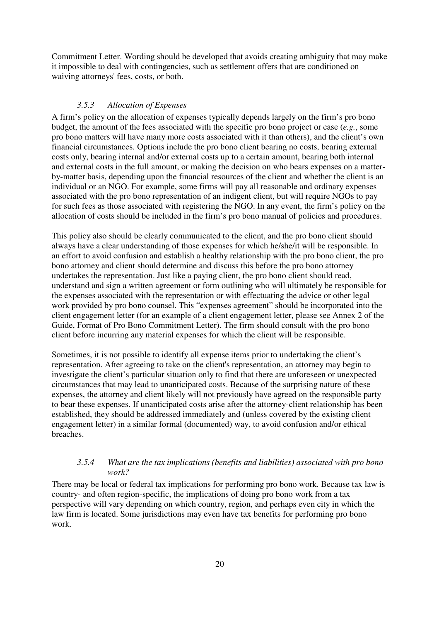Commitment Letter. Wording should be developed that avoids creating ambiguity that may make it impossible to deal with contingencies, such as settlement offers that are conditioned on waiving attorneys' fees, costs, or both.

#### *3.5.3 Allocation of Expenses*

A firm's policy on the allocation of expenses typically depends largely on the firm's pro bono budget, the amount of the fees associated with the specific pro bono project or case (*e.g.*, some pro bono matters will have many more costs associated with it than others), and the client's own financial circumstances. Options include the pro bono client bearing no costs, bearing external costs only, bearing internal and/or external costs up to a certain amount, bearing both internal and external costs in the full amount, or making the decision on who bears expenses on a matterby-matter basis, depending upon the financial resources of the client and whether the client is an individual or an NGO. For example, some firms will pay all reasonable and ordinary expenses associated with the pro bono representation of an indigent client, but will require NGOs to pay for such fees as those associated with registering the NGO. In any event, the firm's policy on the allocation of costs should be included in the firm's pro bono manual of policies and procedures.

This policy also should be clearly communicated to the client, and the pro bono client should always have a clear understanding of those expenses for which he/she/it will be responsible. In an effort to avoid confusion and establish a healthy relationship with the pro bono client, the pro bono attorney and client should determine and discuss this before the pro bono attorney undertakes the representation. Just like a paying client, the pro bono client should read, understand and sign a written agreement or form outlining who will ultimately be responsible for the expenses associated with the representation or with effectuating the advice or other legal work provided by pro bono counsel. This "expenses agreement" should be incorporated into the client engagement letter (for an example of a client engagement letter, please see Annex 2 of the Guide, Format of Pro Bono Commitment Letter). The firm should consult with the pro bono client before incurring any material expenses for which the client will be responsible.

Sometimes, it is not possible to identify all expense items prior to undertaking the client's representation. After agreeing to take on the client's representation, an attorney may begin to investigate the client's particular situation only to find that there are unforeseen or unexpected circumstances that may lead to unanticipated costs. Because of the surprising nature of these expenses, the attorney and client likely will not previously have agreed on the responsible party to bear these expenses. If unanticipated costs arise after the attorney-client relationship has been established, they should be addressed immediately and (unless covered by the existing client engagement letter) in a similar formal (documented) way, to avoid confusion and/or ethical breaches.

#### *3.5.4 What are the tax implications (benefits and liabilities) associated with pro bono work?*

There may be local or federal tax implications for performing pro bono work. Because tax law is country- and often region-specific, the implications of doing pro bono work from a tax perspective will vary depending on which country, region, and perhaps even city in which the law firm is located. Some jurisdictions may even have tax benefits for performing pro bono work.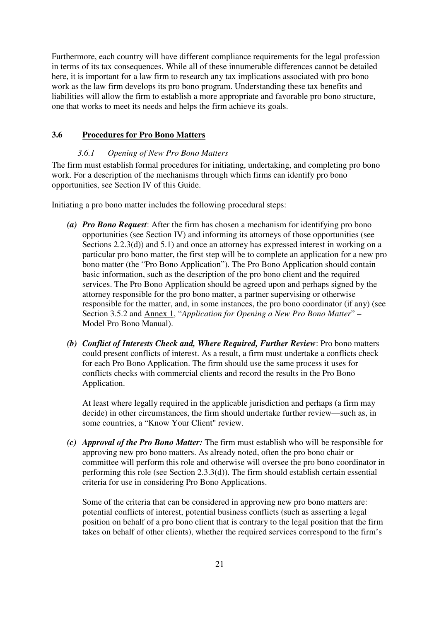Furthermore, each country will have different compliance requirements for the legal profession in terms of its tax consequences. While all of these innumerable differences cannot be detailed here, it is important for a law firm to research any tax implications associated with pro bono work as the law firm develops its pro bono program. Understanding these tax benefits and liabilities will allow the firm to establish a more appropriate and favorable pro bono structure, one that works to meet its needs and helps the firm achieve its goals.

#### **3.6 Procedures for Pro Bono Matters**

#### *3.6.1 Opening of New Pro Bono Matters*

The firm must establish formal procedures for initiating, undertaking, and completing pro bono work. For a description of the mechanisms through which firms can identify pro bono opportunities, see Section IV of this Guide.

Initiating a pro bono matter includes the following procedural steps:

- *(a) Pro Bono Request*: After the firm has chosen a mechanism for identifying pro bono opportunities (see Section IV) and informing its attorneys of those opportunities (see Sections 2.2.3(d)) and 5.1) and once an attorney has expressed interest in working on a particular pro bono matter, the first step will be to complete an application for a new pro bono matter (the "Pro Bono Application"). The Pro Bono Application should contain basic information, such as the description of the pro bono client and the required services. The Pro Bono Application should be agreed upon and perhaps signed by the attorney responsible for the pro bono matter, a partner supervising or otherwise responsible for the matter, and, in some instances, the pro bono coordinator (if any) (see Section 3.5.2 and Annex 1, "*Application for Opening a New Pro Bono Matter*" – Model Pro Bono Manual).
- *(b) Conflict of Interests Check and, Where Required, Further Review*: Pro bono matters could present conflicts of interest. As a result, a firm must undertake a conflicts check for each Pro Bono Application. The firm should use the same process it uses for conflicts checks with commercial clients and record the results in the Pro Bono Application.

At least where legally required in the applicable jurisdiction and perhaps (a firm may decide) in other circumstances, the firm should undertake further review—such as, in some countries, a "Know Your Client" review.

*(c) Approval of the Pro Bono Matter:* The firm must establish who will be responsible for approving new pro bono matters. As already noted, often the pro bono chair or committee will perform this role and otherwise will oversee the pro bono coordinator in performing this role (see Section 2.3.3(d)). The firm should establish certain essential criteria for use in considering Pro Bono Applications.

Some of the criteria that can be considered in approving new pro bono matters are: potential conflicts of interest, potential business conflicts (such as asserting a legal position on behalf of a pro bono client that is contrary to the legal position that the firm takes on behalf of other clients), whether the required services correspond to the firm's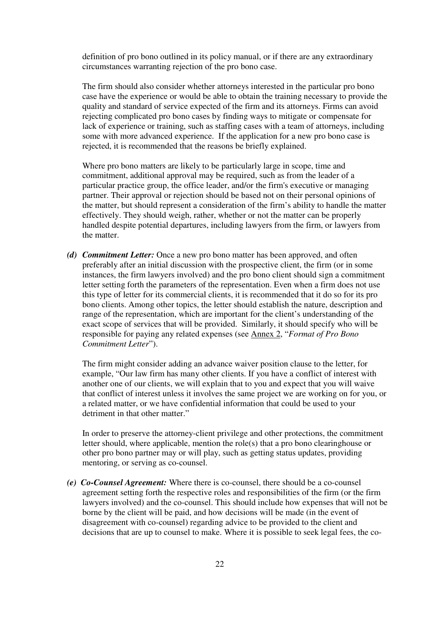definition of pro bono outlined in its policy manual, or if there are any extraordinary circumstances warranting rejection of the pro bono case.

The firm should also consider whether attorneys interested in the particular pro bono case have the experience or would be able to obtain the training necessary to provide the quality and standard of service expected of the firm and its attorneys. Firms can avoid rejecting complicated pro bono cases by finding ways to mitigate or compensate for lack of experience or training, such as staffing cases with a team of attorneys, including some with more advanced experience. If the application for a new pro bono case is rejected, it is recommended that the reasons be briefly explained.

Where pro bono matters are likely to be particularly large in scope, time and commitment, additional approval may be required, such as from the leader of a particular practice group, the office leader, and/or the firm's executive or managing partner. Their approval or rejection should be based not on their personal opinions of the matter, but should represent a consideration of the firm's ability to handle the matter effectively. They should weigh, rather, whether or not the matter can be properly handled despite potential departures, including lawyers from the firm, or lawyers from the matter.

*(d) Commitment Letter:* Once a new pro bono matter has been approved, and often preferably after an initial discussion with the prospective client, the firm (or in some instances, the firm lawyers involved) and the pro bono client should sign a commitment letter setting forth the parameters of the representation. Even when a firm does not use this type of letter for its commercial clients, it is recommended that it do so for its pro bono clients. Among other topics, the letter should establish the nature, description and range of the representation, which are important for the client's understanding of the exact scope of services that will be provided. Similarly, it should specify who will be responsible for paying any related expenses (see Annex 2, "*Format of Pro Bono Commitment Letter*").

The firm might consider adding an advance waiver position clause to the letter, for example, "Our law firm has many other clients. If you have a conflict of interest with another one of our clients, we will explain that to you and expect that you will waive that conflict of interest unless it involves the same project we are working on for you, or a related matter, or we have confidential information that could be used to your detriment in that other matter."

In order to preserve the attorney-client privilege and other protections, the commitment letter should, where applicable, mention the role(s) that a pro bono clearinghouse or other pro bono partner may or will play, such as getting status updates, providing mentoring, or serving as co-counsel.

*(e) Co-Counsel Agreement:* Where there is co-counsel, there should be a co-counsel agreement setting forth the respective roles and responsibilities of the firm (or the firm lawyers involved) and the co-counsel. This should include how expenses that will not be borne by the client will be paid, and how decisions will be made (in the event of disagreement with co-counsel) regarding advice to be provided to the client and decisions that are up to counsel to make. Where it is possible to seek legal fees, the co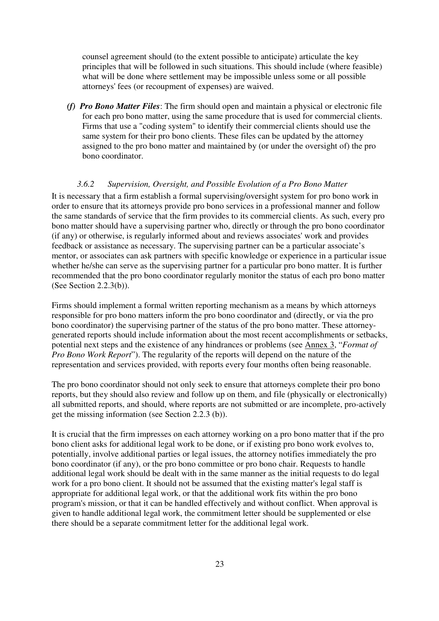counsel agreement should (to the extent possible to anticipate) articulate the key principles that will be followed in such situations. This should include (where feasible) what will be done where settlement may be impossible unless some or all possible attorneys' fees (or recoupment of expenses) are waived.

*(f) Pro Bono Matter Files*: The firm should open and maintain a physical or electronic file for each pro bono matter, using the same procedure that is used for commercial clients. Firms that use a "coding system" to identify their commercial clients should use the same system for their pro bono clients. These files can be updated by the attorney assigned to the pro bono matter and maintained by (or under the oversight of) the pro bono coordinator.

#### *3.6.2 Supervision, Oversight, and Possible Evolution of a Pro Bono Matter*

It is necessary that a firm establish a formal supervising/oversight system for pro bono work in order to ensure that its attorneys provide pro bono services in a professional manner and follow the same standards of service that the firm provides to its commercial clients. As such, every pro bono matter should have a supervising partner who, directly or through the pro bono coordinator (if any) or otherwise, is regularly informed about and reviews associates' work and provides feedback or assistance as necessary. The supervising partner can be a particular associate's mentor, or associates can ask partners with specific knowledge or experience in a particular issue whether he/she can serve as the supervising partner for a particular pro bono matter. It is further recommended that the pro bono coordinator regularly monitor the status of each pro bono matter (See Section 2.2.3(b)).

Firms should implement a formal written reporting mechanism as a means by which attorneys responsible for pro bono matters inform the pro bono coordinator and (directly, or via the pro bono coordinator) the supervising partner of the status of the pro bono matter. These attorneygenerated reports should include information about the most recent accomplishments or setbacks, potential next steps and the existence of any hindrances or problems (see Annex 3, "*Format of Pro Bono Work Report*"). The regularity of the reports will depend on the nature of the representation and services provided, with reports every four months often being reasonable.

The pro bono coordinator should not only seek to ensure that attorneys complete their pro bono reports, but they should also review and follow up on them, and file (physically or electronically) all submitted reports, and should, where reports are not submitted or are incomplete, pro-actively get the missing information (see Section 2.2.3 (b)).

It is crucial that the firm impresses on each attorney working on a pro bono matter that if the pro bono client asks for additional legal work to be done, or if existing pro bono work evolves to, potentially, involve additional parties or legal issues, the attorney notifies immediately the pro bono coordinator (if any), or the pro bono committee or pro bono chair. Requests to handle additional legal work should be dealt with in the same manner as the initial requests to do legal work for a pro bono client. It should not be assumed that the existing matter's legal staff is appropriate for additional legal work, or that the additional work fits within the pro bono program's mission, or that it can be handled effectively and without conflict. When approval is given to handle additional legal work, the commitment letter should be supplemented or else there should be a separate commitment letter for the additional legal work.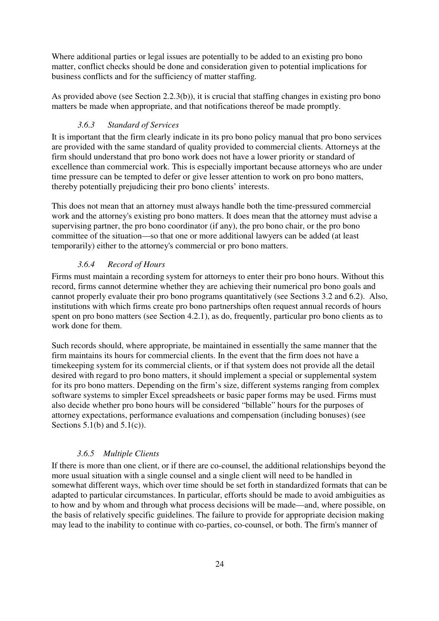Where additional parties or legal issues are potentially to be added to an existing pro bono matter, conflict checks should be done and consideration given to potential implications for business conflicts and for the sufficiency of matter staffing.

As provided above (see Section 2.2.3(b)), it is crucial that staffing changes in existing pro bono matters be made when appropriate, and that notifications thereof be made promptly.

#### *3.6.3 Standard of Services*

It is important that the firm clearly indicate in its pro bono policy manual that pro bono services are provided with the same standard of quality provided to commercial clients. Attorneys at the firm should understand that pro bono work does not have a lower priority or standard of excellence than commercial work. This is especially important because attorneys who are under time pressure can be tempted to defer or give lesser attention to work on pro bono matters, thereby potentially prejudicing their pro bono clients' interests.

This does not mean that an attorney must always handle both the time-pressured commercial work and the attorney's existing pro bono matters. It does mean that the attorney must advise a supervising partner, the pro bono coordinator (if any), the pro bono chair, or the pro bono committee of the situation—so that one or more additional lawyers can be added (at least temporarily) either to the attorney's commercial or pro bono matters.

#### *3.6.4 Record of Hours*

Firms must maintain a recording system for attorneys to enter their pro bono hours. Without this record, firms cannot determine whether they are achieving their numerical pro bono goals and cannot properly evaluate their pro bono programs quantitatively (see Sections 3.2 and 6.2). Also, institutions with which firms create pro bono partnerships often request annual records of hours spent on pro bono matters (see Section 4.2.1), as do, frequently, particular pro bono clients as to work done for them.

Such records should, where appropriate, be maintained in essentially the same manner that the firm maintains its hours for commercial clients. In the event that the firm does not have a timekeeping system for its commercial clients, or if that system does not provide all the detail desired with regard to pro bono matters, it should implement a special or supplemental system for its pro bono matters. Depending on the firm's size, different systems ranging from complex software systems to simpler Excel spreadsheets or basic paper forms may be used. Firms must also decide whether pro bono hours will be considered "billable" hours for the purposes of attorney expectations, performance evaluations and compensation (including bonuses) (see Sections  $5.1(b)$  and  $5.1(c)$ ).

#### *3.6.5 Multiple Clients*

If there is more than one client, or if there are co-counsel, the additional relationships beyond the more usual situation with a single counsel and a single client will need to be handled in somewhat different ways, which over time should be set forth in standardized formats that can be adapted to particular circumstances. In particular, efforts should be made to avoid ambiguities as to how and by whom and through what process decisions will be made—and, where possible, on the basis of relatively specific guidelines. The failure to provide for appropriate decision making may lead to the inability to continue with co-parties, co-counsel, or both. The firm's manner of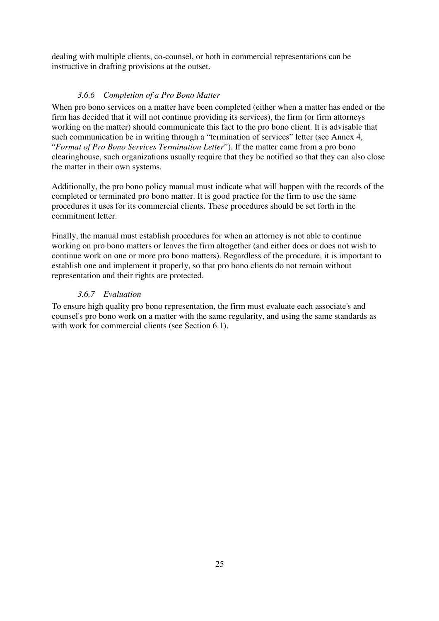dealing with multiple clients, co-counsel, or both in commercial representations can be instructive in drafting provisions at the outset.

# *3.6.6 Completion of a Pro Bono Matter*

When pro bono services on a matter have been completed (either when a matter has ended or the firm has decided that it will not continue providing its services), the firm (or firm attorneys working on the matter) should communicate this fact to the pro bono client. It is advisable that such communication be in writing through a "termination of services" letter (see Annex 4, "*Format of Pro Bono Services Termination Letter*"). If the matter came from a pro bono clearinghouse, such organizations usually require that they be notified so that they can also close the matter in their own systems.

Additionally, the pro bono policy manual must indicate what will happen with the records of the completed or terminated pro bono matter. It is good practice for the firm to use the same procedures it uses for its commercial clients. These procedures should be set forth in the commitment letter.

Finally, the manual must establish procedures for when an attorney is not able to continue working on pro bono matters or leaves the firm altogether (and either does or does not wish to continue work on one or more pro bono matters). Regardless of the procedure, it is important to establish one and implement it properly, so that pro bono clients do not remain without representation and their rights are protected.

#### *3.6.7 Evaluation*

To ensure high quality pro bono representation, the firm must evaluate each associate's and counsel's pro bono work on a matter with the same regularity, and using the same standards as with work for commercial clients (see Section 6.1).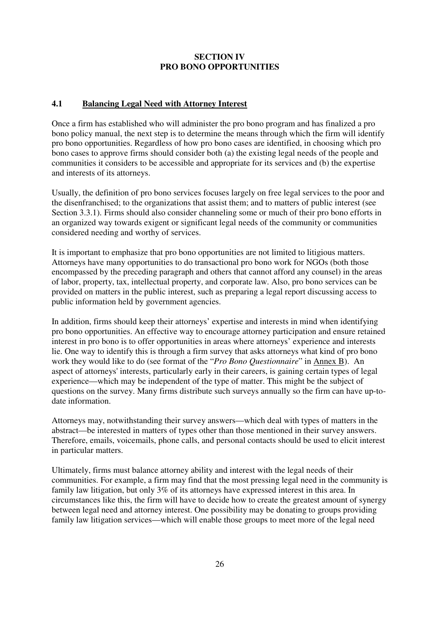#### **SECTION IV PRO BONO OPPORTUNITIES**

#### **4.1 Balancing Legal Need with Attorney Interest**

Once a firm has established who will administer the pro bono program and has finalized a pro bono policy manual, the next step is to determine the means through which the firm will identify pro bono opportunities. Regardless of how pro bono cases are identified, in choosing which pro bono cases to approve firms should consider both (a) the existing legal needs of the people and communities it considers to be accessible and appropriate for its services and (b) the expertise and interests of its attorneys.

Usually, the definition of pro bono services focuses largely on free legal services to the poor and the disenfranchised; to the organizations that assist them; and to matters of public interest (see Section 3.3.1). Firms should also consider channeling some or much of their pro bono efforts in an organized way towards exigent or significant legal needs of the community or communities considered needing and worthy of services.

It is important to emphasize that pro bono opportunities are not limited to litigious matters. Attorneys have many opportunities to do transactional pro bono work for NGOs (both those encompassed by the preceding paragraph and others that cannot afford any counsel) in the areas of labor, property, tax, intellectual property, and corporate law. Also, pro bono services can be provided on matters in the public interest, such as preparing a legal report discussing access to public information held by government agencies.

In addition, firms should keep their attorneys' expertise and interests in mind when identifying pro bono opportunities. An effective way to encourage attorney participation and ensure retained interest in pro bono is to offer opportunities in areas where attorneys' experience and interests lie. One way to identify this is through a firm survey that asks attorneys what kind of pro bono work they would like to do (see format of the "*Pro Bono Questionnaire*" in Annex B). An aspect of attorneys' interests, particularly early in their careers, is gaining certain types of legal experience—which may be independent of the type of matter. This might be the subject of questions on the survey. Many firms distribute such surveys annually so the firm can have up-todate information.

Attorneys may, notwithstanding their survey answers—which deal with types of matters in the abstract—be interested in matters of types other than those mentioned in their survey answers. Therefore, emails, voicemails, phone calls, and personal contacts should be used to elicit interest in particular matters.

Ultimately, firms must balance attorney ability and interest with the legal needs of their communities. For example, a firm may find that the most pressing legal need in the community is family law litigation, but only 3% of its attorneys have expressed interest in this area. In circumstances like this, the firm will have to decide how to create the greatest amount of synergy between legal need and attorney interest. One possibility may be donating to groups providing family law litigation services—which will enable those groups to meet more of the legal need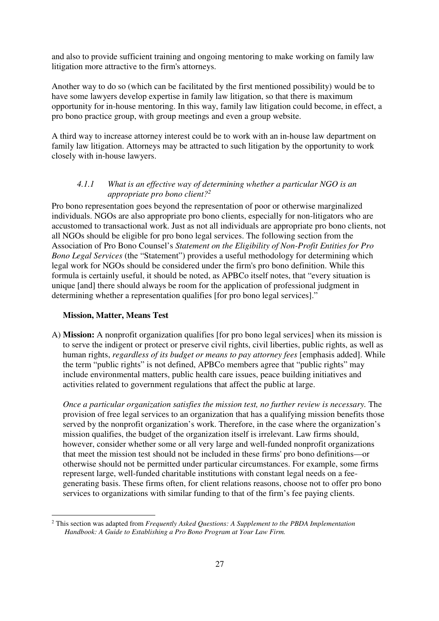and also to provide sufficient training and ongoing mentoring to make working on family law litigation more attractive to the firm's attorneys.

Another way to do so (which can be facilitated by the first mentioned possibility) would be to have some lawyers develop expertise in family law litigation, so that there is maximum opportunity for in-house mentoring. In this way, family law litigation could become, in effect, a pro bono practice group, with group meetings and even a group website.

A third way to increase attorney interest could be to work with an in-house law department on family law litigation. Attorneys may be attracted to such litigation by the opportunity to work closely with in-house lawyers.

#### *4.1.1 What is an effective way of determining whether a particular NGO is an appropriate pro bono client?<sup>2</sup>*

Pro bono representation goes beyond the representation of poor or otherwise marginalized individuals. NGOs are also appropriate pro bono clients, especially for non-litigators who are accustomed to transactional work. Just as not all individuals are appropriate pro bono clients, not all NGOs should be eligible for pro bono legal services. The following section from the Association of Pro Bono Counsel's *Statement on the Eligibility of Non-Profit Entities for Pro Bono Legal Services* (the "Statement") provides a useful methodology for determining which legal work for NGOs should be considered under the firm's pro bono definition. While this formula is certainly useful, it should be noted, as APBCo itself notes, that "every situation is unique [and] there should always be room for the application of professional judgment in determining whether a representation qualifies [for pro bono legal services]."

#### **Mission, Matter, Means Test**

-

A) **Mission:** A nonprofit organization qualifies [for pro bono legal services] when its mission is to serve the indigent or protect or preserve civil rights, civil liberties, public rights, as well as human rights, *regardless of its budget or means to pay attorney fees* [emphasis added]. While the term "public rights" is not defined, APBCo members agree that "public rights" may include environmental matters, public health care issues, peace building initiatives and activities related to government regulations that affect the public at large.

*Once a particular organization satisfies the mission test, no further review is necessary.* The provision of free legal services to an organization that has a qualifying mission benefits those served by the nonprofit organization's work. Therefore, in the case where the organization's mission qualifies, the budget of the organization itself is irrelevant. Law firms should, however, consider whether some or all very large and well-funded nonprofit organizations that meet the mission test should not be included in these firms' pro bono definitions—or otherwise should not be permitted under particular circumstances. For example, some firms represent large, well-funded charitable institutions with constant legal needs on a feegenerating basis. These firms often, for client relations reasons, choose not to offer pro bono services to organizations with similar funding to that of the firm's fee paying clients.

<sup>2</sup> This section was adapted from *Frequently Asked Questions: A Supplement to the PBDA Implementation Handbook: A Guide to Establishing a Pro Bono Program at Your Law Firm.*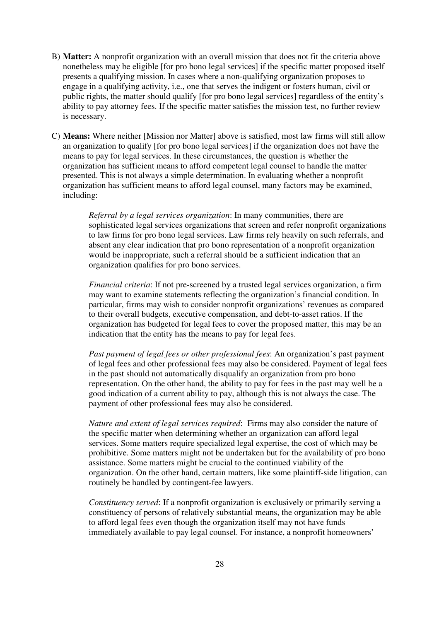- B) **Matter:** A nonprofit organization with an overall mission that does not fit the criteria above nonetheless may be eligible [for pro bono legal services] if the specific matter proposed itself presents a qualifying mission. In cases where a non-qualifying organization proposes to engage in a qualifying activity, i.e., one that serves the indigent or fosters human, civil or public rights, the matter should qualify [for pro bono legal services] regardless of the entity's ability to pay attorney fees. If the specific matter satisfies the mission test, no further review is necessary.
- C) **Means:** Where neither [Mission nor Matter] above is satisfied, most law firms will still allow an organization to qualify [for pro bono legal services] if the organization does not have the means to pay for legal services. In these circumstances, the question is whether the organization has sufficient means to afford competent legal counsel to handle the matter presented. This is not always a simple determination. In evaluating whether a nonprofit organization has sufficient means to afford legal counsel, many factors may be examined, including:

*Referral by a legal services organization*: In many communities, there are sophisticated legal services organizations that screen and refer nonprofit organizations to law firms for pro bono legal services. Law firms rely heavily on such referrals, and absent any clear indication that pro bono representation of a nonprofit organization would be inappropriate, such a referral should be a sufficient indication that an organization qualifies for pro bono services.

*Financial criteria*: If not pre-screened by a trusted legal services organization, a firm may want to examine statements reflecting the organization's financial condition. In particular, firms may wish to consider nonprofit organizations' revenues as compared to their overall budgets, executive compensation, and debt-to-asset ratios. If the organization has budgeted for legal fees to cover the proposed matter, this may be an indication that the entity has the means to pay for legal fees.

*Past payment of legal fees or other professional fees*: An organization's past payment of legal fees and other professional fees may also be considered. Payment of legal fees in the past should not automatically disqualify an organization from pro bono representation. On the other hand, the ability to pay for fees in the past may well be a good indication of a current ability to pay, although this is not always the case. The payment of other professional fees may also be considered.

*Nature and extent of legal services required*: Firms may also consider the nature of the specific matter when determining whether an organization can afford legal services. Some matters require specialized legal expertise, the cost of which may be prohibitive. Some matters might not be undertaken but for the availability of pro bono assistance. Some matters might be crucial to the continued viability of the organization. On the other hand, certain matters, like some plaintiff-side litigation, can routinely be handled by contingent-fee lawyers.

*Constituency served*: If a nonprofit organization is exclusively or primarily serving a constituency of persons of relatively substantial means, the organization may be able to afford legal fees even though the organization itself may not have funds immediately available to pay legal counsel. For instance, a nonprofit homeowners'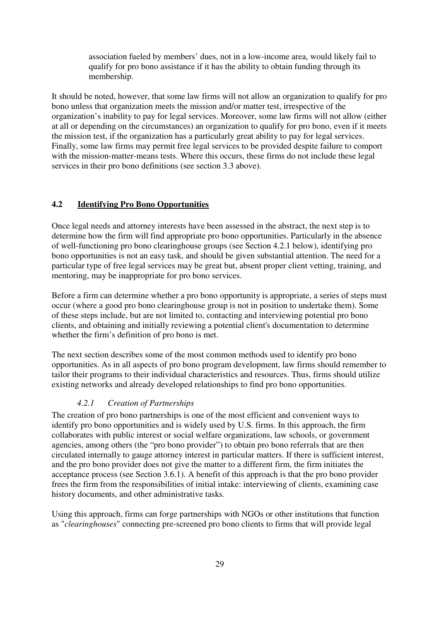association fueled by members' dues, not in a low-income area, would likely fail to qualify for pro bono assistance if it has the ability to obtain funding through its membership.

It should be noted, however, that some law firms will not allow an organization to qualify for pro bono unless that organization meets the mission and/or matter test, irrespective of the organization's inability to pay for legal services. Moreover, some law firms will not allow (either at all or depending on the circumstances) an organization to qualify for pro bono, even if it meets the mission test, if the organization has a particularly great ability to pay for legal services. Finally, some law firms may permit free legal services to be provided despite failure to comport with the mission-matter-means tests. Where this occurs, these firms do not include these legal services in their pro bono definitions (see section 3.3 above).

#### **4.2 Identifying Pro Bono Opportunities**

Once legal needs and attorney interests have been assessed in the abstract, the next step is to determine how the firm will find appropriate pro bono opportunities. Particularly in the absence of well-functioning pro bono clearinghouse groups (see Section 4.2.1 below), identifying pro bono opportunities is not an easy task, and should be given substantial attention. The need for a particular type of free legal services may be great but, absent proper client vetting, training, and mentoring, may be inappropriate for pro bono services.

Before a firm can determine whether a pro bono opportunity is appropriate, a series of steps must occur (where a good pro bono clearinghouse group is not in position to undertake them). Some of these steps include, but are not limited to, contacting and interviewing potential pro bono clients, and obtaining and initially reviewing a potential client's documentation to determine whether the firm's definition of pro bono is met.

The next section describes some of the most common methods used to identify pro bono opportunities. As in all aspects of pro bono program development, law firms should remember to tailor their programs to their individual characteristics and resources. Thus, firms should utilize existing networks and already developed relationships to find pro bono opportunities.

#### *4.2.1 Creation of Partnerships*

The creation of pro bono partnerships is one of the most efficient and convenient ways to identify pro bono opportunities and is widely used by U.S. firms. In this approach, the firm collaborates with public interest or social welfare organizations, law schools, or government agencies, among others (the "pro bono provider") to obtain pro bono referrals that are then circulated internally to gauge attorney interest in particular matters. If there is sufficient interest, and the pro bono provider does not give the matter to a different firm, the firm initiates the acceptance process (see Section 3.6.1). A benefit of this approach is that the pro bono provider frees the firm from the responsibilities of initial intake: interviewing of clients, examining case history documents, and other administrative tasks.

Using this approach, firms can forge partnerships with NGOs or other institutions that function as "*clearinghouses*" connecting pre-screened pro bono clients to firms that will provide legal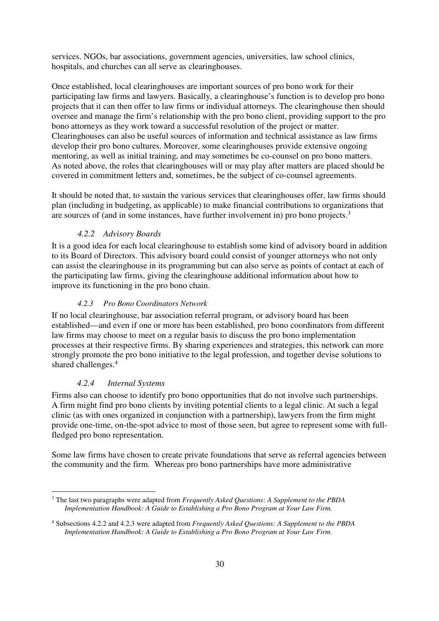services. NGOs, bar associations, government agencies, universities, law school clinics, hospitals, and churches can all serve as clearinghouses.

Once established, local clearinghouses are important sources of pro bono work for their participating law firms and lawyers. Basically, a clearinghouse's function is to develop pro bono projects that it can then offer to law firms or individual attorneys. The clearinghouse then should oversee and manage the firm's relationship with the pro bono client, providing support to the pro bono attorneys as they work toward a successful resolution of the project or matter. Clearinghouses can also be useful sources of information and technical assistance as law firms develop their pro bono cultures. Moreover, some clearinghouses provide extensive ongoing mentoring, as well as initial training, and may sometimes be co-counsel on pro bono matters. As noted above, the roles that clearinghouses will or may play after matters are placed should be covered in commitment letters and, sometimes, be the subject of co-counsel agreements.

It should be noted that, to sustain the various services that clearinghouses offer, law firms should plan (including in budgeting, as applicable) to make financial contributions to organizations that are sources of (and in some instances, have further involvement in) pro bono projects.<sup>3</sup>

#### *4.2.2 Advisory Boards*

It is a good idea for each local clearinghouse to establish some kind of advisory board in addition to its Board of Directors. This advisory board could consist of younger attorneys who not only can assist the clearinghouse in its programming but can also serve as points of contact at each of the participating law firms, giving the clearinghouse additional information about how to improve its functioning in the pro bono chain.

#### *4.2.3 Pro Bono Coordinators Network*

If no local clearinghouse, bar association referral program, or advisory board has been established—and even if one or more has been established, pro bono coordinators from different law firms may choose to meet on a regular basis to discuss the pro bono implementation processes at their respective firms. By sharing experiences and strategies, this network can more strongly promote the pro bono initiative to the legal profession, and together devise solutions to shared challenges.<sup>4</sup>

#### *4.2.4 Internal Systems*

-

Firms also can choose to identify pro bono opportunities that do not involve such partnerships. A firm might find pro bono clients by inviting potential clients to a legal clinic. At such a legal clinic (as with ones organized in conjunction with a partnership), lawyers from the firm might provide one-time, on-the-spot advice to most of those seen, but agree to represent some with fullfledged pro bono representation.

Some law firms have chosen to create private foundations that serve as referral agencies between the community and the firm. Whereas pro bono partnerships have more administrative

<sup>3</sup> The last two paragraphs were adapted from *Frequently Asked Questions: A Supplement to the PBDA Implementation Handbook: A Guide to Establishing a Pro Bono Program at Your Law Firm.*

<sup>4</sup> Subsections 4.2.2 and 4.2.3 were adapted from *Frequently Asked Questions: A Supplement to the PBDA Implementation Handbook: A Guide to Establishing a Pro Bono Program at Your Law Firm.*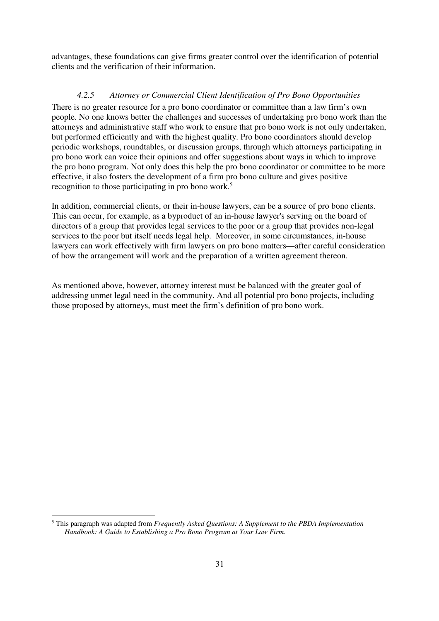advantages, these foundations can give firms greater control over the identification of potential clients and the verification of their information.

#### *4.2.5 Attorney or Commercial Client Identification of Pro Bono Opportunities*

There is no greater resource for a pro bono coordinator or committee than a law firm's own people. No one knows better the challenges and successes of undertaking pro bono work than the attorneys and administrative staff who work to ensure that pro bono work is not only undertaken, but performed efficiently and with the highest quality. Pro bono coordinators should develop periodic workshops, roundtables, or discussion groups, through which attorneys participating in pro bono work can voice their opinions and offer suggestions about ways in which to improve the pro bono program. Not only does this help the pro bono coordinator or committee to be more effective, it also fosters the development of a firm pro bono culture and gives positive recognition to those participating in pro bono work. 5

In addition, commercial clients, or their in-house lawyers, can be a source of pro bono clients. This can occur, for example, as a byproduct of an in-house lawyer's serving on the board of directors of a group that provides legal services to the poor or a group that provides non-legal services to the poor but itself needs legal help. Moreover, in some circumstances, in-house lawyers can work effectively with firm lawyers on pro bono matters—after careful consideration of how the arrangement will work and the preparation of a written agreement thereon.

As mentioned above, however, attorney interest must be balanced with the greater goal of addressing unmet legal need in the community. And all potential pro bono projects, including those proposed by attorneys, must meet the firm's definition of pro bono work.

<sup>-</sup>5 This paragraph was adapted from *Frequently Asked Questions: A Supplement to the PBDA Implementation Handbook: A Guide to Establishing a Pro Bono Program at Your Law Firm.*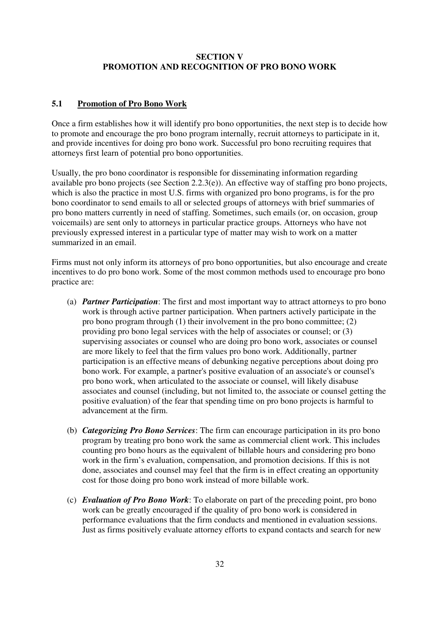#### **SECTION V PROMOTION AND RECOGNITION OF PRO BONO WORK**

#### **5.1 Promotion of Pro Bono Work**

Once a firm establishes how it will identify pro bono opportunities, the next step is to decide how to promote and encourage the pro bono program internally, recruit attorneys to participate in it, and provide incentives for doing pro bono work. Successful pro bono recruiting requires that attorneys first learn of potential pro bono opportunities.

Usually, the pro bono coordinator is responsible for disseminating information regarding available pro bono projects (see Section 2.2.3(e)). An effective way of staffing pro bono projects, which is also the practice in most U.S. firms with organized pro bono programs, is for the pro bono coordinator to send emails to all or selected groups of attorneys with brief summaries of pro bono matters currently in need of staffing. Sometimes, such emails (or, on occasion, group voicemails) are sent only to attorneys in particular practice groups. Attorneys who have not previously expressed interest in a particular type of matter may wish to work on a matter summarized in an email.

Firms must not only inform its attorneys of pro bono opportunities, but also encourage and create incentives to do pro bono work. Some of the most common methods used to encourage pro bono practice are:

- (a) *Partner Participation*: The first and most important way to attract attorneys to pro bono work is through active partner participation. When partners actively participate in the pro bono program through (1) their involvement in the pro bono committee; (2) providing pro bono legal services with the help of associates or counsel; or (3) supervising associates or counsel who are doing pro bono work, associates or counsel are more likely to feel that the firm values pro bono work. Additionally, partner participation is an effective means of debunking negative perceptions about doing pro bono work. For example, a partner's positive evaluation of an associate's or counsel's pro bono work, when articulated to the associate or counsel, will likely disabuse associates and counsel (including, but not limited to, the associate or counsel getting the positive evaluation) of the fear that spending time on pro bono projects is harmful to advancement at the firm.
- (b) *Categorizing Pro Bono Services*: The firm can encourage participation in its pro bono program by treating pro bono work the same as commercial client work. This includes counting pro bono hours as the equivalent of billable hours and considering pro bono work in the firm's evaluation, compensation, and promotion decisions. If this is not done, associates and counsel may feel that the firm is in effect creating an opportunity cost for those doing pro bono work instead of more billable work.
- (c) *Evaluation of Pro Bono Work*: To elaborate on part of the preceding point, pro bono work can be greatly encouraged if the quality of pro bono work is considered in performance evaluations that the firm conducts and mentioned in evaluation sessions. Just as firms positively evaluate attorney efforts to expand contacts and search for new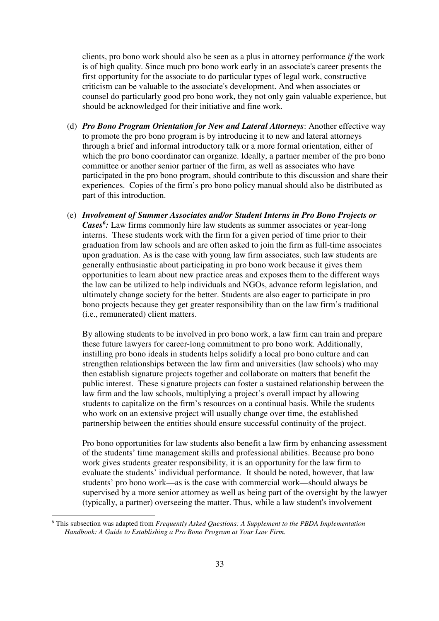clients, pro bono work should also be seen as a plus in attorney performance *if* the work is of high quality. Since much pro bono work early in an associate's career presents the first opportunity for the associate to do particular types of legal work, constructive criticism can be valuable to the associate's development. And when associates or counsel do particularly good pro bono work, they not only gain valuable experience, but should be acknowledged for their initiative and fine work.

- (d) *Pro Bono Program Orientation for New and Lateral Attorneys*: Another effective way to promote the pro bono program is by introducing it to new and lateral attorneys through a brief and informal introductory talk or a more formal orientation, either of which the pro bono coordinator can organize. Ideally, a partner member of the pro bono committee or another senior partner of the firm, as well as associates who have participated in the pro bono program, should contribute to this discussion and share their experiences. Copies of the firm's pro bono policy manual should also be distributed as part of this introduction.
- (e) *Involvement of Summer Associates and/or Student Interns in Pro Bono Projects or Cases<sup>6</sup> :* Law firms commonly hire law students as summer associates or year-long interns. These students work with the firm for a given period of time prior to their graduation from law schools and are often asked to join the firm as full-time associates upon graduation. As is the case with young law firm associates, such law students are generally enthusiastic about participating in pro bono work because it gives them opportunities to learn about new practice areas and exposes them to the different ways the law can be utilized to help individuals and NGOs, advance reform legislation, and ultimately change society for the better. Students are also eager to participate in pro bono projects because they get greater responsibility than on the law firm's traditional (i.e., remunerated) client matters.

By allowing students to be involved in pro bono work, a law firm can train and prepare these future lawyers for career-long commitment to pro bono work. Additionally, instilling pro bono ideals in students helps solidify a local pro bono culture and can strengthen relationships between the law firm and universities (law schools) who may then establish signature projects together and collaborate on matters that benefit the public interest. These signature projects can foster a sustained relationship between the law firm and the law schools, multiplying a project's overall impact by allowing students to capitalize on the firm's resources on a continual basis. While the students who work on an extensive project will usually change over time, the established partnership between the entities should ensure successful continuity of the project.

Pro bono opportunities for law students also benefit a law firm by enhancing assessment of the students' time management skills and professional abilities. Because pro bono work gives students greater responsibility, it is an opportunity for the law firm to evaluate the students' individual performance. It should be noted, however, that law students' pro bono work—as is the case with commercial work—should always be supervised by a more senior attorney as well as being part of the oversight by the lawyer (typically, a partner) overseeing the matter. Thus, while a law student's involvement

-

<sup>6</sup> This subsection was adapted from *Frequently Asked Questions: A Supplement to the PBDA Implementation Handbook: A Guide to Establishing a Pro Bono Program at Your Law Firm.*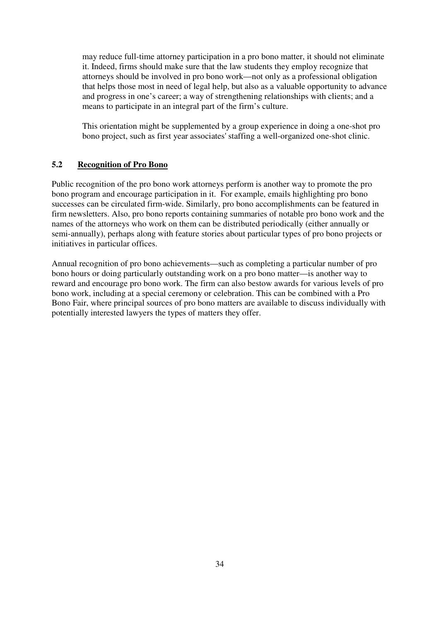may reduce full-time attorney participation in a pro bono matter, it should not eliminate it. Indeed, firms should make sure that the law students they employ recognize that attorneys should be involved in pro bono work—not only as a professional obligation that helps those most in need of legal help, but also as a valuable opportunity to advance and progress in one's career; a way of strengthening relationships with clients; and a means to participate in an integral part of the firm's culture.

This orientation might be supplemented by a group experience in doing a one-shot pro bono project, such as first year associates' staffing a well-organized one-shot clinic.

#### **5.2 Recognition of Pro Bono**

Public recognition of the pro bono work attorneys perform is another way to promote the pro bono program and encourage participation in it. For example, emails highlighting pro bono successes can be circulated firm-wide. Similarly, pro bono accomplishments can be featured in firm newsletters. Also, pro bono reports containing summaries of notable pro bono work and the names of the attorneys who work on them can be distributed periodically (either annually or semi-annually), perhaps along with feature stories about particular types of pro bono projects or initiatives in particular offices.

Annual recognition of pro bono achievements—such as completing a particular number of pro bono hours or doing particularly outstanding work on a pro bono matter—is another way to reward and encourage pro bono work. The firm can also bestow awards for various levels of pro bono work, including at a special ceremony or celebration. This can be combined with a Pro Bono Fair, where principal sources of pro bono matters are available to discuss individually with potentially interested lawyers the types of matters they offer.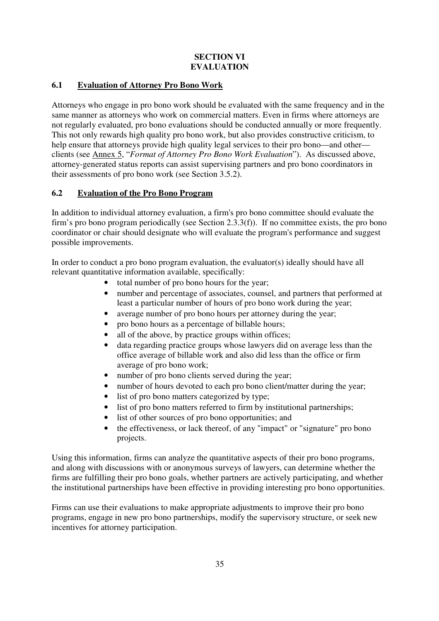# **SECTION VI EVALUATION**

# **6.1 Evaluation of Attorney Pro Bono Work**

Attorneys who engage in pro bono work should be evaluated with the same frequency and in the same manner as attorneys who work on commercial matters. Even in firms where attorneys are not regularly evaluated, pro bono evaluations should be conducted annually or more frequently. This not only rewards high quality pro bono work, but also provides constructive criticism, to help ensure that attorneys provide high quality legal services to their pro bono—and other clients (see Annex 5, "*Format of Attorney Pro Bono Work Evaluation*"). As discussed above, attorney-generated status reports can assist supervising partners and pro bono coordinators in their assessments of pro bono work (see Section 3.5.2).

# **6.2 Evaluation of the Pro Bono Program**

In addition to individual attorney evaluation, a firm's pro bono committee should evaluate the firm's pro bono program periodically (see Section 2.3.3(f)). If no committee exists, the pro bono coordinator or chair should designate who will evaluate the program's performance and suggest possible improvements.

In order to conduct a pro bono program evaluation, the evaluator(s) ideally should have all relevant quantitative information available, specifically:

- total number of pro bono hours for the year;
- number and percentage of associates, counsel, and partners that performed at least a particular number of hours of pro bono work during the year;
- average number of pro bono hours per attorney during the year;
- pro bono hours as a percentage of billable hours;
- all of the above, by practice groups within offices;
- data regarding practice groups whose lawyers did on average less than the office average of billable work and also did less than the office or firm average of pro bono work;
- number of pro bono clients served during the year;
- number of hours devoted to each pro bono client/matter during the year;
- list of pro bono matters categorized by type;
- list of pro bono matters referred to firm by institutional partnerships;
- list of other sources of pro bono opportunities; and
- the effectiveness, or lack thereof, of any "impact" or "signature" pro bono projects.

Using this information, firms can analyze the quantitative aspects of their pro bono programs, and along with discussions with or anonymous surveys of lawyers, can determine whether the firms are fulfilling their pro bono goals, whether partners are actively participating, and whether the institutional partnerships have been effective in providing interesting pro bono opportunities.

Firms can use their evaluations to make appropriate adjustments to improve their pro bono programs, engage in new pro bono partnerships, modify the supervisory structure, or seek new incentives for attorney participation.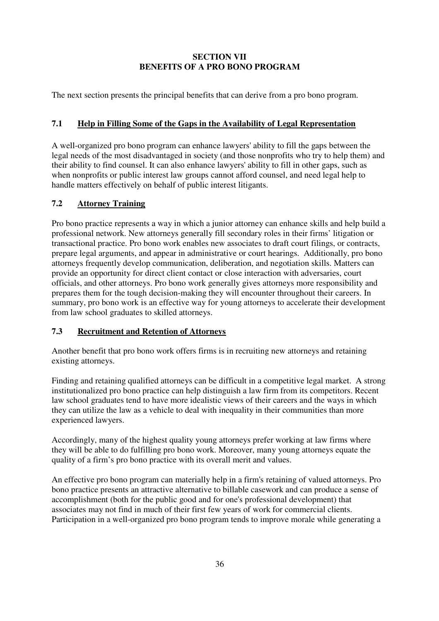# **SECTION VII BENEFITS OF A PRO BONO PROGRAM**

The next section presents the principal benefits that can derive from a pro bono program.

# **7.1 Help in Filling Some of the Gaps in the Availability of Legal Representation**

A well-organized pro bono program can enhance lawyers' ability to fill the gaps between the legal needs of the most disadvantaged in society (and those nonprofits who try to help them) and their ability to find counsel. It can also enhance lawyers' ability to fill in other gaps, such as when nonprofits or public interest law groups cannot afford counsel, and need legal help to handle matters effectively on behalf of public interest litigants.

# **7.2 Attorney Training**

Pro bono practice represents a way in which a junior attorney can enhance skills and help build a professional network. New attorneys generally fill secondary roles in their firms' litigation or transactional practice. Pro bono work enables new associates to draft court filings, or contracts, prepare legal arguments, and appear in administrative or court hearings. Additionally, pro bono attorneys frequently develop communication, deliberation, and negotiation skills. Matters can provide an opportunity for direct client contact or close interaction with adversaries, court officials, and other attorneys. Pro bono work generally gives attorneys more responsibility and prepares them for the tough decision-making they will encounter throughout their careers. In summary, pro bono work is an effective way for young attorneys to accelerate their development from law school graduates to skilled attorneys.

#### **7.3 Recruitment and Retention of Attorneys**

Another benefit that pro bono work offers firms is in recruiting new attorneys and retaining existing attorneys.

Finding and retaining qualified attorneys can be difficult in a competitive legal market. A strong institutionalized pro bono practice can help distinguish a law firm from its competitors. Recent law school graduates tend to have more idealistic views of their careers and the ways in which they can utilize the law as a vehicle to deal with inequality in their communities than more experienced lawyers.

Accordingly, many of the highest quality young attorneys prefer working at law firms where they will be able to do fulfilling pro bono work. Moreover, many young attorneys equate the quality of a firm's pro bono practice with its overall merit and values.

An effective pro bono program can materially help in a firm's retaining of valued attorneys. Pro bono practice presents an attractive alternative to billable casework and can produce a sense of accomplishment (both for the public good and for one's professional development) that associates may not find in much of their first few years of work for commercial clients. Participation in a well-organized pro bono program tends to improve morale while generating a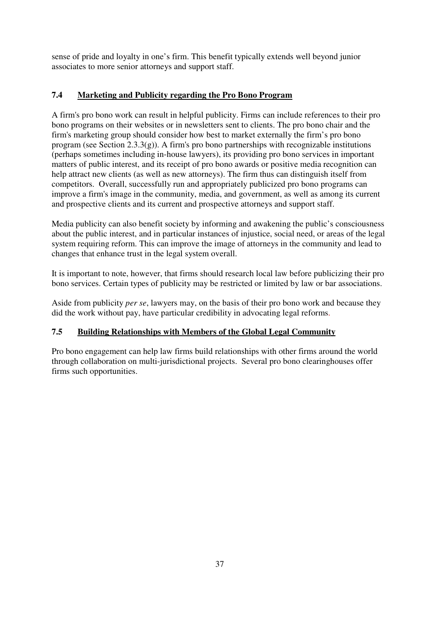sense of pride and loyalty in one's firm. This benefit typically extends well beyond junior associates to more senior attorneys and support staff.

# **7.4 Marketing and Publicity regarding the Pro Bono Program**

A firm's pro bono work can result in helpful publicity. Firms can include references to their pro bono programs on their websites or in newsletters sent to clients. The pro bono chair and the firm's marketing group should consider how best to market externally the firm's pro bono program (see Section 2.3.3(g)). A firm's pro bono partnerships with recognizable institutions (perhaps sometimes including in-house lawyers), its providing pro bono services in important matters of public interest, and its receipt of pro bono awards or positive media recognition can help attract new clients (as well as new attorneys). The firm thus can distinguish itself from competitors. Overall, successfully run and appropriately publicized pro bono programs can improve a firm's image in the community, media, and government, as well as among its current and prospective clients and its current and prospective attorneys and support staff.

Media publicity can also benefit society by informing and awakening the public's consciousness about the public interest, and in particular instances of injustice, social need, or areas of the legal system requiring reform. This can improve the image of attorneys in the community and lead to changes that enhance trust in the legal system overall.

It is important to note, however, that firms should research local law before publicizing their pro bono services. Certain types of publicity may be restricted or limited by law or bar associations.

Aside from publicity *per se*, lawyers may, on the basis of their pro bono work and because they did the work without pay, have particular credibility in advocating legal reforms.

# **7.5 Building Relationships with Members of the Global Legal Community**

Pro bono engagement can help law firms build relationships with other firms around the world through collaboration on multi-jurisdictional projects. Several pro bono clearinghouses offer firms such opportunities.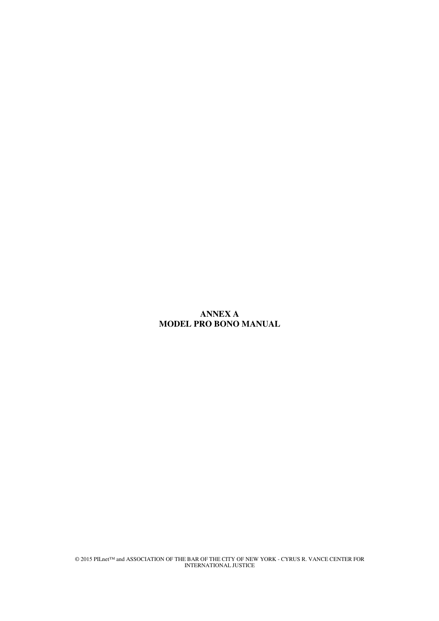# **ANNEX A MODEL PRO BONO MANUAL**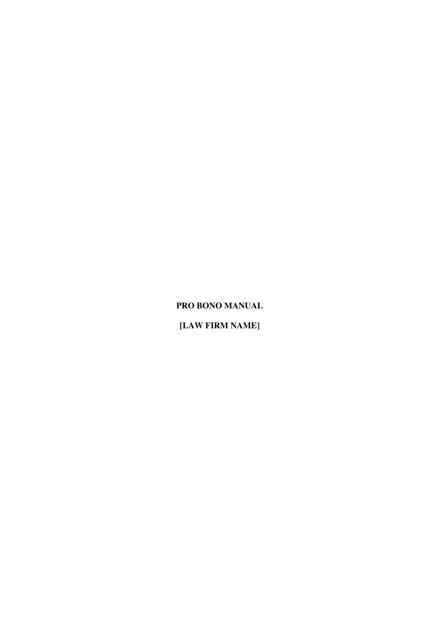**PRO BONO MANUAL** 

**[LAW FIRM NAME]**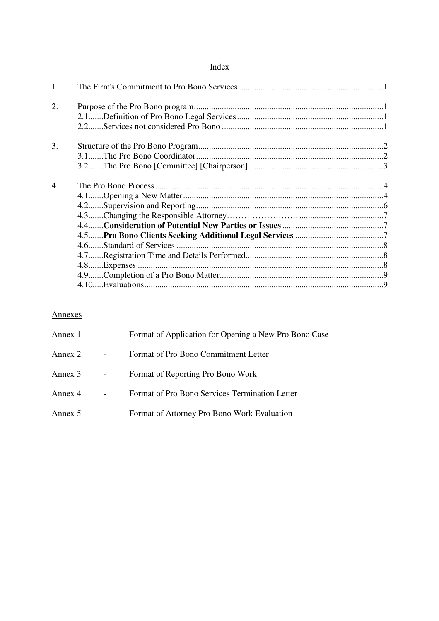# Index

| 1. |  |
|----|--|
| 2. |  |
| 3. |  |
|    |  |
|    |  |
| 4. |  |
|    |  |
|    |  |
|    |  |
|    |  |
|    |  |
|    |  |
|    |  |
|    |  |
|    |  |
|    |  |
|    |  |

# Annexes

| Annex 1 | $\blacksquare$           | Format of Application for Opening a New Pro Bono Case |
|---------|--------------------------|-------------------------------------------------------|
| Annex 2 | $\blacksquare$           | Format of Pro Bono Commitment Letter                  |
| Annex 3 | $\blacksquare$           | Format of Reporting Pro Bono Work                     |
| Annex 4 | $\overline{\phantom{a}}$ | Format of Pro Bono Services Termination Letter        |
| Annex 5 | ۰                        | Format of Attorney Pro Bono Work Evaluation           |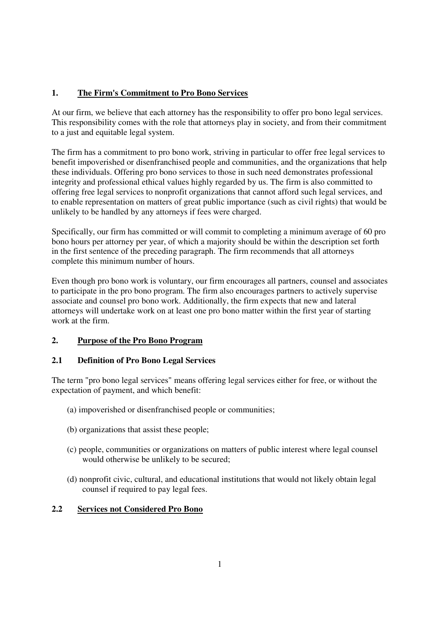## **1. The Firm's Commitment to Pro Bono Services**

At our firm, we believe that each attorney has the responsibility to offer pro bono legal services. This responsibility comes with the role that attorneys play in society, and from their commitment to a just and equitable legal system.

The firm has a commitment to pro bono work, striving in particular to offer free legal services to benefit impoverished or disenfranchised people and communities, and the organizations that help these individuals. Offering pro bono services to those in such need demonstrates professional integrity and professional ethical values highly regarded by us. The firm is also committed to offering free legal services to nonprofit organizations that cannot afford such legal services, and to enable representation on matters of great public importance (such as civil rights) that would be unlikely to be handled by any attorneys if fees were charged.

Specifically, our firm has committed or will commit to completing a minimum average of 60 pro bono hours per attorney per year, of which a majority should be within the description set forth in the first sentence of the preceding paragraph. The firm recommends that all attorneys complete this minimum number of hours.

Even though pro bono work is voluntary, our firm encourages all partners, counsel and associates to participate in the pro bono program. The firm also encourages partners to actively supervise associate and counsel pro bono work. Additionally, the firm expects that new and lateral attorneys will undertake work on at least one pro bono matter within the first year of starting work at the firm.

## **2. Purpose of the Pro Bono Program**

## **2.1 Definition of Pro Bono Legal Services**

The term "pro bono legal services" means offering legal services either for free, or without the expectation of payment, and which benefit:

- (a) impoverished or disenfranchised people or communities;
- (b) organizations that assist these people;
- (c) people, communities or organizations on matters of public interest where legal counsel would otherwise be unlikely to be secured;
- (d) nonprofit civic, cultural, and educational institutions that would not likely obtain legal counsel if required to pay legal fees.

## **2.2 Services not Considered Pro Bono**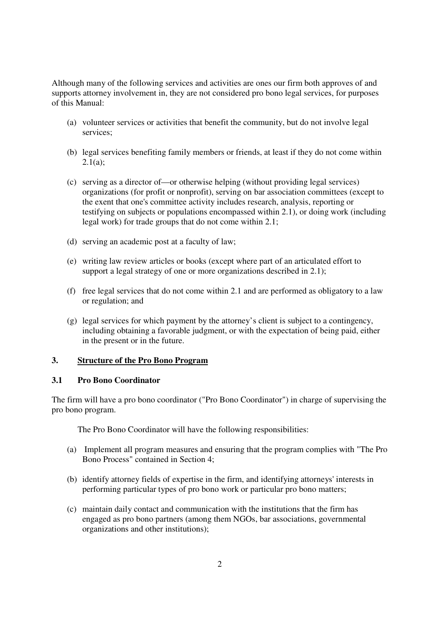Although many of the following services and activities are ones our firm both approves of and supports attorney involvement in, they are not considered pro bono legal services, for purposes of this Manual:

- (a) volunteer services or activities that benefit the community, but do not involve legal services;
- (b) legal services benefiting family members or friends, at least if they do not come within  $2.1(a)$ :
- (c) serving as a director of—or otherwise helping (without providing legal services) organizations (for profit or nonprofit), serving on bar association committees (except to the exent that one's committee activity includes research, analysis, reporting or testifying on subjects or populations encompassed within 2.1), or doing work (including legal work) for trade groups that do not come within 2.1;
- (d) serving an academic post at a faculty of law;
- (e) writing law review articles or books (except where part of an articulated effort to support a legal strategy of one or more organizations described in 2.1);
- (f) free legal services that do not come within 2.1 and are performed as obligatory to a law or regulation; and
- (g) legal services for which payment by the attorney's client is subject to a contingency, including obtaining a favorable judgment, or with the expectation of being paid, either in the present or in the future.

#### **3. Structure of the Pro Bono Program**

#### **3.1 Pro Bono Coordinator**

The firm will have a pro bono coordinator ("Pro Bono Coordinator") in charge of supervising the pro bono program.

The Pro Bono Coordinator will have the following responsibilities:

- (a) Implement all program measures and ensuring that the program complies with "The Pro Bono Process" contained in Section 4;
- (b) identify attorney fields of expertise in the firm, and identifying attorneys' interests in performing particular types of pro bono work or particular pro bono matters;
- (c) maintain daily contact and communication with the institutions that the firm has engaged as pro bono partners (among them NGOs, bar associations, governmental organizations and other institutions);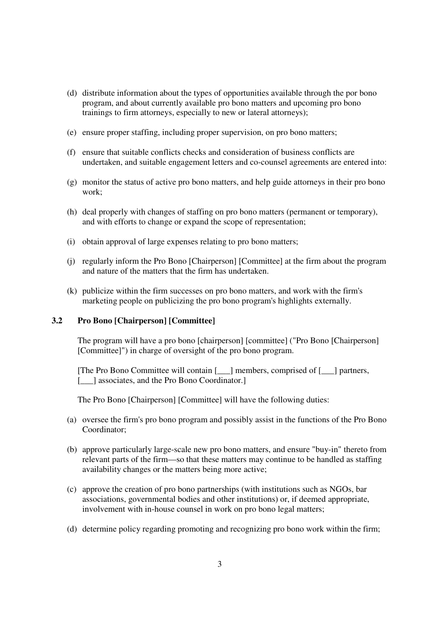- (d) distribute information about the types of opportunities available through the por bono program, and about currently available pro bono matters and upcoming pro bono trainings to firm attorneys, especially to new or lateral attorneys);
- (e) ensure proper staffing, including proper supervision, on pro bono matters;
- (f) ensure that suitable conflicts checks and consideration of business conflicts are undertaken, and suitable engagement letters and co-counsel agreements are entered into:
- (g) monitor the status of active pro bono matters, and help guide attorneys in their pro bono work;
- (h) deal properly with changes of staffing on pro bono matters (permanent or temporary), and with efforts to change or expand the scope of representation;
- (i) obtain approval of large expenses relating to pro bono matters;
- (j) regularly inform the Pro Bono [Chairperson] [Committee] at the firm about the program and nature of the matters that the firm has undertaken.
- (k) publicize within the firm successes on pro bono matters, and work with the firm's marketing people on publicizing the pro bono program's highlights externally.

#### **3.2 Pro Bono [Chairperson] [Committee]**

The program will have a pro bono [chairperson] [committee] ("Pro Bono [Chairperson] [Committee]") in charge of oversight of the pro bono program.

[The Pro Bono Committee will contain [\_\_\_] members, comprised of [\_\_\_] partners, [100] associates, and the Pro Bono Coordinator.]

The Pro Bono [Chairperson] [Committee] will have the following duties:

- (a) oversee the firm's pro bono program and possibly assist in the functions of the Pro Bono Coordinator;
- (b) approve particularly large-scale new pro bono matters, and ensure "buy-in" thereto from relevant parts of the firm—so that these matters may continue to be handled as staffing availability changes or the matters being more active;
- (c) approve the creation of pro bono partnerships (with institutions such as NGOs, bar associations, governmental bodies and other institutions) or, if deemed appropriate, involvement with in-house counsel in work on pro bono legal matters;
- (d) determine policy regarding promoting and recognizing pro bono work within the firm;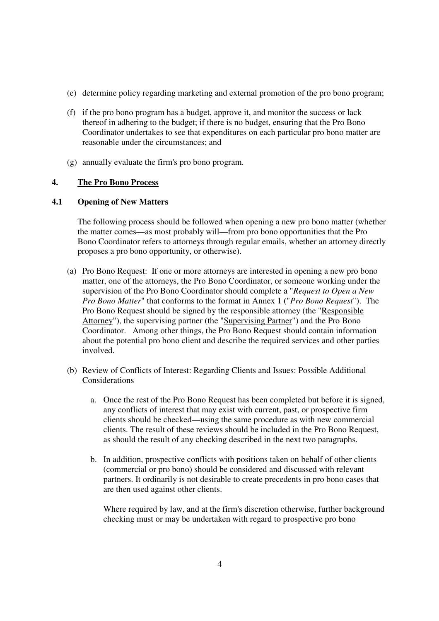- (e) determine policy regarding marketing and external promotion of the pro bono program;
- (f) if the pro bono program has a budget, approve it, and monitor the success or lack thereof in adhering to the budget; if there is no budget, ensuring that the Pro Bono Coordinator undertakes to see that expenditures on each particular pro bono matter are reasonable under the circumstances; and
- (g) annually evaluate the firm's pro bono program.

#### **4. The Pro Bono Process**

#### **4.1 Opening of New Matters**

The following process should be followed when opening a new pro bono matter (whether the matter comes—as most probably will—from pro bono opportunities that the Pro Bono Coordinator refers to attorneys through regular emails, whether an attorney directly proposes a pro bono opportunity, or otherwise).

- (a) Pro Bono Request: If one or more attorneys are interested in opening a new pro bono matter, one of the attorneys, the Pro Bono Coordinator, or someone working under the supervision of the Pro Bono Coordinator should complete a "*Request to Open a New Pro Bono Matter*" that conforms to the format in Annex 1 ("*Pro Bono Request*"). The Pro Bono Request should be signed by the responsible attorney (the "Responsible Attorney"), the supervising partner (the "Supervising Partner") and the Pro Bono Coordinator. Among other things, the Pro Bono Request should contain information about the potential pro bono client and describe the required services and other parties involved.
- (b) Review of Conflicts of Interest: Regarding Clients and Issues: Possible Additional Considerations
	- a. Once the rest of the Pro Bono Request has been completed but before it is signed, any conflicts of interest that may exist with current, past, or prospective firm clients should be checked—using the same procedure as with new commercial clients. The result of these reviews should be included in the Pro Bono Request, as should the result of any checking described in the next two paragraphs.
	- b. In addition, prospective conflicts with positions taken on behalf of other clients (commercial or pro bono) should be considered and discussed with relevant partners. It ordinarily is not desirable to create precedents in pro bono cases that are then used against other clients.

Where required by law, and at the firm's discretion otherwise, further background checking must or may be undertaken with regard to prospective pro bono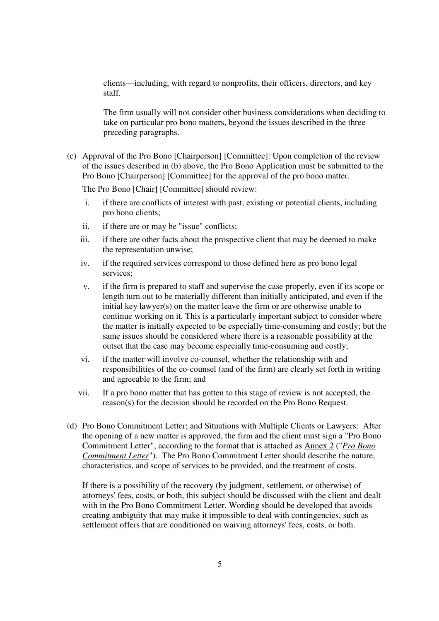clients—including, with regard to nonprofits, their officers, directors, and key staff.

The firm usually will not consider other business considerations when deciding to take on particular pro bono matters, beyond the issues described in the three preceding paragraphs.

(c) Approval of the Pro Bono [Chairperson] [Committee]: Upon completion of the review of the issues described in (b) above, the Pro Bono Application must be submitted to the Pro Bono [Chairperson] [Committee] for the approval of the pro bono matter.

The Pro Bono [Chair] [Committee] should review:

- i. if there are conflicts of interest with past, existing or potential clients, including pro bono clients;
- ii. if there are or may be "issue" conflicts;
- iii. if there are other facts about the prospective client that may be deemed to make the representation unwise;
- iv. if the required services correspond to those defined here as pro bono legal services;
- v. if the firm is prepared to staff and supervise the case properly, even if its scope or length turn out to be materially different than initially anticipated, and even if the initial key lawyer(s) on the matter leave the firm or are otherwise unable to continue working on it. This is a particularly important subject to consider where the matter is initially expected to be especially time-consuming and costly; but the same issues should be considered where there is a reasonable possibility at the outset that the case may become especially time-consuming and costly;
- vi. if the matter will involve co-counsel, whether the relationship with and responsibilities of the co-counsel (and of the firm) are clearly set forth in writing and agreeable to the firm; and
- vii. If a pro bono matter that has gotten to this stage of review is not accepted, the reason(s) for the decision should be recorded on the Pro Bono Request.
- (d) Pro Bono Commitment Letter; and Situations with Multiple Clients or Lawyers: After the opening of a new matter is approved, the firm and the client must sign a "Pro Bono Commitment Letter", according to the format that is attached as Annex 2 ("*Pro Bono Commitment Letter*"). The Pro Bono Commitment Letter should describe the nature, characteristics, and scope of services to be provided, and the treatment of costs.

If there is a possibility of the recovery (by judgment, settlement, or otherwise) of attorneys' fees, costs, or both, this subject should be discussed with the client and dealt with in the Pro Bono Commitment Letter. Wording should be developed that avoids creating ambiguity that may make it impossible to deal with contingencies, such as settlement offers that are conditioned on waiving attorneys' fees, costs, or both.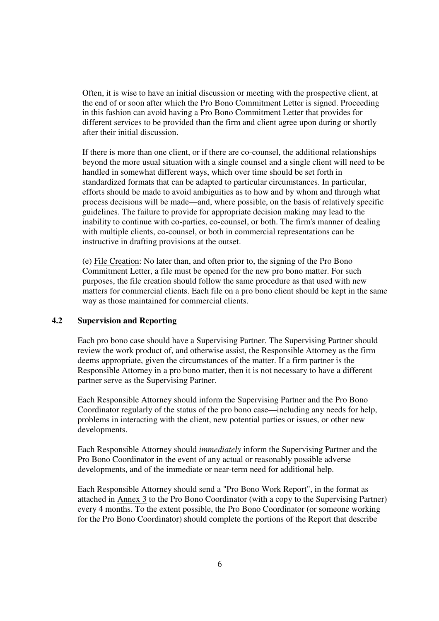Often, it is wise to have an initial discussion or meeting with the prospective client, at the end of or soon after which the Pro Bono Commitment Letter is signed. Proceeding in this fashion can avoid having a Pro Bono Commitment Letter that provides for different services to be provided than the firm and client agree upon during or shortly after their initial discussion.

If there is more than one client, or if there are co-counsel, the additional relationships beyond the more usual situation with a single counsel and a single client will need to be handled in somewhat different ways, which over time should be set forth in standardized formats that can be adapted to particular circumstances. In particular, efforts should be made to avoid ambiguities as to how and by whom and through what process decisions will be made—and, where possible, on the basis of relatively specific guidelines. The failure to provide for appropriate decision making may lead to the inability to continue with co-parties, co-counsel, or both. The firm's manner of dealing with multiple clients, co-counsel, or both in commercial representations can be instructive in drafting provisions at the outset.

(e) File Creation: No later than, and often prior to, the signing of the Pro Bono Commitment Letter, a file must be opened for the new pro bono matter. For such purposes, the file creation should follow the same procedure as that used with new matters for commercial clients. Each file on a pro bono client should be kept in the same way as those maintained for commercial clients.

#### **4.2 Supervision and Reporting**

Each pro bono case should have a Supervising Partner. The Supervising Partner should review the work product of, and otherwise assist, the Responsible Attorney as the firm deems appropriate, given the circumstances of the matter. If a firm partner is the Responsible Attorney in a pro bono matter, then it is not necessary to have a different partner serve as the Supervising Partner.

Each Responsible Attorney should inform the Supervising Partner and the Pro Bono Coordinator regularly of the status of the pro bono case—including any needs for help, problems in interacting with the client, new potential parties or issues, or other new developments.

Each Responsible Attorney should *immediately* inform the Supervising Partner and the Pro Bono Coordinator in the event of any actual or reasonably possible adverse developments, and of the immediate or near-term need for additional help.

Each Responsible Attorney should send a "Pro Bono Work Report", in the format as attached in Annex 3 to the Pro Bono Coordinator (with a copy to the Supervising Partner) every 4 months. To the extent possible, the Pro Bono Coordinator (or someone working for the Pro Bono Coordinator) should complete the portions of the Report that describe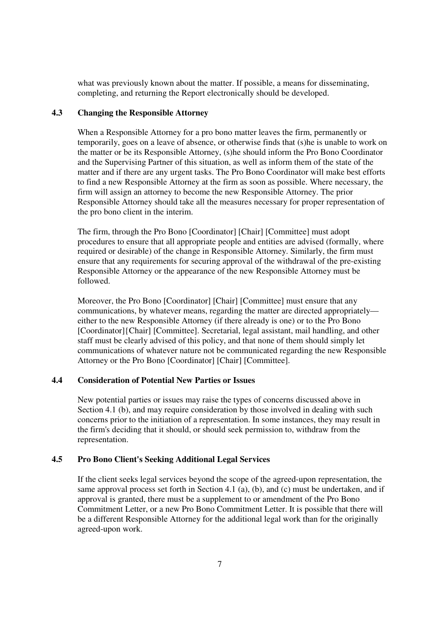what was previously known about the matter. If possible, a means for disseminating, completing, and returning the Report electronically should be developed.

### **4.3 Changing the Responsible Attorney**

When a Responsible Attorney for a pro bono matter leaves the firm, permanently or temporarily, goes on a leave of absence, or otherwise finds that (s)he is unable to work on the matter or be its Responsible Attorney, (s)he should inform the Pro Bono Coordinator and the Supervising Partner of this situation, as well as inform them of the state of the matter and if there are any urgent tasks. The Pro Bono Coordinator will make best efforts to find a new Responsible Attorney at the firm as soon as possible. Where necessary, the firm will assign an attorney to become the new Responsible Attorney. The prior Responsible Attorney should take all the measures necessary for proper representation of the pro bono client in the interim.

The firm, through the Pro Bono [Coordinator] [Chair] [Committee] must adopt procedures to ensure that all appropriate people and entities are advised (formally, where required or desirable) of the change in Responsible Attorney. Similarly, the firm must ensure that any requirements for securing approval of the withdrawal of the pre-existing Responsible Attorney or the appearance of the new Responsible Attorney must be followed.

Moreover, the Pro Bono [Coordinator] [Chair] [Committee] must ensure that any communications, by whatever means, regarding the matter are directed appropriately either to the new Responsible Attorney (if there already is one) or to the Pro Bono [Coordinator]{Chair] [Committee]. Secretarial, legal assistant, mail handling, and other staff must be clearly advised of this policy, and that none of them should simply let communications of whatever nature not be communicated regarding the new Responsible Attorney or the Pro Bono [Coordinator] [Chair] [Committee].

#### **4.4 Consideration of Potential New Parties or Issues**

New potential parties or issues may raise the types of concerns discussed above in Section 4.1 (b), and may require consideration by those involved in dealing with such concerns prior to the initiation of a representation. In some instances, they may result in the firm's deciding that it should, or should seek permission to, withdraw from the representation.

#### **4.5 Pro Bono Client's Seeking Additional Legal Services**

If the client seeks legal services beyond the scope of the agreed-upon representation, the same approval process set forth in Section 4.1 (a), (b), and (c) must be undertaken, and if approval is granted, there must be a supplement to or amendment of the Pro Bono Commitment Letter, or a new Pro Bono Commitment Letter. It is possible that there will be a different Responsible Attorney for the additional legal work than for the originally agreed-upon work.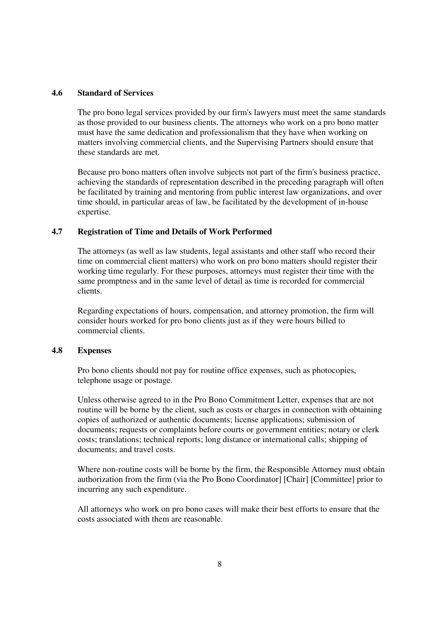#### **4.6 Standard of Services**

The pro bono legal services provided by our firm's lawyers must meet the same standards as those provided to our business clients. The attorneys who work on a pro bono matter must have the same dedication and professionalism that they have when working on matters involving commercial clients, and the Supervising Partners should ensure that these standards are met.

Because pro bono matters often involve subjects not part of the firm's business practice, achieving the standards of representation described in the preceding paragraph will often be facilitated by training and mentoring from public interest law organizations, and over time should, in particular areas of law, be facilitated by the development of in-house expertise.

## **4.7 Registration of Time and Details of Work Performed**

The attorneys (as well as law students, legal assistants and other staff who record their time on commercial client matters) who work on pro bono matters should register their working time regularly. For these purposes, attorneys must register their time with the same promptness and in the same level of detail as time is recorded for commercial clients.

Regarding expectations of hours, compensation, and attorney promotion, the firm will consider hours worked for pro bono clients just as if they were hours billed to commercial clients.

#### **4.8 Expenses**

Pro bono clients should not pay for routine office expenses, such as photocopies, telephone usage or postage.

Unless otherwise agreed to in the Pro Bono Commitment Letter, expenses that are not routine will be borne by the client, such as costs or charges in connection with obtaining copies of authorized or authentic documents; license applications; submission of documents; requests or complaints before courts or government entities; notary or clerk costs; translations; technical reports; long distance or international calls; shipping of documents; and travel costs.

Where non-routine costs will be borne by the firm, the Responsible Attorney must obtain authorization from the firm (via the Pro Bono Coordinator] [Chair] [Committee] prior to incurring any such expenditure.

All attorneys who work on pro bono cases will make their best efforts to ensure that the costs associated with them are reasonable.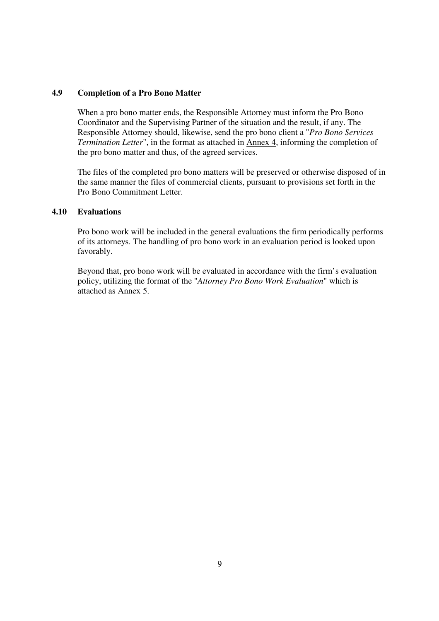#### **4.9 Completion of a Pro Bono Matter**

When a pro bono matter ends, the Responsible Attorney must inform the Pro Bono Coordinator and the Supervising Partner of the situation and the result, if any. The Responsible Attorney should, likewise, send the pro bono client a "*Pro Bono Services Termination Letter*", in the format as attached in Annex 4, informing the completion of the pro bono matter and thus, of the agreed services.

The files of the completed pro bono matters will be preserved or otherwise disposed of in the same manner the files of commercial clients, pursuant to provisions set forth in the Pro Bono Commitment Letter.

#### **4.10 Evaluations**

Pro bono work will be included in the general evaluations the firm periodically performs of its attorneys. The handling of pro bono work in an evaluation period is looked upon favorably.

Beyond that, pro bono work will be evaluated in accordance with the firm's evaluation policy, utilizing the format of the "*Attorney Pro Bono Work Evaluation*" which is attached as Annex 5.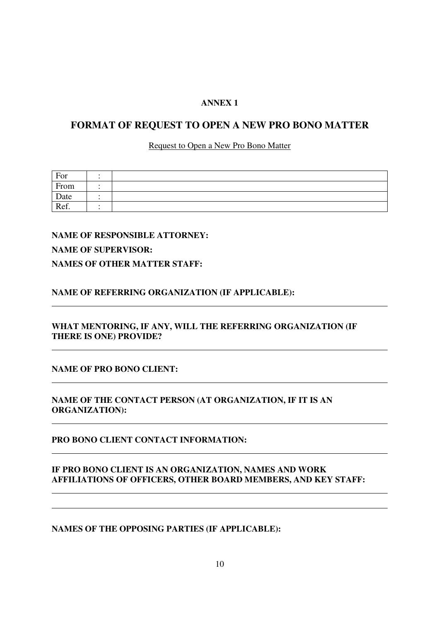## **ANNEX 1**

## **FORMAT OF REQUEST TO OPEN A NEW PRO BONO MATTER**

#### Request to Open a New Pro Bono Matter

| For  |  |
|------|--|
| From |  |
| Date |  |
| Ref. |  |

## **NAME OF RESPONSIBLE ATTORNEY:**

## **NAME OF SUPERVISOR:**

 $\overline{a}$ 

 $\overline{a}$ 

 $\overline{a}$ 

 $\overline{a}$ 

 $\overline{a}$ 

#### **NAMES OF OTHER MATTER STAFF:**

#### **NAME OF REFERRING ORGANIZATION (IF APPLICABLE):**

## **WHAT MENTORING, IF ANY, WILL THE REFERRING ORGANIZATION (IF THERE IS ONE) PROVIDE?**

#### **NAME OF PRO BONO CLIENT:**

## **NAME OF THE CONTACT PERSON (AT ORGANIZATION, IF IT IS AN ORGANIZATION):**

## **PRO BONO CLIENT CONTACT INFORMATION:**

#### **IF PRO BONO CLIENT IS AN ORGANIZATION, NAMES AND WORK AFFILIATIONS OF OFFICERS, OTHER BOARD MEMBERS, AND KEY STAFF:**

 $\overline{\phantom{0}}$ 

**NAMES OF THE OPPOSING PARTIES (IF APPLICABLE):**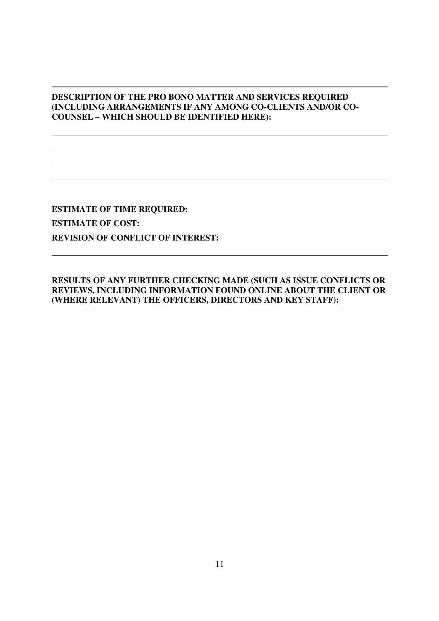## **DESCRIPTION OF THE PRO BONO MATTER AND SERVICES REQUIRED (INCLUDING ARRANGEMENTS IF ANY AMONG CO-CLIENTS AND/OR CO-COUNSEL – WHICH SHOULD BE IDENTIFIED HERE):**

**ESTIMATE OF TIME REQUIRED: ESTIMATE OF COST: REVISION OF CONFLICT OF INTEREST:** 

 $\overline{a}$ 

 $\overline{a}$ 

 $\overline{a}$ 

 $\overline{a}$ 

 $\overline{a}$ 

 $\overline{a}$ 

**RESULTS OF ANY FURTHER CHECKING MADE (SUCH AS ISSUE CONFLICTS OR REVIEWS, INCLUDING INFORMATION FOUND ONLINE ABOUT THE CLIENT OR (WHERE RELEVANT) THE OFFICERS, DIRECTORS AND KEY STAFF):**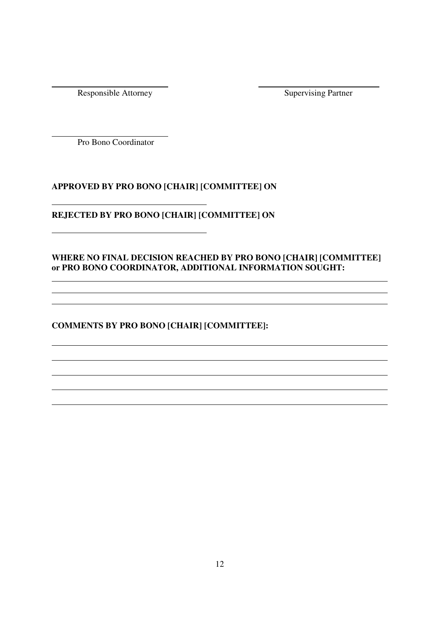Responsible Attorney Supervising Partner

 $\overline{a}$ 

 $\overline{a}$ 

 $\overline{a}$ 

 $\overline{a}$ 

 $\overline{a}$  $\overline{a}$  $\overline{a}$ 

 $\overline{a}$ 

 $\overline{a}$ 

Pro Bono Coordinator

# **APPROVED BY PRO BONO [CHAIR] [COMMITTEE] ON**

# **REJECTED BY PRO BONO [CHAIR] [COMMITTEE] ON**

## **WHERE NO FINAL DECISION REACHED BY PRO BONO [CHAIR] [COMMITTEE] or PRO BONO COORDINATOR, ADDITIONAL INFORMATION SOUGHT:**

**COMMENTS BY PRO BONO [CHAIR] [COMMITTEE]:**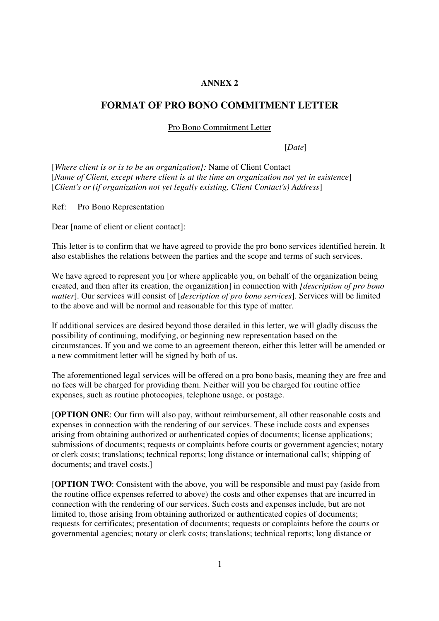#### **ANNEX 2**

# **FORMAT OF PRO BONO COMMITMENT LETTER**

Pro Bono Commitment Letter

[*Date*]

[*Where client is or is to be an organization]:* Name of Client Contact [*Name of Client, except where client is at the time an organization not yet in existence*] [*Client's or (if organization not yet legally existing, Client Contact's) Address*]

Ref: Pro Bono Representation

Dear [name of client or client contact]:

This letter is to confirm that we have agreed to provide the pro bono services identified herein. It also establishes the relations between the parties and the scope and terms of such services.

We have agreed to represent you [or where applicable you, on behalf of the organization being created, and then after its creation, the organization] in connection with *[description of pro bono matter*]. Our services will consist of [*description of pro bono services*]. Services will be limited to the above and will be normal and reasonable for this type of matter.

If additional services are desired beyond those detailed in this letter, we will gladly discuss the possibility of continuing, modifying, or beginning new representation based on the circumstances. If you and we come to an agreement thereon, either this letter will be amended or a new commitment letter will be signed by both of us.

The aforementioned legal services will be offered on a pro bono basis, meaning they are free and no fees will be charged for providing them. Neither will you be charged for routine office expenses, such as routine photocopies, telephone usage, or postage.

[**OPTION ONE**: Our firm will also pay, without reimbursement, all other reasonable costs and expenses in connection with the rendering of our services. These include costs and expenses arising from obtaining authorized or authenticated copies of documents; license applications; submissions of documents; requests or complaints before courts or government agencies; notary or clerk costs; translations; technical reports; long distance or international calls; shipping of documents; and travel costs.]

[**OPTION TWO**: Consistent with the above, you will be responsible and must pay (aside from the routine office expenses referred to above) the costs and other expenses that are incurred in connection with the rendering of our services. Such costs and expenses include, but are not limited to, those arising from obtaining authorized or authenticated copies of documents; requests for certificates; presentation of documents; requests or complaints before the courts or governmental agencies; notary or clerk costs; translations; technical reports; long distance or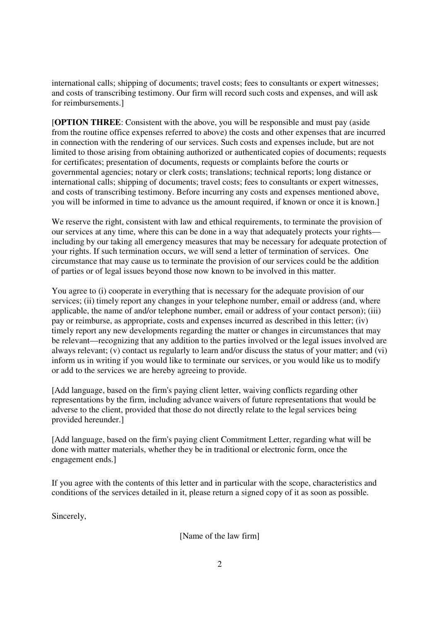international calls; shipping of documents; travel costs; fees to consultants or expert witnesses; and costs of transcribing testimony. Our firm will record such costs and expenses, and will ask for reimbursements.]

[**OPTION THREE**: Consistent with the above, you will be responsible and must pay (aside from the routine office expenses referred to above) the costs and other expenses that are incurred in connection with the rendering of our services. Such costs and expenses include, but are not limited to those arising from obtaining authorized or authenticated copies of documents; requests for certificates; presentation of documents, requests or complaints before the courts or governmental agencies; notary or clerk costs; translations; technical reports; long distance or international calls; shipping of documents; travel costs; fees to consultants or expert witnesses, and costs of transcribing testimony. Before incurring any costs and expenses mentioned above, you will be informed in time to advance us the amount required, if known or once it is known.]

We reserve the right, consistent with law and ethical requirements, to terminate the provision of our services at any time, where this can be done in a way that adequately protects your rights including by our taking all emergency measures that may be necessary for adequate protection of your rights. If such termination occurs, we will send a letter of termination of services. One circumstance that may cause us to terminate the provision of our services could be the addition of parties or of legal issues beyond those now known to be involved in this matter.

You agree to (i) cooperate in everything that is necessary for the adequate provision of our services; (ii) timely report any changes in your telephone number, email or address (and, where applicable, the name of and/or telephone number, email or address of your contact person); (iii) pay or reimburse, as appropriate, costs and expenses incurred as described in this letter; (iv) timely report any new developments regarding the matter or changes in circumstances that may be relevant—recognizing that any addition to the parties involved or the legal issues involved are always relevant; (v) contact us regularly to learn and/or discuss the status of your matter; and (vi) inform us in writing if you would like to terminate our services, or you would like us to modify or add to the services we are hereby agreeing to provide.

[Add language, based on the firm's paying client letter, waiving conflicts regarding other representations by the firm, including advance waivers of future representations that would be adverse to the client, provided that those do not directly relate to the legal services being provided hereunder.]

[Add language, based on the firm's paying client Commitment Letter, regarding what will be done with matter materials, whether they be in traditional or electronic form, once the engagement ends.]

If you agree with the contents of this letter and in particular with the scope, characteristics and conditions of the services detailed in it, please return a signed copy of it as soon as possible.

Sincerely,

[Name of the law firm]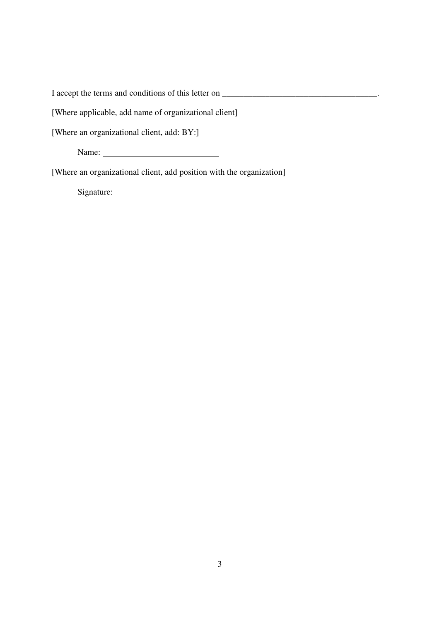I accept the terms and conditions of this letter on \_\_\_\_\_\_\_\_\_\_\_\_\_\_\_\_\_\_\_\_\_\_\_\_\_\_\_\_\_\_\_\_\_\_\_\_.

[Where applicable, add name of organizational client]

[Where an organizational client, add: BY:]

Name:

[Where an organizational client, add position with the organization]

Signature: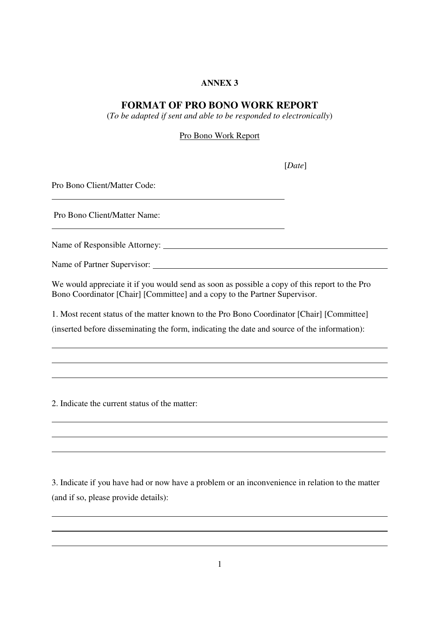## **ANNEX 3**

## **FORMAT OF PRO BONO WORK REPORT**

(*To be adapted if sent and able to be responded to electronically*)

Pro Bono Work Report

|                                                                                                                                                                             | [Date] |
|-----------------------------------------------------------------------------------------------------------------------------------------------------------------------------|--------|
| Pro Bono Client/Matter Code:                                                                                                                                                |        |
| Pro Bono Client/Matter Name:                                                                                                                                                |        |
|                                                                                                                                                                             |        |
|                                                                                                                                                                             |        |
| We would appreciate it if you would send as soon as possible a copy of this report to the Pro<br>Bono Coordinator [Chair] [Committee] and a copy to the Partner Supervisor. |        |
| 1. Most recent status of the matter known to the Pro Bono Coordinator [Chair] [Committee]                                                                                   |        |
| (inserted before disseminating the form, indicating the date and source of the information):                                                                                |        |
|                                                                                                                                                                             |        |
|                                                                                                                                                                             |        |

2. Indicate the current status of the matter:

 $\overline{a}$ 

 $\overline{a}$ 

 $\overline{a}$ 

 $\overline{a}$ 

 $\overline{a}$ 

 $\overline{a}$ 

3. Indicate if you have had or now have a problem or an inconvenience in relation to the matter (and if so, please provide details):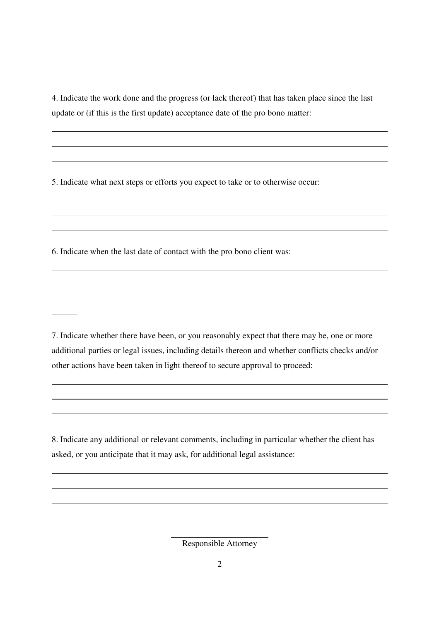4. Indicate the work done and the progress (or lack thereof) that has taken place since the last update or (if this is the first update) acceptance date of the pro bono matter:

5. Indicate what next steps or efforts you expect to take or to otherwise occur:

 $\overline{a}$ 

 $\overline{a}$ 

 $\overline{a}$ 

 $\overline{a}$ 

 $\overline{a}$ 

 $\overline{a}$ 

 $\overline{a}$ 

 $\overline{a}$ 

 $\overline{a}$ 

 $\overline{a}$ 

 $\overline{a}$ 

 $\overline{a}$ 

 $\overline{a}$ 

 $\overline{a}$ 

6. Indicate when the last date of contact with the pro bono client was:

7. Indicate whether there have been, or you reasonably expect that there may be, one or more additional parties or legal issues, including details thereon and whether conflicts checks and/or other actions have been taken in light thereof to secure approval to proceed:

8. Indicate any additional or relevant comments, including in particular whether the client has asked, or you anticipate that it may ask, for additional legal assistance:

Responsible Attorney

l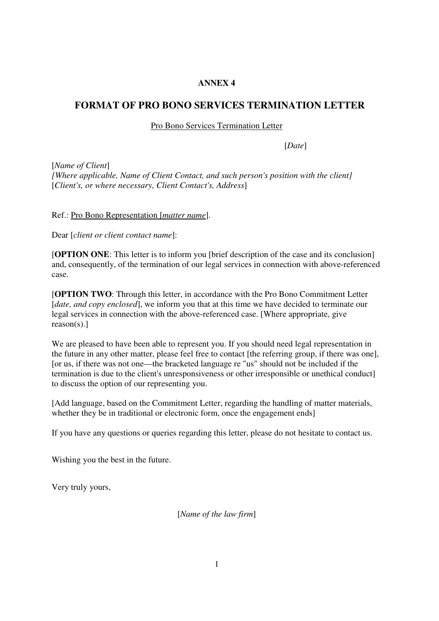## **ANNEX 4**

# **FORMAT OF PRO BONO SERVICES TERMINATION LETTER**

#### Pro Bono Services Termination Letter

[*Date*]

[*Name of Client*] *[Where applicable, Name of Client Contact, and such person's position with the client]*  [*Client's, or where necessary, Client Contact's, Address*]

Ref.: Pro Bono Representation [*matter name*].

Dear [*client or client contact name*]:

[**OPTION ONE**: This letter is to inform you [brief description of the case and its conclusion] and, consequently, of the termination of our legal services in connection with above-referenced case.

[**OPTION TWO**: Through this letter, in accordance with the Pro Bono Commitment Letter [*date, and copy enclosed*], we inform you that at this time we have decided to terminate our legal services in connection with the above-referenced case. [Where appropriate, give reason(s).]

We are pleased to have been able to represent you. If you should need legal representation in the future in any other matter, please feel free to contact [the referring group, if there was one], [or us, if there was not one—the bracketed language re "us" should not be included if the termination is due to the client's unresponsiveness or other irresponsible or unethical conduct] to discuss the option of our representing you.

[Add language, based on the Commitment Letter, regarding the handling of matter materials, whether they be in traditional or electronic form, once the engagement ends]

If you have any questions or queries regarding this letter, please do not hesitate to contact us.

Wishing you the best in the future.

Very truly yours,

[*Name of the law firm*]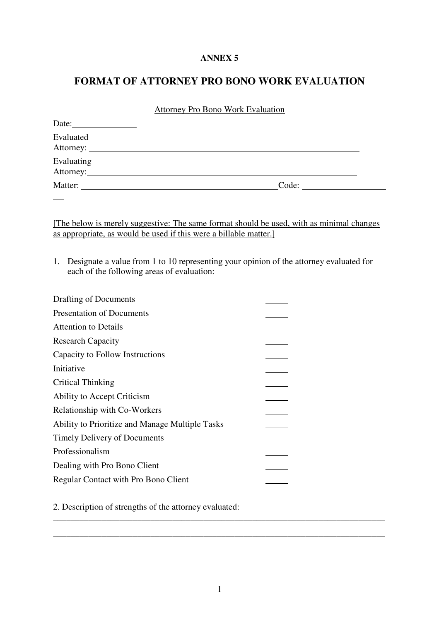## **ANNEX 5**

# **FORMAT OF ATTORNEY PRO BONO WORK EVALUATION**

#### Attorney Pro Bono Work Evaluation

| Date:      |       |  |
|------------|-------|--|
| Evaluated  |       |  |
| Evaluating |       |  |
| Matter:    | Code: |  |

[The below is merely suggestive: The same format should be used, with as minimal changes as appropriate, as would be used if this were a billable matter.]

1. Designate a value from 1 to 10 representing your opinion of the attorney evaluated for each of the following areas of evaluation:

| Drafting of Documents                           |  |
|-------------------------------------------------|--|
| <b>Presentation of Documents</b>                |  |
| <b>Attention to Details</b>                     |  |
| <b>Research Capacity</b>                        |  |
| Capacity to Follow Instructions                 |  |
| Initiative                                      |  |
| <b>Critical Thinking</b>                        |  |
| Ability to Accept Criticism                     |  |
| <b>Relationship with Co-Workers</b>             |  |
| Ability to Prioritize and Manage Multiple Tasks |  |
| Timely Delivery of Documents                    |  |
| Professionalism                                 |  |
| Dealing with Pro Bono Client                    |  |
| Regular Contact with Pro Bono Client            |  |
|                                                 |  |

2. Description of strengths of the attorney evaluated:

 $\overline{a}$ 

\_\_\_\_\_\_\_\_\_\_\_\_\_\_\_\_\_\_\_\_\_\_\_\_\_\_\_\_\_\_\_\_\_\_\_\_\_\_\_\_\_\_\_\_\_\_\_\_\_\_\_\_\_\_\_\_\_\_\_\_\_\_\_\_\_\_\_\_\_\_\_\_\_\_\_

\_\_\_\_\_\_\_\_\_\_\_\_\_\_\_\_\_\_\_\_\_\_\_\_\_\_\_\_\_\_\_\_\_\_\_\_\_\_\_\_\_\_\_\_\_\_\_\_\_\_\_\_\_\_\_\_\_\_\_\_\_\_\_\_\_\_\_\_\_\_\_\_\_\_\_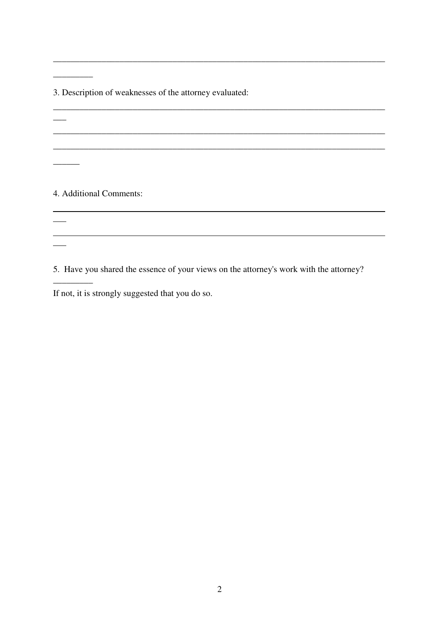3. Description of weaknesses of the attorney evaluated:

4. Additional Comments:

 $\overline{\phantom{a}}$   $\overline{\phantom{a}}$   $\overline{\phantom{a}}$   $\overline{\phantom{a}}$   $\overline{\phantom{a}}$   $\overline{\phantom{a}}$   $\overline{\phantom{a}}$   $\overline{\phantom{a}}$   $\overline{\phantom{a}}$   $\overline{\phantom{a}}$   $\overline{\phantom{a}}$   $\overline{\phantom{a}}$   $\overline{\phantom{a}}$   $\overline{\phantom{a}}$   $\overline{\phantom{a}}$   $\overline{\phantom{a}}$   $\overline{\phantom{a}}$   $\overline{\phantom{a}}$   $\overline{\$ 

 $\overline{\phantom{0}}$ 

 $\overline{\phantom{a}}$ 

 $\overline{\phantom{a}}$  . The set of  $\overline{\phantom{a}}$ 

 $\overline{a}$  $\frac{1}{2}$  $\overline{a}$  $\frac{1}{1}$ 

5. Have you shared the essence of your views on the attorney's work with the attorney?

 $\mathcal{L}_\mathcal{L} = \mathcal{L}_\mathcal{L} = \mathcal{L}_\mathcal{L} = \mathcal{L}_\mathcal{L} = \mathcal{L}_\mathcal{L} = \mathcal{L}_\mathcal{L} = \mathcal{L}_\mathcal{L} = \mathcal{L}_\mathcal{L} = \mathcal{L}_\mathcal{L} = \mathcal{L}_\mathcal{L} = \mathcal{L}_\mathcal{L} = \mathcal{L}_\mathcal{L} = \mathcal{L}_\mathcal{L} = \mathcal{L}_\mathcal{L} = \mathcal{L}_\mathcal{L} = \mathcal{L}_\mathcal{L} = \mathcal{L}_\mathcal{L}$ 

\_\_\_\_\_\_\_\_\_\_\_\_\_\_\_\_\_\_\_\_\_\_\_\_\_\_\_\_\_\_\_\_\_\_\_\_\_\_\_\_\_\_\_\_\_\_\_\_\_\_\_\_\_\_\_\_\_\_\_\_\_\_\_\_\_\_\_\_\_\_\_\_\_\_\_

<u> 1989 - Johann Stoff, amerikansk politiker (\* 1908)</u>

\_\_\_\_\_\_\_\_\_\_\_\_\_\_\_\_\_\_\_\_\_\_\_\_\_\_\_\_\_\_\_\_\_\_\_\_\_\_\_\_\_\_\_\_\_\_\_\_\_\_\_\_\_\_\_\_\_\_\_\_\_\_\_\_\_\_\_\_\_\_\_\_\_\_\_

 $\mathcal{L}_\text{max} = \frac{1}{2} \sum_{i=1}^n \mathcal{L}_\text{max} = \frac{1}{2} \sum_{i=1}^n \mathcal{L}_\text{max} = \frac{1}{2} \sum_{i=1}^n \mathcal{L}_\text{max} = \frac{1}{2} \sum_{i=1}^n \mathcal{L}_\text{max} = \frac{1}{2} \sum_{i=1}^n \mathcal{L}_\text{max} = \frac{1}{2} \sum_{i=1}^n \mathcal{L}_\text{max} = \frac{1}{2} \sum_{i=1}^n \mathcal{L}_\text{max} = \frac{1}{2} \sum_{i=$ 

If not, it is strongly suggested that you do so.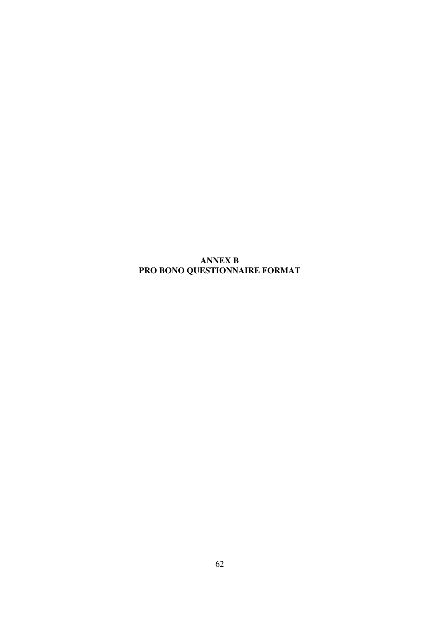**ANNEX B PRO BONO QUESTIONNAIRE FORMAT**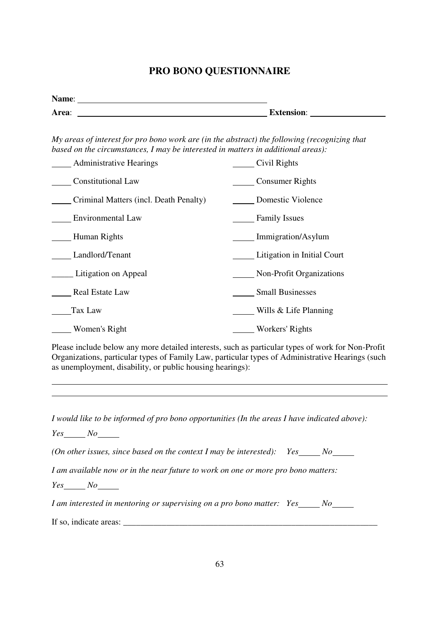# **PRO BONO QUESTIONNAIRE**

| Name: |                   |
|-------|-------------------|
| Area: | <b>Extension:</b> |

*My areas of interest for pro bono work are (in the abstract) the following (recognizing that based on the circumstances, I may be interested in matters in additional areas):* 

| <b>Administrative Hearings</b>         | Civil Rights                |
|----------------------------------------|-----------------------------|
| <b>Constitutional Law</b>              | <b>Consumer Rights</b>      |
| Criminal Matters (incl. Death Penalty) | Domestic Violence           |
| Environmental Law                      | <b>Family Issues</b>        |
| Human Rights                           | Immigration/Asylum          |
| Landlord/Tenant                        | Litigation in Initial Court |
| Litigation on Appeal                   | Non-Profit Organizations    |
| <b>Real Estate Law</b>                 | <b>Small Businesses</b>     |
| Tax Law                                | Wills & Life Planning       |
| Women's Right                          | Workers' Rights             |

Please include below any more detailed interests, such as particular types of work for Non-Profit Organizations, particular types of Family Law, particular types of Administrative Hearings (such as unemployment, disability, or public housing hearings):

*I would like to be informed of pro bono opportunities (In the areas I have indicated above):* 

*Yes No* 

 $\overline{a}$  $\overline{a}$ 

| (On other issues, since based on the context I may be interested): Yes_ |  | No |
|-------------------------------------------------------------------------|--|----|
|-------------------------------------------------------------------------|--|----|

*I am available now or in the near future to work on one or more pro bono matters:* 

*Yes No* 

| I am interested in mentoring or supervising on a pro bono matter: Yes_ |  |
|------------------------------------------------------------------------|--|
|------------------------------------------------------------------------|--|

If so, indicate areas:  $\frac{1}{\sqrt{1-\frac{1}{2}}}\left\{ \frac{1}{2}, \frac{1}{2}, \frac{1}{2}, \frac{1}{2}, \frac{1}{2}, \frac{1}{2}, \frac{1}{2}, \frac{1}{2}, \frac{1}{2}, \frac{1}{2}, \frac{1}{2}, \frac{1}{2}, \frac{1}{2}, \frac{1}{2}, \frac{1}{2}, \frac{1}{2}, \frac{1}{2}, \frac{1}{2}, \frac{1}{2}, \frac{1}{2}, \frac{1}{2}, \frac{1}{2}, \frac{1}{2}, \frac{1}{2}, \frac{1}{2}, \frac$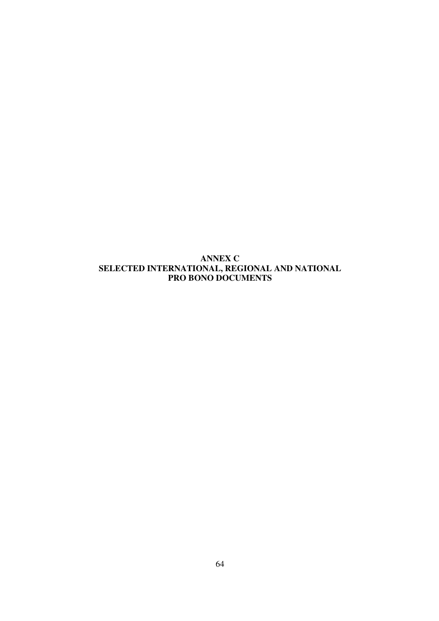**ANNEX C SELECTED INTERNATIONAL, REGIONAL AND NATIONAL PRO BONO DOCUMENTS**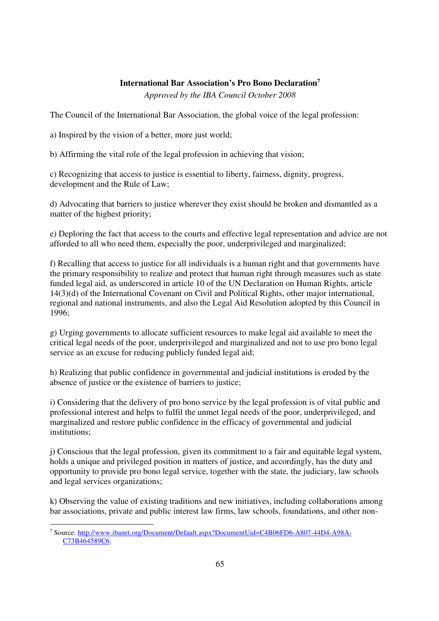#### **International Bar Association's Pro Bono Declaration 7**

*Approved by the IBA Council October 2008* 

The Council of the International Bar Association, the global voice of the legal profession:

a) Inspired by the vision of a better, more just world;

b) Affirming the vital role of the legal profession in achieving that vision;

c) Recognizing that access to justice is essential to liberty, fairness, dignity, progress, development and the Rule of Law;

d) Advocating that barriers to justice wherever they exist should be broken and dismantled as a matter of the highest priority;

e) Deploring the fact that access to the courts and effective legal representation and advice are not afforded to all who need them, especially the poor, underprivileged and marginalized;

f) Recalling that access to justice for all individuals is a human right and that governments have the primary responsibility to realize and protect that human right through measures such as state funded legal aid, as underscored in article 10 of the UN Declaration on Human Rights, article 14(3)(d) of the International Covenant on Civil and Political Rights, other major international, regional and national instruments, and also the Legal Aid Resolution adopted by this Council in 1996;

g) Urging governments to allocate sufficient resources to make legal aid available to meet the critical legal needs of the poor, underprivileged and marginalized and not to use pro bono legal service as an excuse for reducing publicly funded legal aid;

h) Realizing that public confidence in governmental and judicial institutions is eroded by the absence of justice or the existence of barriers to justice;

i) Considering that the delivery of pro bono service by the legal profession is of vital public and professional interest and helps to fulfil the unmet legal needs of the poor, underprivileged, and marginalized and restore public confidence in the efficacy of governmental and judicial institutions;

j) Conscious that the legal profession, given its commitment to a fair and equitable legal system, holds a unique and privileged position in matters of justice, and accordingly, has the duty and opportunity to provide pro bono legal service, together with the state, the judiciary, law schools and legal services organizations;

k) Observing the value of existing traditions and new initiatives, including collaborations among bar associations, private and public interest law firms, law schools, foundations, and other non-

 $\overline{a}$ <sup>7</sup> Source: http://www.ibanet.org/Document/Default.aspx?DocumentUid=C4B06FD6-A807-44D4-A98A-C73B464589C6.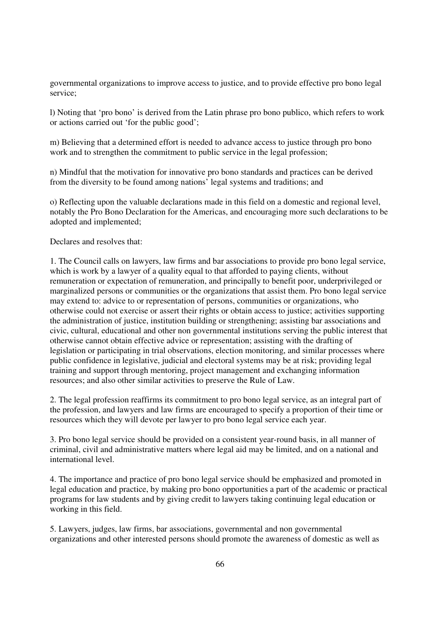governmental organizations to improve access to justice, and to provide effective pro bono legal service;

l) Noting that 'pro bono' is derived from the Latin phrase pro bono publico, which refers to work or actions carried out 'for the public good';

m) Believing that a determined effort is needed to advance access to justice through pro bono work and to strengthen the commitment to public service in the legal profession;

n) Mindful that the motivation for innovative pro bono standards and practices can be derived from the diversity to be found among nations' legal systems and traditions; and

o) Reflecting upon the valuable declarations made in this field on a domestic and regional level, notably the Pro Bono Declaration for the Americas, and encouraging more such declarations to be adopted and implemented;

Declares and resolves that:

1. The Council calls on lawyers, law firms and bar associations to provide pro bono legal service, which is work by a lawyer of a quality equal to that afforded to paying clients, without remuneration or expectation of remuneration, and principally to benefit poor, underprivileged or marginalized persons or communities or the organizations that assist them. Pro bono legal service may extend to: advice to or representation of persons, communities or organizations, who otherwise could not exercise or assert their rights or obtain access to justice; activities supporting the administration of justice, institution building or strengthening; assisting bar associations and civic, cultural, educational and other non governmental institutions serving the public interest that otherwise cannot obtain effective advice or representation; assisting with the drafting of legislation or participating in trial observations, election monitoring, and similar processes where public confidence in legislative, judicial and electoral systems may be at risk; providing legal training and support through mentoring, project management and exchanging information resources; and also other similar activities to preserve the Rule of Law.

2. The legal profession reaffirms its commitment to pro bono legal service, as an integral part of the profession, and lawyers and law firms are encouraged to specify a proportion of their time or resources which they will devote per lawyer to pro bono legal service each year.

3. Pro bono legal service should be provided on a consistent year-round basis, in all manner of criminal, civil and administrative matters where legal aid may be limited, and on a national and international level.

4. The importance and practice of pro bono legal service should be emphasized and promoted in legal education and practice, by making pro bono opportunities a part of the academic or practical programs for law students and by giving credit to lawyers taking continuing legal education or working in this field.

5. Lawyers, judges, law firms, bar associations, governmental and non governmental organizations and other interested persons should promote the awareness of domestic as well as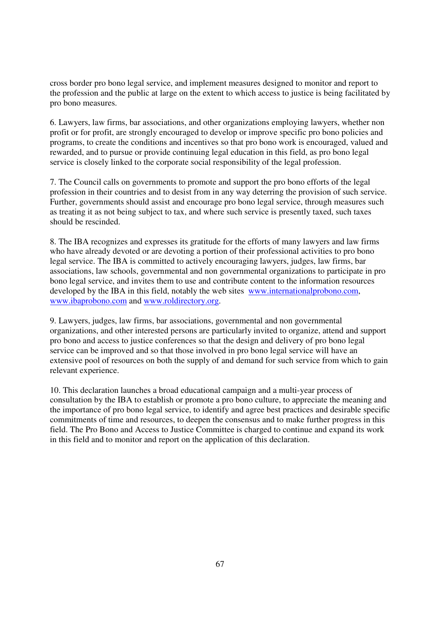cross border pro bono legal service, and implement measures designed to monitor and report to the profession and the public at large on the extent to which access to justice is being facilitated by pro bono measures.

6. Lawyers, law firms, bar associations, and other organizations employing lawyers, whether non profit or for profit, are strongly encouraged to develop or improve specific pro bono policies and programs, to create the conditions and incentives so that pro bono work is encouraged, valued and rewarded, and to pursue or provide continuing legal education in this field, as pro bono legal service is closely linked to the corporate social responsibility of the legal profession.

7. The Council calls on governments to promote and support the pro bono efforts of the legal profession in their countries and to desist from in any way deterring the provision of such service. Further, governments should assist and encourage pro bono legal service, through measures such as treating it as not being subject to tax, and where such service is presently taxed, such taxes should be rescinded.

8. The IBA recognizes and expresses its gratitude for the efforts of many lawyers and law firms who have already devoted or are devoting a portion of their professional activities to pro bono legal service. The IBA is committed to actively encouraging lawyers, judges, law firms, bar associations, law schools, governmental and non governmental organizations to participate in pro bono legal service, and invites them to use and contribute content to the information resources developed by the IBA in this field, notably the web sites www.internationalprobono.com, www.ibaprobono.com and www.roldirectory.org.

9. Lawyers, judges, law firms, bar associations, governmental and non governmental organizations, and other interested persons are particularly invited to organize, attend and support pro bono and access to justice conferences so that the design and delivery of pro bono legal service can be improved and so that those involved in pro bono legal service will have an extensive pool of resources on both the supply of and demand for such service from which to gain relevant experience.

10. This declaration launches a broad educational campaign and a multi-year process of consultation by the IBA to establish or promote a pro bono culture, to appreciate the meaning and the importance of pro bono legal service, to identify and agree best practices and desirable specific commitments of time and resources, to deepen the consensus and to make further progress in this field. The Pro Bono and Access to Justice Committee is charged to continue and expand its work in this field and to monitor and report on the application of this declaration.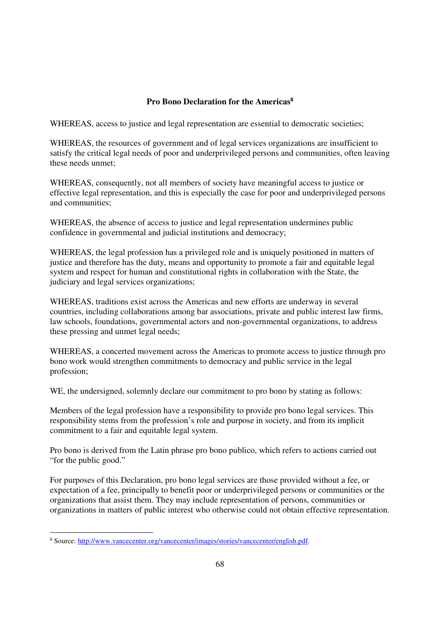## **Pro Bono Declaration for the Americas<sup>8</sup>**

WHEREAS, access to justice and legal representation are essential to democratic societies;

WHEREAS, the resources of government and of legal services organizations are insufficient to satisfy the critical legal needs of poor and underprivileged persons and communities, often leaving these needs unmet;

WHEREAS, consequently, not all members of society have meaningful access to justice or effective legal representation, and this is especially the case for poor and underprivileged persons and communities;

WHEREAS, the absence of access to justice and legal representation undermines public confidence in governmental and judicial institutions and democracy;

WHEREAS, the legal profession has a privileged role and is uniquely positioned in matters of justice and therefore has the duty, means and opportunity to promote a fair and equitable legal system and respect for human and constitutional rights in collaboration with the State, the judiciary and legal services organizations;

WHEREAS, traditions exist across the Americas and new efforts are underway in several countries, including collaborations among bar associations, private and public interest law firms, law schools, foundations, governmental actors and non-governmental organizations, to address these pressing and unmet legal needs;

WHEREAS, a concerted movement across the Americas to promote access to justice through pro bono work would strengthen commitments to democracy and public service in the legal profession;

WE, the undersigned, solemnly declare our commitment to pro bono by stating as follows:

Members of the legal profession have a responsibility to provide pro bono legal services. This responsibility stems from the profession's role and purpose in society, and from its implicit commitment to a fair and equitable legal system.

Pro bono is derived from the Latin phrase pro bono publico, which refers to actions carried out "for the public good."

For purposes of this Declaration, pro bono legal services are those provided without a fee, or expectation of a fee, principally to benefit poor or underprivileged persons or communities or the organizations that assist them. They may include representation of persons, communities or organizations in matters of public interest who otherwise could not obtain effective representation.

<sup>-</sup><sup>8</sup> Source: http://www.vancecenter.org/vancecenter/images/stories/vancecenter/english.pdf.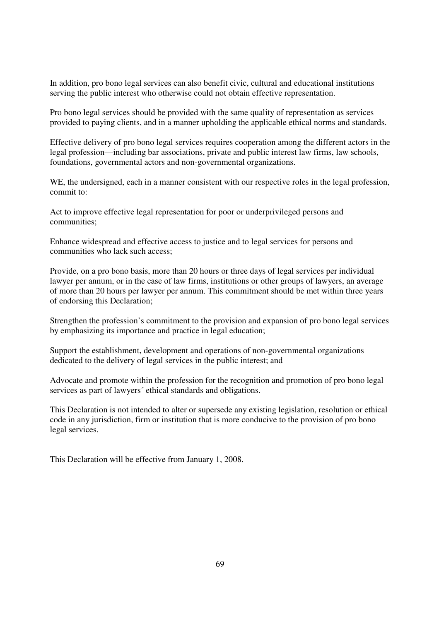In addition, pro bono legal services can also benefit civic, cultural and educational institutions serving the public interest who otherwise could not obtain effective representation.

Pro bono legal services should be provided with the same quality of representation as services provided to paying clients, and in a manner upholding the applicable ethical norms and standards.

Effective delivery of pro bono legal services requires cooperation among the different actors in the legal profession—including bar associations, private and public interest law firms, law schools, foundations, governmental actors and non-governmental organizations.

WE, the undersigned, each in a manner consistent with our respective roles in the legal profession, commit to:

Act to improve effective legal representation for poor or underprivileged persons and communities;

Enhance widespread and effective access to justice and to legal services for persons and communities who lack such access;

Provide, on a pro bono basis, more than 20 hours or three days of legal services per individual lawyer per annum, or in the case of law firms, institutions or other groups of lawyers, an average of more than 20 hours per lawyer per annum. This commitment should be met within three years of endorsing this Declaration;

Strengthen the profession's commitment to the provision and expansion of pro bono legal services by emphasizing its importance and practice in legal education;

Support the establishment, development and operations of non-governmental organizations dedicated to the delivery of legal services in the public interest; and

Advocate and promote within the profession for the recognition and promotion of pro bono legal services as part of lawyers' ethical standards and obligations.

This Declaration is not intended to alter or supersede any existing legislation, resolution or ethical code in any jurisdiction, firm or institution that is more conducive to the provision of pro bono legal services.

This Declaration will be effective from January 1, 2008.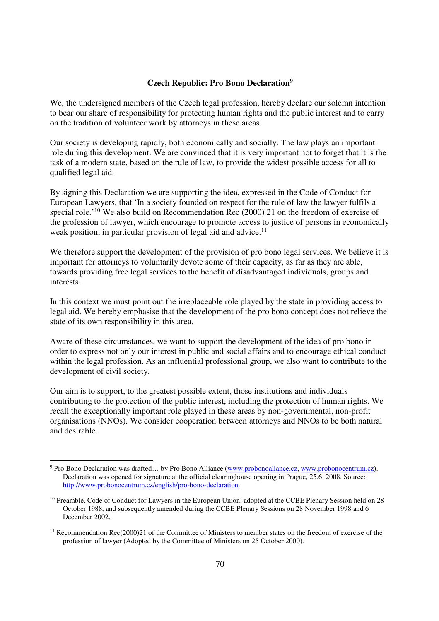#### **Czech Republic: Pro Bono Declaration<sup>9</sup>**

We, the undersigned members of the Czech legal profession, hereby declare our solemn intention to bear our share of responsibility for protecting human rights and the public interest and to carry on the tradition of volunteer work by attorneys in these areas.

Our society is developing rapidly, both economically and socially. The law plays an important role during this development. We are convinced that it is very important not to forget that it is the task of a modern state, based on the rule of law, to provide the widest possible access for all to qualified legal aid.

By signing this Declaration we are supporting the idea, expressed in the Code of Conduct for European Lawyers, that 'In a society founded on respect for the rule of law the lawyer fulfils a special role.'<sup>10</sup> We also build on Recommendation Rec (2000) 21 on the freedom of exercise of the profession of lawyer, which encourage to promote access to justice of persons in economically weak position, in particular provision of legal aid and advice.<sup>11</sup>

We therefore support the development of the provision of pro bono legal services. We believe it is important for attorneys to voluntarily devote some of their capacity, as far as they are able, towards providing free legal services to the benefit of disadvantaged individuals, groups and interests.

In this context we must point out the irreplaceable role played by the state in providing access to legal aid. We hereby emphasise that the development of the pro bono concept does not relieve the state of its own responsibility in this area.

Aware of these circumstances, we want to support the development of the idea of pro bono in order to express not only our interest in public and social affairs and to encourage ethical conduct within the legal profession. As an influential professional group, we also want to contribute to the development of civil society.

Our aim is to support, to the greatest possible extent, those institutions and individuals contributing to the protection of the public interest, including the protection of human rights. We recall the exceptionally important role played in these areas by non-governmental, non-profit organisations (NNOs). We consider cooperation between attorneys and NNOs to be both natural and desirable.

 $\overline{a}$ 

<sup>&</sup>lt;sup>9</sup> Pro Bono Declaration was drafted... by Pro Bono Alliance (www.probonoaliance.cz, www.probonocentrum.cz). Declaration was opened for signature at the official clearinghouse opening in Prague, 25.6. 2008. Source: http://www.probonocentrum.cz/english/pro-bono-declaration.

<sup>&</sup>lt;sup>10</sup> Preamble, Code of Conduct for Lawyers in the European Union, adopted at the CCBE Plenary Session held on 28 October 1988, and subsequently amended during the CCBE Plenary Sessions on 28 November 1998 and 6 December 2002.

<sup>11</sup> Recommendation Rec(2000)21 of the Committee of Ministers to member states on the freedom of exercise of the profession of lawyer (Adopted by the Committee of Ministers on 25 October 2000).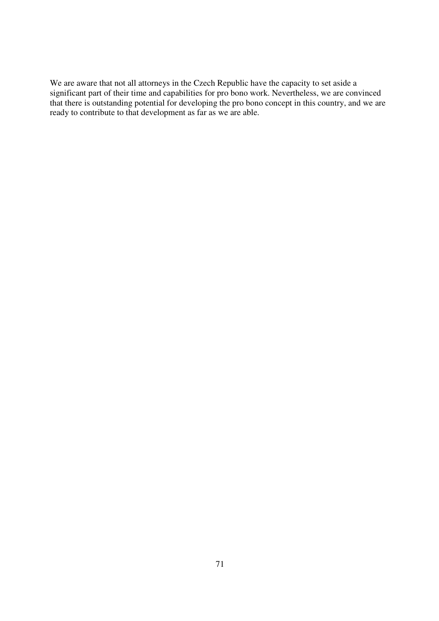We are aware that not all attorneys in the Czech Republic have the capacity to set aside a significant part of their time and capabilities for pro bono work. Nevertheless, we are convinced that there is outstanding potential for developing the pro bono concept in this country, and we are ready to contribute to that development as far as we are able.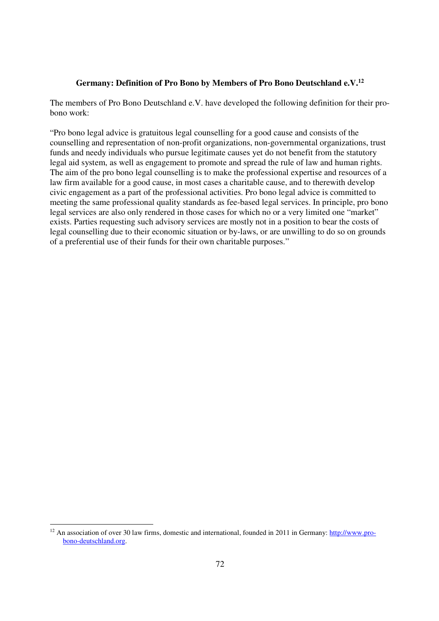#### **Germany: Definition of Pro Bono by Members of Pro Bono Deutschland e.V.<sup>12</sup>**

The members of Pro Bono Deutschland e.V. have developed the following definition for their probono work:

"Pro bono legal advice is gratuitous legal counselling for a good cause and consists of the counselling and representation of non-profit organizations, non-governmental organizations, trust funds and needy individuals who pursue legitimate causes yet do not benefit from the statutory legal aid system, as well as engagement to promote and spread the rule of law and human rights. The aim of the pro bono legal counselling is to make the professional expertise and resources of a law firm available for a good cause, in most cases a charitable cause, and to therewith develop civic engagement as a part of the professional activities. Pro bono legal advice is committed to meeting the same professional quality standards as fee-based legal services. In principle, pro bono legal services are also only rendered in those cases for which no or a very limited one "market" exists. Parties requesting such advisory services are mostly not in a position to bear the costs of legal counselling due to their economic situation or by-laws, or are unwilling to do so on grounds of a preferential use of their funds for their own charitable purposes."

 $\overline{a}$ 

<sup>&</sup>lt;sup>12</sup> An association of over 30 law firms, domestic and international, founded in 2011 in Germany: http://www.probono-deutschland.org.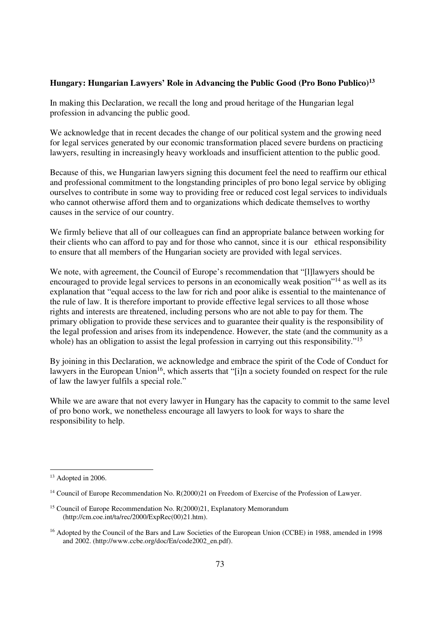#### **Hungary: Hungarian Lawyers' Role in Advancing the Public Good (Pro Bono Publico)<sup>13</sup>**

In making this Declaration, we recall the long and proud heritage of the Hungarian legal profession in advancing the public good.

We acknowledge that in recent decades the change of our political system and the growing need for legal services generated by our economic transformation placed severe burdens on practicing lawyers, resulting in increasingly heavy workloads and insufficient attention to the public good.

Because of this, we Hungarian lawyers signing this document feel the need to reaffirm our ethical and professional commitment to the longstanding principles of pro bono legal service by obliging ourselves to contribute in some way to providing free or reduced cost legal services to individuals who cannot otherwise afford them and to organizations which dedicate themselves to worthy causes in the service of our country.

We firmly believe that all of our colleagues can find an appropriate balance between working for their clients who can afford to pay and for those who cannot, since it is our ethical responsibility to ensure that all members of the Hungarian society are provided with legal services.

We note, with agreement, the Council of Europe's recommendation that "[l]lawyers should be encouraged to provide legal services to persons in an economically weak position"<sup>14</sup> as well as its explanation that "equal access to the law for rich and poor alike is essential to the maintenance of the rule of law. It is therefore important to provide effective legal services to all those whose rights and interests are threatened, including persons who are not able to pay for them. The primary obligation to provide these services and to guarantee their quality is the responsibility of the legal profession and arises from its independence. However, the state (and the community as a whole) has an obligation to assist the legal profession in carrying out this responsibility."<sup>15</sup>

By joining in this Declaration, we acknowledge and embrace the spirit of the Code of Conduct for lawyers in the European Union<sup>16</sup>, which asserts that "[i]n a society founded on respect for the rule of law the lawyer fulfils a special role."

While we are aware that not every lawyer in Hungary has the capacity to commit to the same level of pro bono work, we nonetheless encourage all lawyers to look for ways to share the responsibility to help.

 $\overline{a}$ 

<sup>&</sup>lt;sup>13</sup> Adopted in 2006.

<sup>&</sup>lt;sup>14</sup> Council of Europe Recommendation No. R(2000)21 on Freedom of Exercise of the Profession of Lawyer.

<sup>&</sup>lt;sup>15</sup> Council of Europe Recommendation No. R(2000)21, Explanatory Memorandum (http://cm.coe.int/ta/rec/2000/ExpRec(00)21.htm).

<sup>&</sup>lt;sup>16</sup> Adopted by the Council of the Bars and Law Societies of the European Union (CCBE) in 1988, amended in 1998 and 2002. (http://www.ccbe.org/doc/En/code2002\_en.pdf).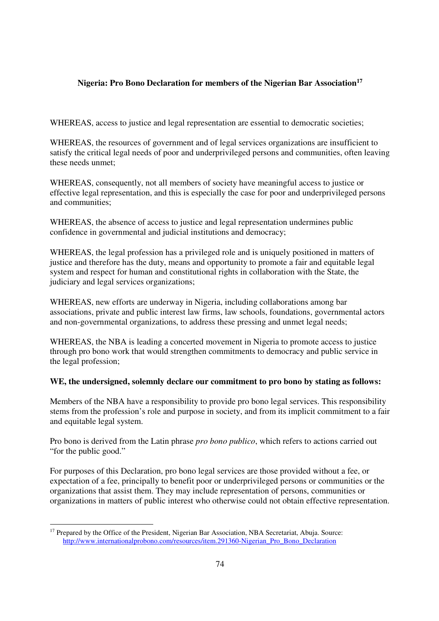## **Nigeria: Pro Bono Declaration for members of the Nigerian Bar Association<sup>17</sup>**

WHEREAS, access to justice and legal representation are essential to democratic societies;

WHEREAS, the resources of government and of legal services organizations are insufficient to satisfy the critical legal needs of poor and underprivileged persons and communities, often leaving these needs unmet;

WHEREAS, consequently, not all members of society have meaningful access to justice or effective legal representation, and this is especially the case for poor and underprivileged persons and communities;

WHEREAS, the absence of access to justice and legal representation undermines public confidence in governmental and judicial institutions and democracy;

WHEREAS, the legal profession has a privileged role and is uniquely positioned in matters of justice and therefore has the duty, means and opportunity to promote a fair and equitable legal system and respect for human and constitutional rights in collaboration with the State, the judiciary and legal services organizations;

WHEREAS, new efforts are underway in Nigeria, including collaborations among bar associations, private and public interest law firms, law schools, foundations, governmental actors and non-governmental organizations, to address these pressing and unmet legal needs;

WHEREAS, the NBA is leading a concerted movement in Nigeria to promote access to justice through pro bono work that would strengthen commitments to democracy and public service in the legal profession;

### **WE, the undersigned, solemnly declare our commitment to pro bono by stating as follows:**

Members of the NBA have a responsibility to provide pro bono legal services. This responsibility stems from the profession's role and purpose in society, and from its implicit commitment to a fair and equitable legal system.

Pro bono is derived from the Latin phrase *pro bono publico*, which refers to actions carried out "for the public good."

For purposes of this Declaration, pro bono legal services are those provided without a fee, or expectation of a fee, principally to benefit poor or underprivileged persons or communities or the organizations that assist them. They may include representation of persons, communities or organizations in matters of public interest who otherwise could not obtain effective representation.

 $\overline{a}$ <sup>17</sup> Prepared by the Office of the President, Nigerian Bar Association, NBA Secretariat, Abuja. Source: http://www.internationalprobono.com/resources/item.291360-Nigerian\_Pro\_Bono\_Declaration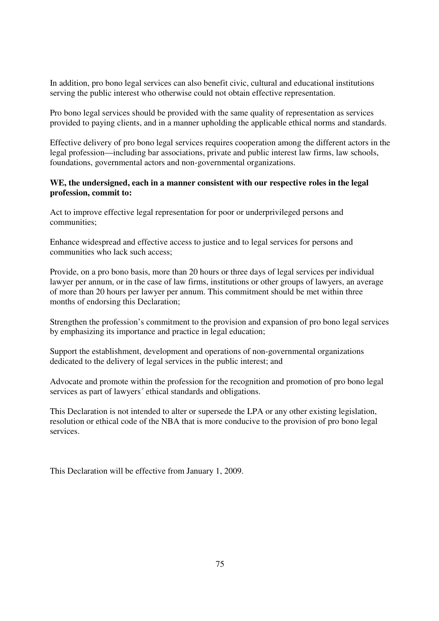In addition, pro bono legal services can also benefit civic, cultural and educational institutions serving the public interest who otherwise could not obtain effective representation.

Pro bono legal services should be provided with the same quality of representation as services provided to paying clients, and in a manner upholding the applicable ethical norms and standards.

Effective delivery of pro bono legal services requires cooperation among the different actors in the legal profession—including bar associations, private and public interest law firms, law schools, foundations, governmental actors and non-governmental organizations.

### **WE, the undersigned, each in a manner consistent with our respective roles in the legal profession, commit to:**

Act to improve effective legal representation for poor or underprivileged persons and communities;

Enhance widespread and effective access to justice and to legal services for persons and communities who lack such access;

Provide, on a pro bono basis, more than 20 hours or three days of legal services per individual lawyer per annum, or in the case of law firms, institutions or other groups of lawyers, an average of more than 20 hours per lawyer per annum. This commitment should be met within three months of endorsing this Declaration;

Strengthen the profession's commitment to the provision and expansion of pro bono legal services by emphasizing its importance and practice in legal education;

Support the establishment, development and operations of non-governmental organizations dedicated to the delivery of legal services in the public interest; and

Advocate and promote within the profession for the recognition and promotion of pro bono legal services as part of lawyers´ ethical standards and obligations.

This Declaration is not intended to alter or supersede the LPA or any other existing legislation, resolution or ethical code of the NBA that is more conducive to the provision of pro bono legal services.

This Declaration will be effective from January 1, 2009.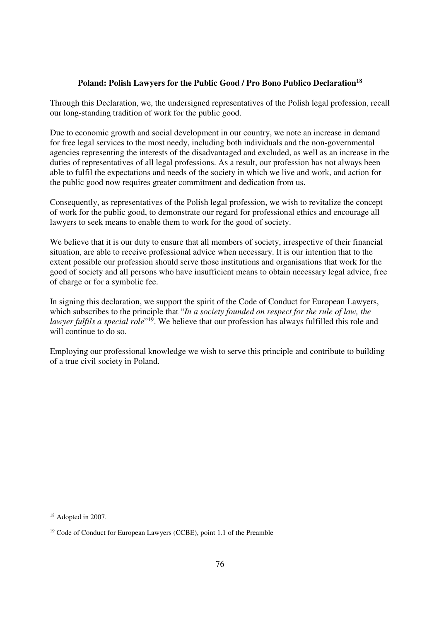### **Poland: Polish Lawyers for the Public Good / Pro Bono Publico Declaration<sup>18</sup>**

Through this Declaration, we, the undersigned representatives of the Polish legal profession, recall our long-standing tradition of work for the public good.

Due to economic growth and social development in our country, we note an increase in demand for free legal services to the most needy, including both individuals and the non-governmental agencies representing the interests of the disadvantaged and excluded, as well as an increase in the duties of representatives of all legal professions. As a result, our profession has not always been able to fulfil the expectations and needs of the society in which we live and work, and action for the public good now requires greater commitment and dedication from us.

Consequently, as representatives of the Polish legal profession, we wish to revitalize the concept of work for the public good, to demonstrate our regard for professional ethics and encourage all lawyers to seek means to enable them to work for the good of society.

We believe that it is our duty to ensure that all members of society, irrespective of their financial situation, are able to receive professional advice when necessary. It is our intention that to the extent possible our profession should serve those institutions and organisations that work for the good of society and all persons who have insufficient means to obtain necessary legal advice, free of charge or for a symbolic fee.

In signing this declaration, we support the spirit of the Code of Conduct for European Lawyers, which subscribes to the principle that "*In a society founded on respect for the rule of law, the* lawyer fulfils a special role<sup>"19</sup>. We believe that our profession has always fulfilled this role and will continue to do so.

Employing our professional knowledge we wish to serve this principle and contribute to building of a true civil society in Poland.

 $\overline{a}$ <sup>18</sup> Adopted in 2007.

<sup>&</sup>lt;sup>19</sup> Code of Conduct for European Lawyers (CCBE), point 1.1 of the Preamble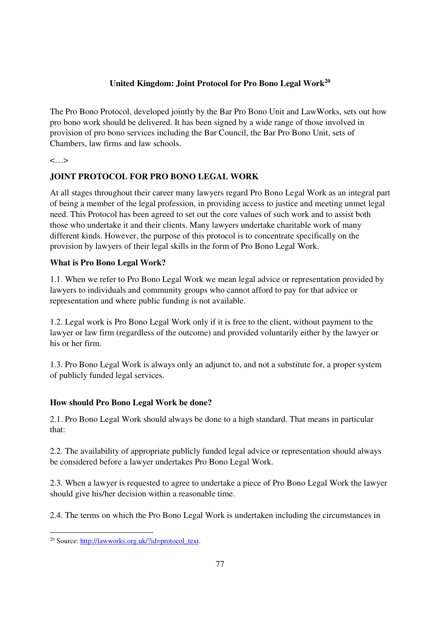# **United Kingdom: Joint Protocol for Pro Bono Legal Work<sup>20</sup>**

The Pro Bono Protocol, developed jointly by the Bar Pro Bono Unit and LawWorks, sets out how pro bono work should be delivered. It has been signed by a wide range of those involved in provision of pro bono services including the Bar Council, the Bar Pro Bono Unit, sets of Chambers, law firms and law schools.

 $\langle \rangle$ 

# **JOINT PROTOCOL FOR PRO BONO LEGAL WORK**

At all stages throughout their career many lawyers regard Pro Bono Legal Work as an integral part of being a member of the legal profession, in providing access to justice and meeting unmet legal need. This Protocol has been agreed to set out the core values of such work and to assist both those who undertake it and their clients. Many lawyers undertake charitable work of many different kinds. However, the purpose of this protocol is to concentrate specifically on the provision by lawyers of their legal skills in the form of Pro Bono Legal Work.

# **What is Pro Bono Legal Work?**

1.1. When we refer to Pro Bono Legal Work we mean legal advice or representation provided by lawyers to individuals and community groups who cannot afford to pay for that advice or representation and where public funding is not available.

1.2. Legal work is Pro Bono Legal Work only if it is free to the client, without payment to the lawyer or law firm (regardless of the outcome) and provided voluntarily either by the lawyer or his or her firm.

1.3. Pro Bono Legal Work is always only an adjunct to, and not a substitute for, a proper system of publicly funded legal services.

# **How should Pro Bono Legal Work be done?**

2.1. Pro Bono Legal Work should always be done to a high standard. That means in particular that:

2.2. The availability of appropriate publicly funded legal advice or representation should always be considered before a lawyer undertakes Pro Bono Legal Work.

2.3. When a lawyer is requested to agree to undertake a piece of Pro Bono Legal Work the lawyer should give his/her decision within a reasonable time.

2.4. The terms on which the Pro Bono Legal Work is undertaken including the circumstances in

<sup>-</sup><sup>20</sup> Source: http://lawworks.org.uk/?id=protocol\_text.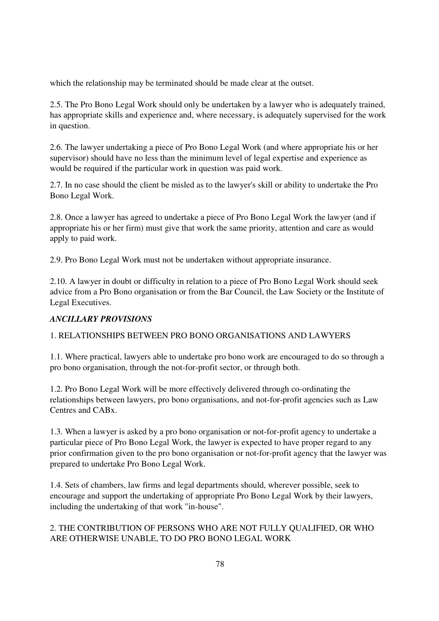which the relationship may be terminated should be made clear at the outset.

2.5. The Pro Bono Legal Work should only be undertaken by a lawyer who is adequately trained, has appropriate skills and experience and, where necessary, is adequately supervised for the work in question.

2.6. The lawyer undertaking a piece of Pro Bono Legal Work (and where appropriate his or her supervisor) should have no less than the minimum level of legal expertise and experience as would be required if the particular work in question was paid work.

2.7. In no case should the client be misled as to the lawyer's skill or ability to undertake the Pro Bono Legal Work.

2.8. Once a lawyer has agreed to undertake a piece of Pro Bono Legal Work the lawyer (and if appropriate his or her firm) must give that work the same priority, attention and care as would apply to paid work.

2.9. Pro Bono Legal Work must not be undertaken without appropriate insurance.

2.10. A lawyer in doubt or difficulty in relation to a piece of Pro Bono Legal Work should seek advice from a Pro Bono organisation or from the Bar Council, the Law Society or the Institute of Legal Executives.

# *ANCILLARY PROVISIONS*

### 1. RELATIONSHIPS BETWEEN PRO BONO ORGANISATIONS AND LAWYERS

1.1. Where practical, lawyers able to undertake pro bono work are encouraged to do so through a pro bono organisation, through the not-for-profit sector, or through both.

1.2. Pro Bono Legal Work will be more effectively delivered through co-ordinating the relationships between lawyers, pro bono organisations, and not-for-profit agencies such as Law Centres and CABx.

1.3. When a lawyer is asked by a pro bono organisation or not-for-profit agency to undertake a particular piece of Pro Bono Legal Work, the lawyer is expected to have proper regard to any prior confirmation given to the pro bono organisation or not-for-profit agency that the lawyer was prepared to undertake Pro Bono Legal Work.

1.4. Sets of chambers, law firms and legal departments should, wherever possible, seek to encourage and support the undertaking of appropriate Pro Bono Legal Work by their lawyers, including the undertaking of that work "in-house".

# 2. THE CONTRIBUTION OF PERSONS WHO ARE NOT FULLY QUALIFIED, OR WHO ARE OTHERWISE UNABLE, TO DO PRO BONO LEGAL WORK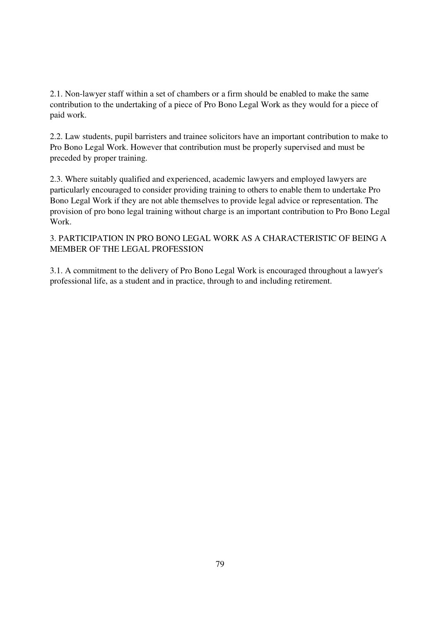2.1. Non-lawyer staff within a set of chambers or a firm should be enabled to make the same contribution to the undertaking of a piece of Pro Bono Legal Work as they would for a piece of paid work.

2.2. Law students, pupil barristers and trainee solicitors have an important contribution to make to Pro Bono Legal Work. However that contribution must be properly supervised and must be preceded by proper training.

2.3. Where suitably qualified and experienced, academic lawyers and employed lawyers are particularly encouraged to consider providing training to others to enable them to undertake Pro Bono Legal Work if they are not able themselves to provide legal advice or representation. The provision of pro bono legal training without charge is an important contribution to Pro Bono Legal Work.

3. PARTICIPATION IN PRO BONO LEGAL WORK AS A CHARACTERISTIC OF BEING A MEMBER OF THE LEGAL PROFESSION

3.1. A commitment to the delivery of Pro Bono Legal Work is encouraged throughout a lawyer's professional life, as a student and in practice, through to and including retirement.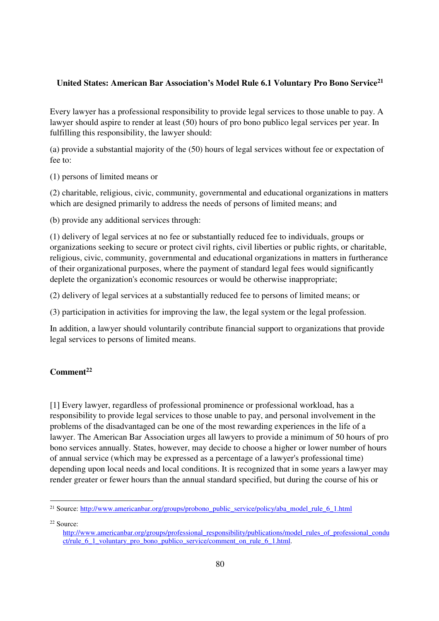## **United States: American Bar Association's Model Rule 6.1 Voluntary Pro Bono Service<sup>21</sup>**

Every lawyer has a professional responsibility to provide legal services to those unable to pay. A lawyer should aspire to render at least (50) hours of pro bono publico legal services per year. In fulfilling this responsibility, the lawyer should:

(a) provide a substantial majority of the (50) hours of legal services without fee or expectation of fee to:

(1) persons of limited means or

(2) charitable, religious, civic, community, governmental and educational organizations in matters which are designed primarily to address the needs of persons of limited means; and

(b) provide any additional services through:

(1) delivery of legal services at no fee or substantially reduced fee to individuals, groups or organizations seeking to secure or protect civil rights, civil liberties or public rights, or charitable, religious, civic, community, governmental and educational organizations in matters in furtherance of their organizational purposes, where the payment of standard legal fees would significantly deplete the organization's economic resources or would be otherwise inappropriate;

(2) delivery of legal services at a substantially reduced fee to persons of limited means; or

(3) participation in activities for improving the law, the legal system or the legal profession.

In addition, a lawyer should voluntarily contribute financial support to organizations that provide legal services to persons of limited means.

## **Comment<sup>22</sup>**

[1] Every lawyer, regardless of professional prominence or professional workload, has a responsibility to provide legal services to those unable to pay, and personal involvement in the problems of the disadvantaged can be one of the most rewarding experiences in the life of a lawyer. The American Bar Association urges all lawyers to provide a minimum of 50 hours of pro bono services annually. States, however, may decide to choose a higher or lower number of hours of annual service (which may be expressed as a percentage of a lawyer's professional time) depending upon local needs and local conditions. It is recognized that in some years a lawyer may render greater or fewer hours than the annual standard specified, but during the course of his or

<sup>22</sup> Source:

 $\overline{a}$ 

<sup>&</sup>lt;sup>21</sup> Source: http://www.americanbar.org/groups/probono\_public\_service/policy/aba\_model\_rule\_6\_1.html

http://www.americanbar.org/groups/professional\_responsibility/publications/model\_rules\_of\_professional\_condu ct/rule 6\_1\_voluntary\_pro\_bono\_publico\_service/comment\_on\_rule\_6\_1.html.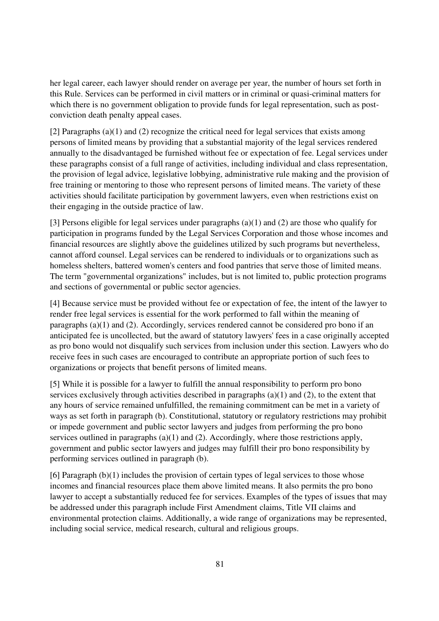her legal career, each lawyer should render on average per year, the number of hours set forth in this Rule. Services can be performed in civil matters or in criminal or quasi-criminal matters for which there is no government obligation to provide funds for legal representation, such as postconviction death penalty appeal cases.

[2] Paragraphs (a)(1) and (2) recognize the critical need for legal services that exists among persons of limited means by providing that a substantial majority of the legal services rendered annually to the disadvantaged be furnished without fee or expectation of fee. Legal services under these paragraphs consist of a full range of activities, including individual and class representation, the provision of legal advice, legislative lobbying, administrative rule making and the provision of free training or mentoring to those who represent persons of limited means. The variety of these activities should facilitate participation by government lawyers, even when restrictions exist on their engaging in the outside practice of law.

[3] Persons eligible for legal services under paragraphs (a)(1) and (2) are those who qualify for participation in programs funded by the Legal Services Corporation and those whose incomes and financial resources are slightly above the guidelines utilized by such programs but nevertheless, cannot afford counsel. Legal services can be rendered to individuals or to organizations such as homeless shelters, battered women's centers and food pantries that serve those of limited means. The term "governmental organizations" includes, but is not limited to, public protection programs and sections of governmental or public sector agencies.

[4] Because service must be provided without fee or expectation of fee, the intent of the lawyer to render free legal services is essential for the work performed to fall within the meaning of paragraphs (a)(1) and (2). Accordingly, services rendered cannot be considered pro bono if an anticipated fee is uncollected, but the award of statutory lawyers' fees in a case originally accepted as pro bono would not disqualify such services from inclusion under this section. Lawyers who do receive fees in such cases are encouraged to contribute an appropriate portion of such fees to organizations or projects that benefit persons of limited means.

[5] While it is possible for a lawyer to fulfill the annual responsibility to perform pro bono services exclusively through activities described in paragraphs (a)(1) and (2), to the extent that any hours of service remained unfulfilled, the remaining commitment can be met in a variety of ways as set forth in paragraph (b). Constitutional, statutory or regulatory restrictions may prohibit or impede government and public sector lawyers and judges from performing the pro bono services outlined in paragraphs (a)(1) and (2). Accordingly, where those restrictions apply, government and public sector lawyers and judges may fulfill their pro bono responsibility by performing services outlined in paragraph (b).

 $[6]$  Paragraph  $(b)(1)$  includes the provision of certain types of legal services to those whose incomes and financial resources place them above limited means. It also permits the pro bono lawyer to accept a substantially reduced fee for services. Examples of the types of issues that may be addressed under this paragraph include First Amendment claims, Title VII claims and environmental protection claims. Additionally, a wide range of organizations may be represented, including social service, medical research, cultural and religious groups.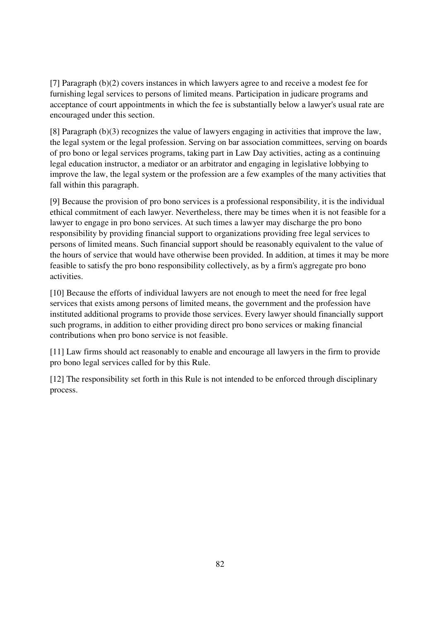[7] Paragraph (b)(2) covers instances in which lawyers agree to and receive a modest fee for furnishing legal services to persons of limited means. Participation in judicare programs and acceptance of court appointments in which the fee is substantially below a lawyer's usual rate are encouraged under this section.

[8] Paragraph (b)(3) recognizes the value of lawyers engaging in activities that improve the law, the legal system or the legal profession. Serving on bar association committees, serving on boards of pro bono or legal services programs, taking part in Law Day activities, acting as a continuing legal education instructor, a mediator or an arbitrator and engaging in legislative lobbying to improve the law, the legal system or the profession are a few examples of the many activities that fall within this paragraph.

[9] Because the provision of pro bono services is a professional responsibility, it is the individual ethical commitment of each lawyer. Nevertheless, there may be times when it is not feasible for a lawyer to engage in pro bono services. At such times a lawyer may discharge the pro bono responsibility by providing financial support to organizations providing free legal services to persons of limited means. Such financial support should be reasonably equivalent to the value of the hours of service that would have otherwise been provided. In addition, at times it may be more feasible to satisfy the pro bono responsibility collectively, as by a firm's aggregate pro bono activities.

[10] Because the efforts of individual lawyers are not enough to meet the need for free legal services that exists among persons of limited means, the government and the profession have instituted additional programs to provide those services. Every lawyer should financially support such programs, in addition to either providing direct pro bono services or making financial contributions when pro bono service is not feasible.

[11] Law firms should act reasonably to enable and encourage all lawyers in the firm to provide pro bono legal services called for by this Rule.

[12] The responsibility set forth in this Rule is not intended to be enforced through disciplinary process.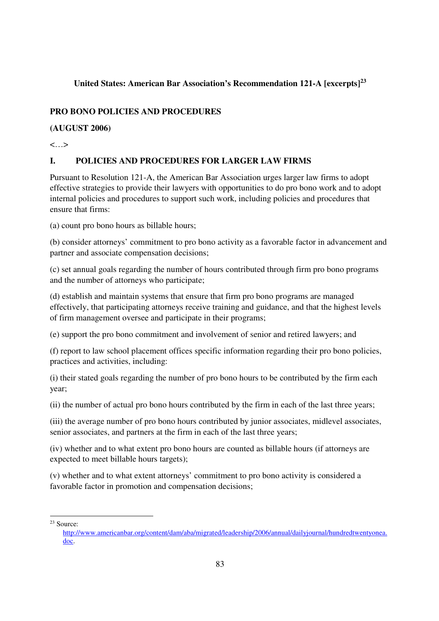# **United States: American Bar Association's Recommendation 121-A [excerpts]<sup>23</sup>**

# **PRO BONO POLICIES AND PROCEDURES**

## **(AUGUST 2006)**

<…>

# **I. POLICIES AND PROCEDURES FOR LARGER LAW FIRMS**

Pursuant to Resolution 121-A, the American Bar Association urges larger law firms to adopt effective strategies to provide their lawyers with opportunities to do pro bono work and to adopt internal policies and procedures to support such work, including policies and procedures that ensure that firms:

(a) count pro bono hours as billable hours;

(b) consider attorneys' commitment to pro bono activity as a favorable factor in advancement and partner and associate compensation decisions;

(c) set annual goals regarding the number of hours contributed through firm pro bono programs and the number of attorneys who participate;

(d) establish and maintain systems that ensure that firm pro bono programs are managed effectively, that participating attorneys receive training and guidance, and that the highest levels of firm management oversee and participate in their programs;

(e) support the pro bono commitment and involvement of senior and retired lawyers; and

(f) report to law school placement offices specific information regarding their pro bono policies, practices and activities, including:

(i) their stated goals regarding the number of pro bono hours to be contributed by the firm each year;

(ii) the number of actual pro bono hours contributed by the firm in each of the last three years;

(iii) the average number of pro bono hours contributed by junior associates, midlevel associates, senior associates, and partners at the firm in each of the last three years;

(iv) whether and to what extent pro bono hours are counted as billable hours (if attorneys are expected to meet billable hours targets);

(v) whether and to what extent attorneys' commitment to pro bono activity is considered a favorable factor in promotion and compensation decisions;

-<sup>23</sup> Source:

http://www.americanbar.org/content/dam/aba/migrated/leadership/2006/annual/dailyjournal/hundredtwentyonea. doc.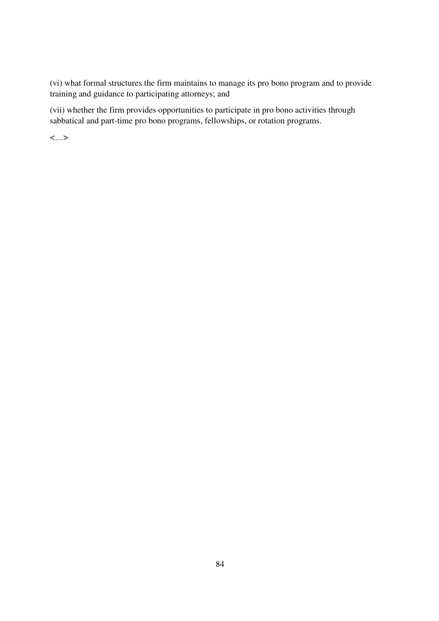(vi) what formal structures the firm maintains to manage its pro bono program and to provide training and guidance to participating attorneys; and

(vii) whether the firm provides opportunities to participate in pro bono activities through sabbatical and part-time pro bono programs, fellowships, or rotation programs.

<…>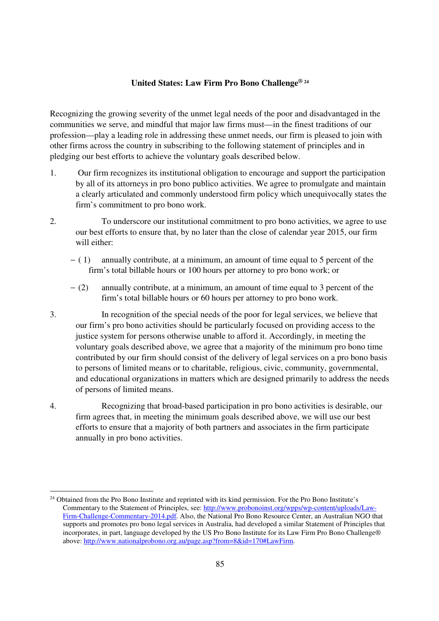### **United States: Law Firm Pro Bono Challenge® <sup>24</sup>**

Recognizing the growing severity of the unmet legal needs of the poor and disadvantaged in the communities we serve, and mindful that major law firms must—in the finest traditions of our profession—play a leading role in addressing these unmet needs, our firm is pleased to join with other firms across the country in subscribing to the following statement of principles and in pledging our best efforts to achieve the voluntary goals described below.

- 1. Our firm recognizes its institutional obligation to encourage and support the participation by all of its attorneys in pro bono publico activities. We agree to promulgate and maintain a clearly articulated and commonly understood firm policy which unequivocally states the firm's commitment to pro bono work.
- 2. To underscore our institutional commitment to pro bono activities, we agree to use our best efforts to ensure that, by no later than the close of calendar year 2015, our firm will either:
	- − ( 1) annually contribute, at a minimum, an amount of time equal to 5 percent of the firm's total billable hours or 100 hours per attorney to pro bono work; or
	- − (2) annually contribute, at a minimum, an amount of time equal to 3 percent of the firm's total billable hours or 60 hours per attorney to pro bono work.
- 3. In recognition of the special needs of the poor for legal services, we believe that our firm's pro bono activities should be particularly focused on providing access to the justice system for persons otherwise unable to afford it. Accordingly, in meeting the voluntary goals described above, we agree that a majority of the minimum pro bono time contributed by our firm should consist of the delivery of legal services on a pro bono basis to persons of limited means or to charitable, religious, civic, community, governmental, and educational organizations in matters which are designed primarily to address the needs of persons of limited means.
- 4. Recognizing that broad-based participation in pro bono activities is desirable, our firm agrees that, in meeting the minimum goals described above, we will use our best efforts to ensure that a majority of both partners and associates in the firm participate annually in pro bono activities.

 $\overline{a}$ 

<sup>&</sup>lt;sup>24</sup> Obtained from the Pro Bono Institute and reprinted with its kind permission. For the Pro Bono Institute's Commentary to the Statement of Principles, see: http://www.probonoinst.org/wpps/wp-content/uploads/Law-Firm-Challenge-Commentary-2014.pdf. Also, the National Pro Bono Resource Center, an Australian NGO that supports and promotes pro bono legal services in Australia, had developed a similar Statement of Principles that incorporates, in part, language developed by the US Pro Bono Institute for its Law Firm Pro Bono Challenge® above: http://www.nationalprobono.org.au/page.asp?from=8&id=170#LawFirm.